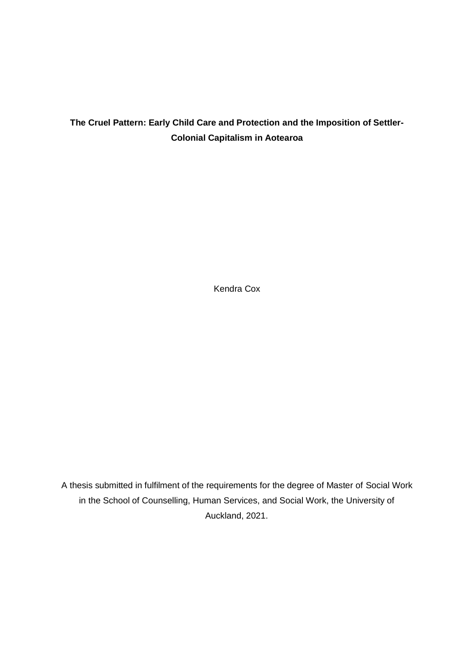# **The Cruel Pattern: Early Child Care and Protection and the Imposition of Settler-Colonial Capitalism in Aotearoa**

Kendra Cox

A thesis submitted in fulfilment of the requirements for the degree of Master of Social Work in the School of Counselling, Human Services, and Social Work, the University of Auckland, 2021.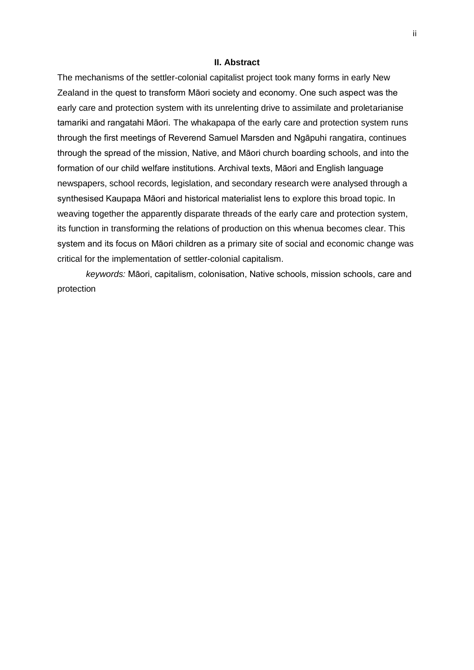### **II. Abstract**

The mechanisms of the settler-colonial capitalist project took many forms in early New Zealand in the quest to transform Māori society and economy. One such aspect was the early care and protection system with its unrelenting drive to assimilate and proletarianise tamariki and rangatahi Māori. The whakapapa of the early care and protection system runs through the first meetings of Reverend Samuel Marsden and Ngāpuhi rangatira, continues through the spread of the mission, Native, and Māori church boarding schools, and into the formation of our child welfare institutions. Archival texts, Māori and English language newspapers, school records, legislation, and secondary research were analysed through a synthesised Kaupapa Māori and historical materialist lens to explore this broad topic. In weaving together the apparently disparate threads of the early care and protection system, its function in transforming the relations of production on this whenua becomes clear. This system and its focus on Māori children as a primary site of social and economic change was critical for the implementation of settler-colonial capitalism.

*keywords:* Māori, capitalism, colonisation, Native schools, mission schools, care and protection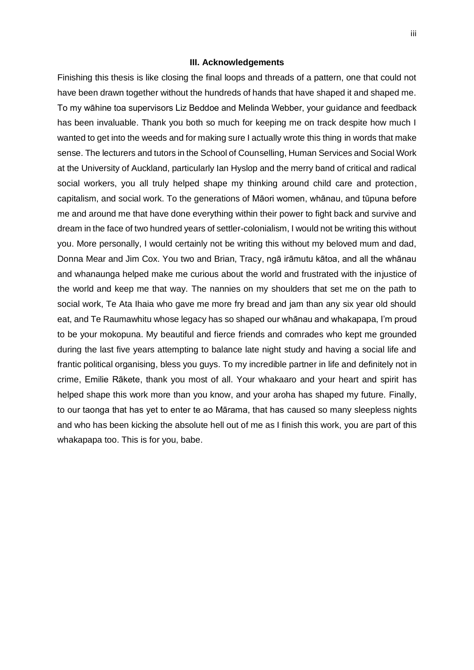### **III. Acknowledgements**

Finishing this thesis is like closing the final loops and threads of a pattern, one that could not have been drawn together without the hundreds of hands that have shaped it and shaped me. To my wāhine toa supervisors Liz Beddoe and Melinda Webber, your guidance and feedback has been invaluable. Thank you both so much for keeping me on track despite how much I wanted to get into the weeds and for making sure I actually wrote this thing in words that make sense. The lecturers and tutors in the School of Counselling, Human Services and Social Work at the University of Auckland, particularly Ian Hyslop and the merry band of critical and radical social workers, you all truly helped shape my thinking around child care and protection, capitalism, and social work. To the generations of Māori women, whānau, and tūpuna before me and around me that have done everything within their power to fight back and survive and dream in the face of two hundred years of settler-colonialism, I would not be writing this without you. More personally, I would certainly not be writing this without my beloved mum and dad, Donna Mear and Jim Cox. You two and Brian, Tracy, ngā irāmutu kātoa, and all the whānau and whanaunga helped make me curious about the world and frustrated with the injustice of the world and keep me that way. The nannies on my shoulders that set me on the path to social work, Te Ata Ihaia who gave me more fry bread and jam than any six year old should eat, and Te Raumawhitu whose legacy has so shaped our whānau and whakapapa, I'm proud to be your mokopuna. My beautiful and fierce friends and comrades who kept me grounded during the last five years attempting to balance late night study and having a social life and frantic political organising, bless you guys. To my incredible partner in life and definitely not in crime, Emilie Rākete, thank you most of all. Your whakaaro and your heart and spirit has helped shape this work more than you know, and your aroha has shaped my future. Finally, to our taonga that has yet to enter te ao Mārama, that has caused so many sleepless nights and who has been kicking the absolute hell out of me as I finish this work, you are part of this whakapapa too. This is for you, babe.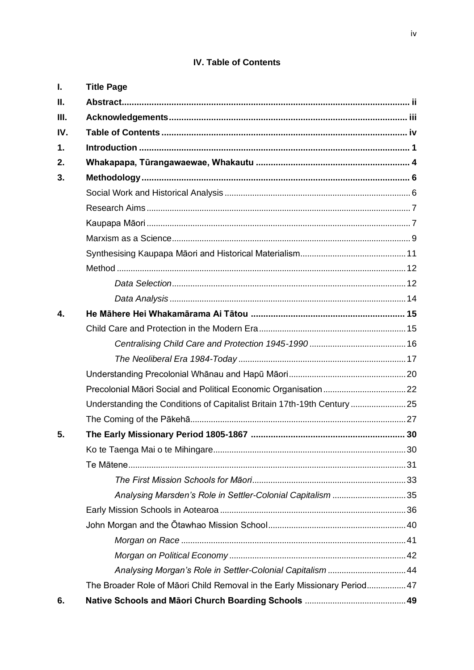# IV. Table of Contents

| Ι.            | <b>Title Page</b>                                                        |  |
|---------------|--------------------------------------------------------------------------|--|
| П.            |                                                                          |  |
| Ш.            |                                                                          |  |
| IV.           |                                                                          |  |
| $\mathbf 1$ . |                                                                          |  |
| 2.            |                                                                          |  |
| 3.            |                                                                          |  |
|               |                                                                          |  |
|               |                                                                          |  |
|               |                                                                          |  |
|               |                                                                          |  |
|               |                                                                          |  |
|               |                                                                          |  |
|               |                                                                          |  |
|               |                                                                          |  |
| 4.            |                                                                          |  |
|               |                                                                          |  |
|               |                                                                          |  |
|               |                                                                          |  |
|               |                                                                          |  |
|               |                                                                          |  |
|               | Understanding the Conditions of Capitalist Britain 17th-19th Century  25 |  |
|               |                                                                          |  |
| 5.            |                                                                          |  |
|               |                                                                          |  |
|               |                                                                          |  |
|               |                                                                          |  |
|               | Analysing Marsden's Role in Settler-Colonial Capitalism 35               |  |
|               |                                                                          |  |
|               |                                                                          |  |
|               |                                                                          |  |
|               |                                                                          |  |
|               | Analysing Morgan's Role in Settler-Colonial Capitalism 44                |  |
|               | The Broader Role of Māori Child Removal in the Early Missionary Period47 |  |
| 6.            |                                                                          |  |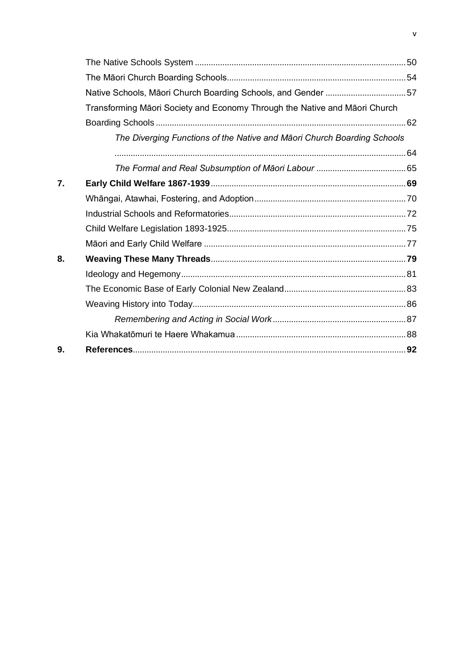|    | Native Schools, Māori Church Boarding Schools, and Gender 57               |  |
|----|----------------------------------------------------------------------------|--|
|    | Transforming Māori Society and Economy Through the Native and Māori Church |  |
|    |                                                                            |  |
|    | The Diverging Functions of the Native and Māori Church Boarding Schools    |  |
|    |                                                                            |  |
|    |                                                                            |  |
| 7. |                                                                            |  |
|    |                                                                            |  |
|    |                                                                            |  |
|    |                                                                            |  |
|    |                                                                            |  |
| 8. |                                                                            |  |
|    |                                                                            |  |
|    |                                                                            |  |
|    |                                                                            |  |
|    |                                                                            |  |
|    |                                                                            |  |
| 9. |                                                                            |  |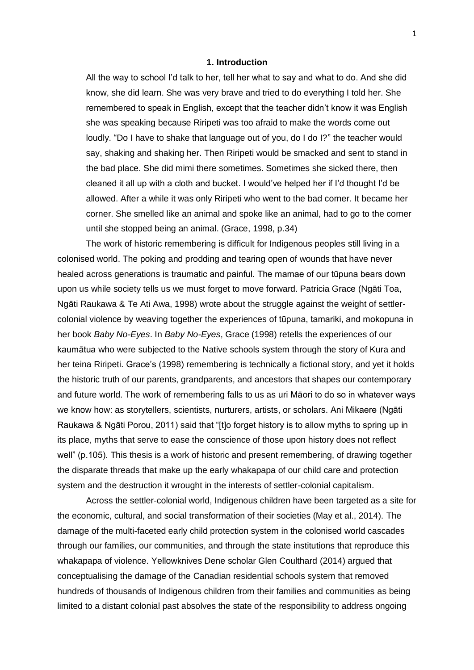# **1. Introduction**

All the way to school I'd talk to her, tell her what to say and what to do. And she did know, she did learn. She was very brave and tried to do everything I told her. She remembered to speak in English, except that the teacher didn't know it was English she was speaking because Riripeti was too afraid to make the words come out loudly. "Do I have to shake that language out of you, do I do I?" the teacher would say, shaking and shaking her. Then Riripeti would be smacked and sent to stand in the bad place. She did mimi there sometimes. Sometimes she sicked there, then cleaned it all up with a cloth and bucket. I would've helped her if I'd thought I'd be allowed. After a while it was only Riripeti who went to the bad corner. It became her corner. She smelled like an animal and spoke like an animal, had to go to the corner until she stopped being an animal. (Grace, 1998, p.34)

The work of historic remembering is difficult for Indigenous peoples still living in a colonised world. The poking and prodding and tearing open of wounds that have never healed across generations is traumatic and painful. The mamae of our tūpuna bears down upon us while society tells us we must forget to move forward. Patricia Grace (Ngāti Toa, Ngāti Raukawa & Te Ati Awa, 1998) wrote about the struggle against the weight of settlercolonial violence by weaving together the experiences of tūpuna, tamariki, and mokopuna in her book *Baby No-Eyes*. In *Baby No-Eyes*, Grace (1998) retells the experiences of our kaumātua who were subjected to the Native schools system through the story of Kura and her teina Riripeti. Grace's (1998) remembering is technically a fictional story, and yet it holds the historic truth of our parents, grandparents, and ancestors that shapes our contemporary and future world. The work of remembering falls to us as uri Māori to do so in whatever ways we know how: as storytellers, scientists, nurturers, artists, or scholars. Ani Mikaere (Ngāti Raukawa & Ngāti Porou, 2011) said that "[t]o forget history is to allow myths to spring up in its place, myths that serve to ease the conscience of those upon history does not reflect well" (p.105). This thesis is a work of historic and present remembering, of drawing together the disparate threads that make up the early whakapapa of our child care and protection system and the destruction it wrought in the interests of settler-colonial capitalism.

Across the settler-colonial world, Indigenous children have been targeted as a site for the economic, cultural, and social transformation of their societies (May et al., 2014). The damage of the multi-faceted early child protection system in the colonised world cascades through our families, our communities, and through the state institutions that reproduce this whakapapa of violence. Yellowknives Dene scholar Glen Coulthard (2014) argued that conceptualising the damage of the Canadian residential schools system that removed hundreds of thousands of Indigenous children from their families and communities as being limited to a distant colonial past absolves the state of the responsibility to address ongoing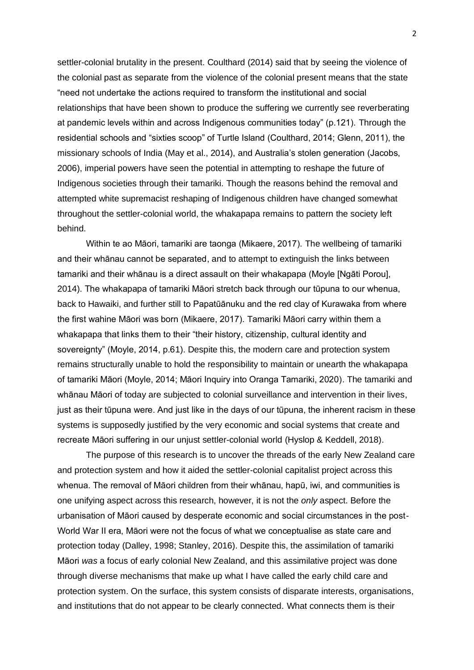settler-colonial brutality in the present. Coulthard (2014) said that by seeing the violence of the colonial past as separate from the violence of the colonial present means that the state "need not undertake the actions required to transform the institutional and social relationships that have been shown to produce the suffering we currently see reverberating at pandemic levels within and across Indigenous communities today" (p.121). Through the residential schools and "sixties scoop" of Turtle Island (Coulthard, 2014; Glenn, 2011), the missionary schools of India (May et al., 2014), and Australia's stolen generation (Jacobs, 2006), imperial powers have seen the potential in attempting to reshape the future of Indigenous societies through their tamariki. Though the reasons behind the removal and attempted white supremacist reshaping of Indigenous children have changed somewhat throughout the settler-colonial world, the whakapapa remains to pattern the society left behind.

Within te ao Māori, tamariki are taonga (Mikaere, 2017). The wellbeing of tamariki and their whānau cannot be separated, and to attempt to extinguish the links between tamariki and their whānau is a direct assault on their whakapapa (Moyle [Ngāti Porou], 2014). The whakapapa of tamariki Māori stretch back through our tūpuna to our whenua, back to Hawaiki, and further still to Papatūānuku and the red clay of Kurawaka from where the first wahine Māori was born (Mikaere, 2017). Tamariki Māori carry within them a whakapapa that links them to their "their history, citizenship, cultural identity and sovereignty" (Moyle, 2014, p.61). Despite this, the modern care and protection system remains structurally unable to hold the responsibility to maintain or unearth the whakapapa of tamariki Māori (Moyle, 2014; Māori Inquiry into Oranga Tamariki, 2020). The tamariki and whānau Māori of today are subjected to colonial surveillance and intervention in their lives, just as their tūpuna were. And just like in the days of our tūpuna, the inherent racism in these systems is supposedly justified by the very economic and social systems that create and recreate Māori suffering in our unjust settler-colonial world (Hyslop & Keddell, 2018).

The purpose of this research is to uncover the threads of the early New Zealand care and protection system and how it aided the settler-colonial capitalist project across this whenua. The removal of Māori children from their whānau, hapū, iwi, and communities is one unifying aspect across this research, however, it is not the *only* aspect. Before the urbanisation of Māori caused by desperate economic and social circumstances in the post-World War II era, Māori were not the focus of what we conceptualise as state care and protection today (Dalley, 1998; Stanley, 2016). Despite this, the assimilation of tamariki Māori *was* a focus of early colonial New Zealand, and this assimilative project was done through diverse mechanisms that make up what I have called the early child care and protection system. On the surface, this system consists of disparate interests, organisations, and institutions that do not appear to be clearly connected. What connects them is their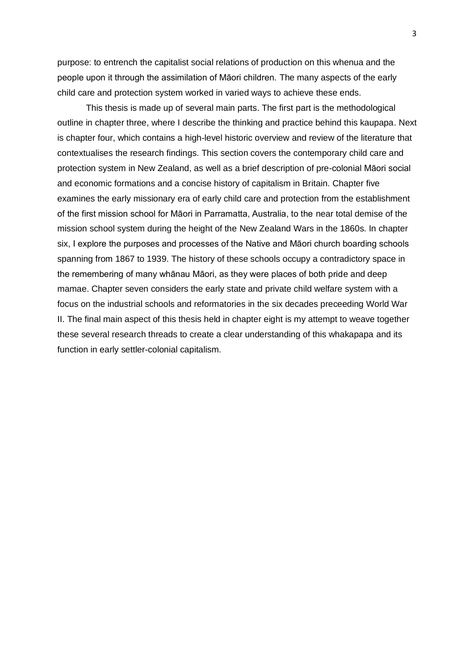purpose: to entrench the capitalist social relations of production on this whenua and the people upon it through the assimilation of Māori children. The many aspects of the early child care and protection system worked in varied ways to achieve these ends.

This thesis is made up of several main parts. The first part is the methodological outline in chapter three, where I describe the thinking and practice behind this kaupapa. Next is chapter four, which contains a high-level historic overview and review of the literature that contextualises the research findings. This section covers the contemporary child care and protection system in New Zealand, as well as a brief description of pre-colonial Māori social and economic formations and a concise history of capitalism in Britain. Chapter five examines the early missionary era of early child care and protection from the establishment of the first mission school for Māori in Parramatta, Australia, to the near total demise of the mission school system during the height of the New Zealand Wars in the 1860s. In chapter six, I explore the purposes and processes of the Native and Māori church boarding schools spanning from 1867 to 1939. The history of these schools occupy a contradictory space in the remembering of many whānau Māori, as they were places of both pride and deep mamae. Chapter seven considers the early state and private child welfare system with a focus on the industrial schools and reformatories in the six decades preceeding World War II. The final main aspect of this thesis held in chapter eight is my attempt to weave together these several research threads to create a clear understanding of this whakapapa and its function in early settler-colonial capitalism.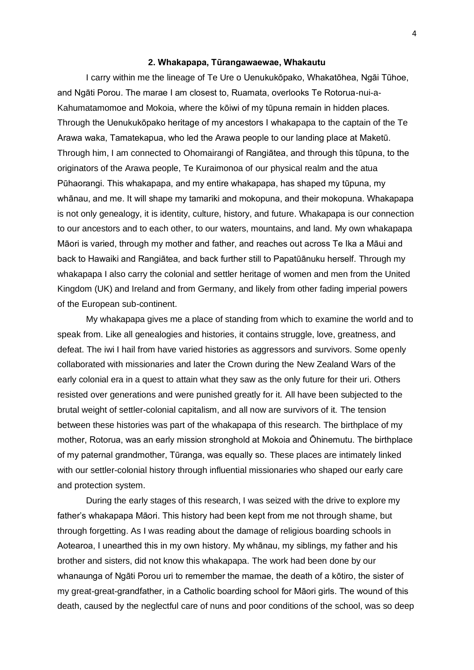#### **2. Whakapapa, Tūrangawaewae, Whakautu**

I carry within me the lineage of Te Ure o Uenukukōpako, Whakatōhea, Ngāi Tūhoe, and Ngāti Porou. The marae I am closest to, Ruamata, overlooks Te Rotorua-nui-a-Kahumatamomoe and Mokoia, where the kōiwi of my tūpuna remain in hidden places. Through the Uenukukōpako heritage of my ancestors I whakapapa to the captain of the Te Arawa waka, Tamatekapua, who led the Arawa people to our landing place at Maketū. Through him, I am connected to Ohomairangi of Rangiātea, and through this tūpuna, to the originators of the Arawa people, Te Kuraimonoa of our physical realm and the atua Pūhaorangi. This whakapapa, and my entire whakapapa, has shaped my tūpuna, my whānau, and me. It will shape my tamariki and mokopuna, and their mokopuna. Whakapapa is not only genealogy, it is identity, culture, history, and future. Whakapapa is our connection to our ancestors and to each other, to our waters, mountains, and land. My own whakapapa Māori is varied, through my mother and father, and reaches out across Te Ika a Māui and back to Hawaiki and Rangiātea, and back further still to Papatūānuku herself. Through my whakapapa I also carry the colonial and settler heritage of women and men from the United Kingdom (UK) and Ireland and from Germany, and likely from other fading imperial powers of the European sub-continent.

My whakapapa gives me a place of standing from which to examine the world and to speak from. Like all genealogies and histories, it contains struggle, love, greatness, and defeat. The iwi I hail from have varied histories as aggressors and survivors. Some openly collaborated with missionaries and later the Crown during the New Zealand Wars of the early colonial era in a quest to attain what they saw as the only future for their uri. Others resisted over generations and were punished greatly for it. All have been subjected to the brutal weight of settler-colonial capitalism, and all now are survivors of it. The tension between these histories was part of the whakapapa of this research. The birthplace of my mother, Rotorua, was an early mission stronghold at Mokoia and Ōhinemutu. The birthplace of my paternal grandmother, Tūranga, was equally so. These places are intimately linked with our settler-colonial history through influential missionaries who shaped our early care and protection system.

During the early stages of this research, I was seized with the drive to explore my father's whakapapa Māori. This history had been kept from me not through shame, but through forgetting. As I was reading about the damage of religious boarding schools in Aotearoa, I unearthed this in my own history. My whānau, my siblings, my father and his brother and sisters, did not know this whakapapa. The work had been done by our whanaunga of Ngāti Porou uri to remember the mamae, the death of a kōtiro, the sister of my great-great-grandfather, in a Catholic boarding school for Māori girls. The wound of this death, caused by the neglectful care of nuns and poor conditions of the school, was so deep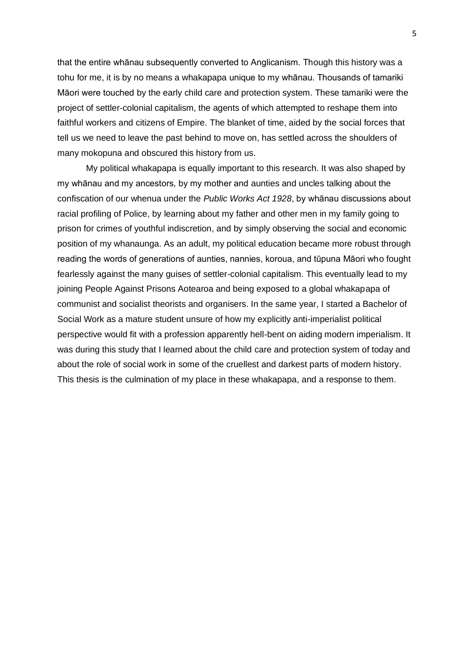that the entire whānau subsequently converted to Anglicanism. Though this history was a tohu for me, it is by no means a whakapapa unique to my whānau. Thousands of tamariki Māori were touched by the early child care and protection system. These tamariki were the project of settler-colonial capitalism, the agents of which attempted to reshape them into faithful workers and citizens of Empire. The blanket of time, aided by the social forces that tell us we need to leave the past behind to move on, has settled across the shoulders of many mokopuna and obscured this history from us.

My political whakapapa is equally important to this research. It was also shaped by my whānau and my ancestors, by my mother and aunties and uncles talking about the confiscation of our whenua under the *Public Works Act 1928*, by whānau discussions about racial profiling of Police, by learning about my father and other men in my family going to prison for crimes of youthful indiscretion, and by simply observing the social and economic position of my whanaunga. As an adult, my political education became more robust through reading the words of generations of aunties, nannies, koroua, and tūpuna Māori who fought fearlessly against the many guises of settler-colonial capitalism. This eventually lead to my joining People Against Prisons Aotearoa and being exposed to a global whakapapa of communist and socialist theorists and organisers. In the same year, I started a Bachelor of Social Work as a mature student unsure of how my explicitly anti-imperialist political perspective would fit with a profession apparently hell-bent on aiding modern imperialism. It was during this study that I learned about the child care and protection system of today and about the role of social work in some of the cruellest and darkest parts of modern history. This thesis is the culmination of my place in these whakapapa, and a response to them.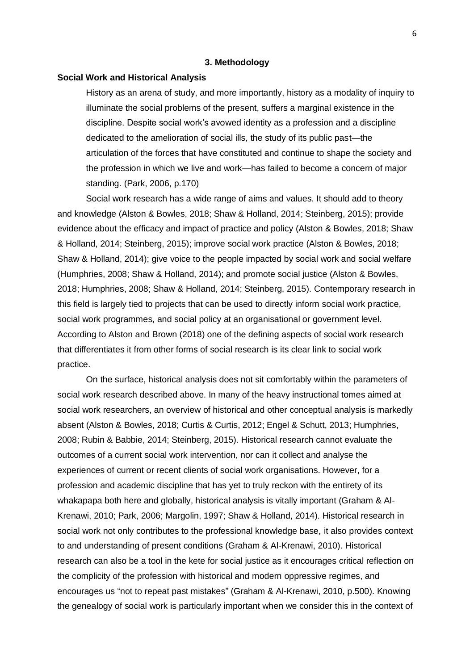### **3. Methodology**

### **Social Work and Historical Analysis**

History as an arena of study, and more importantly, history as a modality of inquiry to illuminate the social problems of the present, suffers a marginal existence in the discipline. Despite social work's avowed identity as a profession and a discipline dedicated to the amelioration of social ills, the study of its public past—the articulation of the forces that have constituted and continue to shape the society and the profession in which we live and work—has failed to become a concern of major standing. (Park, 2006, p.170)

Social work research has a wide range of aims and values. It should add to theory and knowledge (Alston & Bowles, 2018; Shaw & Holland, 2014; Steinberg, 2015); provide evidence about the efficacy and impact of practice and policy (Alston & Bowles, 2018; Shaw & Holland, 2014; Steinberg, 2015); improve social work practice (Alston & Bowles, 2018; Shaw & Holland, 2014); give voice to the people impacted by social work and social welfare (Humphries, 2008; Shaw & Holland, 2014); and promote social justice (Alston & Bowles, 2018; Humphries, 2008; Shaw & Holland, 2014; Steinberg, 2015). Contemporary research in this field is largely tied to projects that can be used to directly inform social work practice, social work programmes, and social policy at an organisational or government level. According to Alston and Brown (2018) one of the defining aspects of social work research that differentiates it from other forms of social research is its clear link to social work practice.

On the surface, historical analysis does not sit comfortably within the parameters of social work research described above. In many of the heavy instructional tomes aimed at social work researchers, an overview of historical and other conceptual analysis is markedly absent (Alston & Bowles, 2018; Curtis & Curtis, 2012; Engel & Schutt, 2013; Humphries, 2008; Rubin & Babbie, 2014; Steinberg, 2015). Historical research cannot evaluate the outcomes of a current social work intervention, nor can it collect and analyse the experiences of current or recent clients of social work organisations. However, for a profession and academic discipline that has yet to truly reckon with the entirety of its whakapapa both here and globally, historical analysis is vitally important (Graham & Al-Krenawi, 2010; Park, 2006; Margolin, 1997; Shaw & Holland, 2014). Historical research in social work not only contributes to the professional knowledge base, it also provides context to and understanding of present conditions (Graham & Al-Krenawi, 2010). Historical research can also be a tool in the kete for social justice as it encourages critical reflection on the complicity of the profession with historical and modern oppressive regimes, and encourages us "not to repeat past mistakes" (Graham & Al-Krenawi, 2010, p.500). Knowing the genealogy of social work is particularly important when we consider this in the context of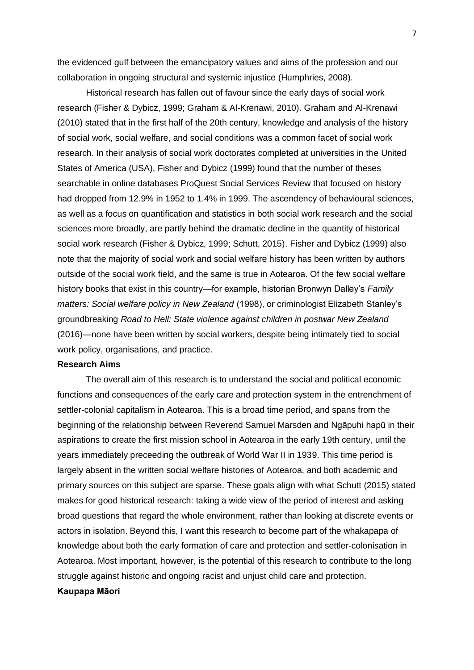the evidenced gulf between the emancipatory values and aims of the profession and our collaboration in ongoing structural and systemic injustice (Humphries, 2008).

Historical research has fallen out of favour since the early days of social work research (Fisher & Dybicz, 1999; Graham & Al-Krenawi, 2010). Graham and Al-Krenawi (2010) stated that in the first half of the 20th century, knowledge and analysis of the history of social work, social welfare, and social conditions was a common facet of social work research. In their analysis of social work doctorates completed at universities in the United States of America (USA), Fisher and Dybicz (1999) found that the number of theses searchable in online databases ProQuest Social Services Review that focused on history had dropped from 12.9% in 1952 to 1.4% in 1999. The ascendency of behavioural sciences, as well as a focus on quantification and statistics in both social work research and the social sciences more broadly, are partly behind the dramatic decline in the quantity of historical social work research (Fisher & Dybicz, 1999; Schutt, 2015). Fisher and Dybicz (1999) also note that the majority of social work and social welfare history has been written by authors outside of the social work field, and the same is true in Aotearoa. Of the few social welfare history books that exist in this country—for example, historian Bronwyn Dalley's *Family matters: Social welfare policy in New Zealand* (1998), or criminologist Elizabeth Stanley's groundbreaking *Road to Hell: State violence against children in postwar New Zealand*  (2016)—none have been written by social workers, despite being intimately tied to social work policy, organisations, and practice.

### **Research Aims**

The overall aim of this research is to understand the social and political economic functions and consequences of the early care and protection system in the entrenchment of settler-colonial capitalism in Aotearoa. This is a broad time period, and spans from the beginning of the relationship between Reverend Samuel Marsden and Ngāpuhi hapū in their aspirations to create the first mission school in Aotearoa in the early 19th century, until the years immediately preceeding the outbreak of World War II in 1939. This time period is largely absent in the written social welfare histories of Aotearoa, and both academic and primary sources on this subject are sparse. These goals align with what Schutt (2015) stated makes for good historical research: taking a wide view of the period of interest and asking broad questions that regard the whole environment, rather than looking at discrete events or actors in isolation. Beyond this, I want this research to become part of the whakapapa of knowledge about both the early formation of care and protection and settler-colonisation in Aotearoa. Most important, however, is the potential of this research to contribute to the long struggle against historic and ongoing racist and unjust child care and protection. **Kaupapa Māori**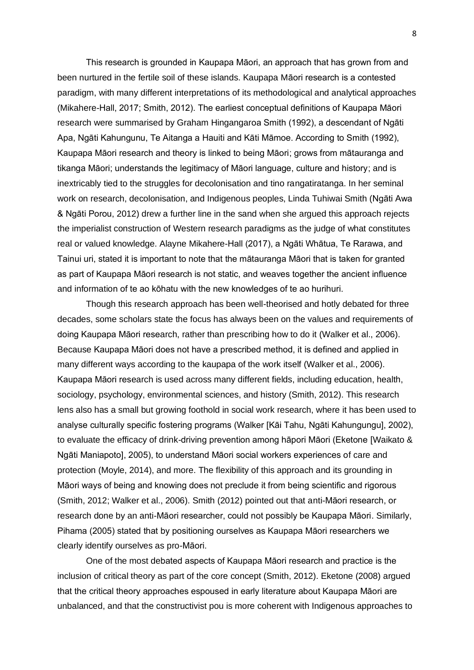This research is grounded in Kaupapa Māori, an approach that has grown from and been nurtured in the fertile soil of these islands. Kaupapa Māori research is a contested paradigm, with many different interpretations of its methodological and analytical approaches (Mikahere-Hall, 2017; Smith, 2012). The earliest conceptual definitions of Kaupapa Māori research were summarised by Graham Hingangaroa Smith (1992), a descendant of Ngāti Apa, Ngāti Kahungunu, Te Aitanga a Hauiti and Kāti Māmoe. According to Smith (1992), Kaupapa Māori research and theory is linked to being Māori; grows from mātauranga and tikanga Māori; understands the legitimacy of Māori language, culture and history; and is inextricably tied to the struggles for decolonisation and tino rangatiratanga. In her seminal work on research, decolonisation, and Indigenous peoples, Linda Tuhiwai Smith (Ngāti Awa & Ngāti Porou, 2012) drew a further line in the sand when she argued this approach rejects the imperialist construction of Western research paradigms as the judge of what constitutes real or valued knowledge. Alayne Mikahere-Hall (2017), a Ngāti Whātua, Te Rarawa, and Tainui uri, stated it is important to note that the mātauranga Māori that is taken for granted as part of Kaupapa Māori research is not static, and weaves together the ancient influence and information of te ao kōhatu with the new knowledges of te ao hurihuri.

Though this research approach has been well-theorised and hotly debated for three decades, some scholars state the focus has always been on the values and requirements of doing Kaupapa Māori research, rather than prescribing how to do it (Walker et al., 2006). Because Kaupapa Māori does not have a prescribed method, it is defined and applied in many different ways according to the kaupapa of the work itself (Walker et al., 2006). Kaupapa Māori research is used across many different fields, including education, health, sociology, psychology, environmental sciences, and history (Smith, 2012). This research lens also has a small but growing foothold in social work research, where it has been used to analyse culturally specific fostering programs (Walker [Kāi Tahu, Ngāti Kahungungu], 2002), to evaluate the efficacy of drink-driving prevention among hāpori Māori (Eketone [Waikato & Ngāti Maniapoto], 2005), to understand Māori social workers experiences of care and protection (Moyle, 2014), and more. The flexibility of this approach and its grounding in Māori ways of being and knowing does not preclude it from being scientific and rigorous (Smith, 2012; Walker et al., 2006). Smith (2012) pointed out that anti-Māori research, or research done by an anti-Māori researcher, could not possibly be Kaupapa Māori. Similarly, Pihama (2005) stated that by positioning ourselves as Kaupapa Māori researchers we clearly identify ourselves as pro-Māori.

One of the most debated aspects of Kaupapa Māori research and practice is the inclusion of critical theory as part of the core concept (Smith, 2012). Eketone (2008) argued that the critical theory approaches espoused in early literature about Kaupapa Māori are unbalanced, and that the constructivist pou is more coherent with Indigenous approaches to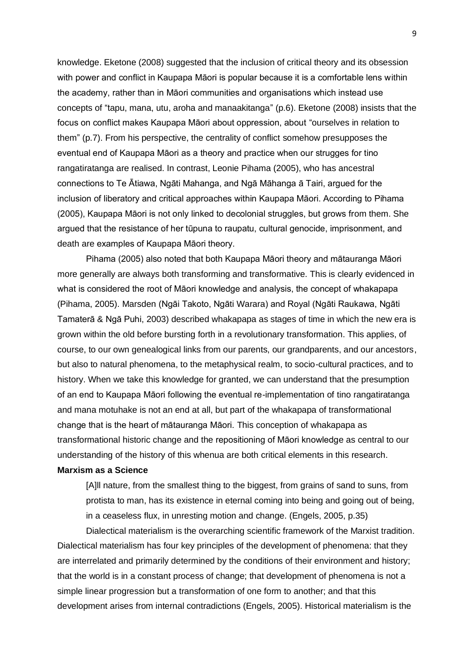knowledge. Eketone (2008) suggested that the inclusion of critical theory and its obsession with power and conflict in Kaupapa Māori is popular because it is a comfortable lens within the academy, rather than in Māori communities and organisations which instead use concepts of "tapu, mana, utu, aroha and manaakitanga" (p.6). Eketone (2008) insists that the focus on conflict makes Kaupapa Māori about oppression, about "ourselves in relation to them" (p.7). From his perspective, the centrality of conflict somehow presupposes the eventual end of Kaupapa Māori as a theory and practice when our strugges for tino rangatiratanga are realised. In contrast, Leonie Pihama (2005), who has ancestral connections to Te Ātiawa, Ngāti Mahanga, and Ngā Māhanga ā Tairi, argued for the inclusion of liberatory and critical approaches within Kaupapa Māori. According to Pihama (2005), Kaupapa Māori is not only linked to decolonial struggles, but grows from them. She argued that the resistance of her tūpuna to raupatu, cultural genocide, imprisonment, and death are examples of Kaupapa Māori theory.

Pihama (2005) also noted that both Kaupapa Māori theory and mātauranga Māori more generally are always both transforming and transformative. This is clearly evidenced in what is considered the root of Māori knowledge and analysis, the concept of whakapapa (Pihama, 2005). Marsden (Ngāi Takoto, Ngāti Warara) and Royal (Ngāti Raukawa, Ngāti Tamaterā & Ngā Puhi, 2003) described whakapapa as stages of time in which the new era is grown within the old before bursting forth in a revolutionary transformation. This applies, of course, to our own genealogical links from our parents, our grandparents, and our ancestors, but also to natural phenomena, to the metaphysical realm, to socio-cultural practices, and to history. When we take this knowledge for granted, we can understand that the presumption of an end to Kaupapa Māori following the eventual re-implementation of tino rangatiratanga and mana motuhake is not an end at all, but part of the whakapapa of transformational change that is the heart of mātauranga Māori. This conception of whakapapa as transformational historic change and the repositioning of Māori knowledge as central to our understanding of the history of this whenua are both critical elements in this research.

# **Marxism as a Science**

[A]ll nature, from the smallest thing to the biggest, from grains of sand to suns, from protista to man, has its existence in eternal coming into being and going out of being, in a ceaseless flux, in unresting motion and change. (Engels, 2005, p.35)

Dialectical materialism is the overarching scientific framework of the Marxist tradition. Dialectical materialism has four key principles of the development of phenomena: that they are interrelated and primarily determined by the conditions of their environment and history; that the world is in a constant process of change; that development of phenomena is not a simple linear progression but a transformation of one form to another; and that this development arises from internal contradictions (Engels, 2005). Historical materialism is the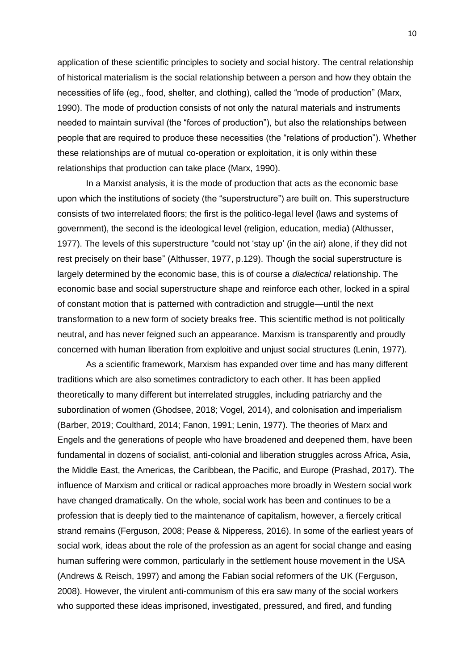application of these scientific principles to society and social history. The central relationship of historical materialism is the social relationship between a person and how they obtain the necessities of life (eg., food, shelter, and clothing), called the "mode of production" (Marx, 1990). The mode of production consists of not only the natural materials and instruments needed to maintain survival (the "forces of production"), but also the relationships between people that are required to produce these necessities (the "relations of production"). Whether these relationships are of mutual co-operation or exploitation, it is only within these relationships that production can take place (Marx, 1990).

In a Marxist analysis, it is the mode of production that acts as the economic base upon which the institutions of society (the "superstructure") are built on. This superstructure consists of two interrelated floors; the first is the politico-legal level (laws and systems of government), the second is the ideological level (religion, education, media) (Althusser, 1977). The levels of this superstructure "could not 'stay up' (in the air) alone, if they did not rest precisely on their base" (Althusser, 1977, p.129). Though the social superstructure is largely determined by the economic base, this is of course a *dialectical* relationship. The economic base and social superstructure shape and reinforce each other, locked in a spiral of constant motion that is patterned with contradiction and struggle—until the next transformation to a new form of society breaks free. This scientific method is not politically neutral, and has never feigned such an appearance. Marxism is transparently and proudly concerned with human liberation from exploitive and unjust social structures (Lenin, 1977).

As a scientific framework, Marxism has expanded over time and has many different traditions which are also sometimes contradictory to each other. It has been applied theoretically to many different but interrelated struggles, including patriarchy and the subordination of women (Ghodsee, 2018; Vogel, 2014), and colonisation and imperialism (Barber, 2019; Coulthard, 2014; Fanon, 1991; Lenin, 1977). The theories of Marx and Engels and the generations of people who have broadened and deepened them, have been fundamental in dozens of socialist, anti-colonial and liberation struggles across Africa, Asia, the Middle East, the Americas, the Caribbean, the Pacific, and Europe (Prashad, 2017). The influence of Marxism and critical or radical approaches more broadly in Western social work have changed dramatically. On the whole, social work has been and continues to be a profession that is deeply tied to the maintenance of capitalism, however, a fiercely critical strand remains (Ferguson, 2008; Pease & Nipperess, 2016). In some of the earliest years of social work, ideas about the role of the profession as an agent for social change and easing human suffering were common, particularly in the settlement house movement in the USA (Andrews & Reisch, 1997) and among the Fabian social reformers of the UK (Ferguson, 2008). However, the virulent anti-communism of this era saw many of the social workers who supported these ideas imprisoned, investigated, pressured, and fired, and funding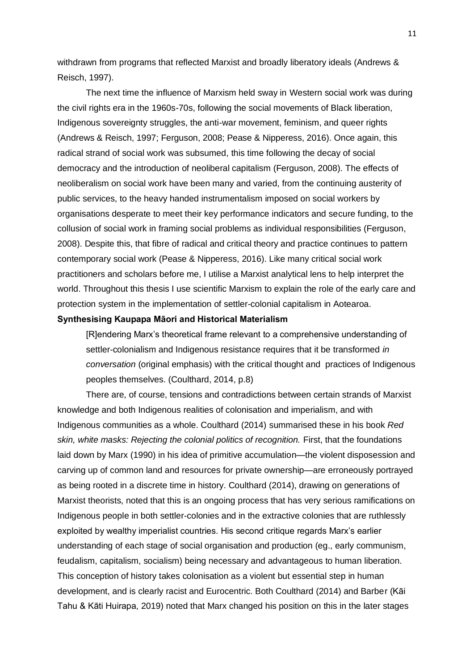withdrawn from programs that reflected Marxist and broadly liberatory ideals (Andrews & Reisch, 1997).

The next time the influence of Marxism held sway in Western social work was during the civil rights era in the 1960s-70s, following the social movements of Black liberation, Indigenous sovereignty struggles, the anti-war movement, feminism, and queer rights (Andrews & Reisch, 1997; Ferguson, 2008; Pease & Nipperess, 2016). Once again, this radical strand of social work was subsumed, this time following the decay of social democracy and the introduction of neoliberal capitalism (Ferguson, 2008). The effects of neoliberalism on social work have been many and varied, from the continuing austerity of public services, to the heavy handed instrumentalism imposed on social workers by organisations desperate to meet their key performance indicators and secure funding, to the collusion of social work in framing social problems as individual responsibilities (Ferguson, 2008). Despite this, that fibre of radical and critical theory and practice continues to pattern contemporary social work (Pease & Nipperess, 2016). Like many critical social work practitioners and scholars before me, I utilise a Marxist analytical lens to help interpret the world. Throughout this thesis I use scientific Marxism to explain the role of the early care and protection system in the implementation of settler-colonial capitalism in Aotearoa.

### **Synthesising Kaupapa Māori and Historical Materialism**

[R]endering Marx's theoretical frame relevant to a comprehensive understanding of settler-colonialism and Indigenous resistance requires that it be transformed *in conversation* (original emphasis) with the critical thought and practices of Indigenous peoples themselves. (Coulthard, 2014, p.8)

There are, of course, tensions and contradictions between certain strands of Marxist knowledge and both Indigenous realities of colonisation and imperialism, and with Indigenous communities as a whole. Coulthard (2014) summarised these in his book *Red skin, white masks: Rejecting the colonial politics of recognition.* First, that the foundations laid down by Marx (1990) in his idea of primitive accumulation—the violent disposession and carving up of common land and resources for private ownership—are erroneously portrayed as being rooted in a discrete time in history. Coulthard (2014), drawing on generations of Marxist theorists, noted that this is an ongoing process that has very serious ramifications on Indigenous people in both settler-colonies and in the extractive colonies that are ruthlessly exploited by wealthy imperialist countries. His second critique regards Marx's earlier understanding of each stage of social organisation and production (eg., early communism, feudalism, capitalism, socialism) being necessary and advantageous to human liberation. This conception of history takes colonisation as a violent but essential step in human development, and is clearly racist and Eurocentric. Both Coulthard (2014) and Barber (Kāi Tahu & Kāti Huirapa, 2019) noted that Marx changed his position on this in the later stages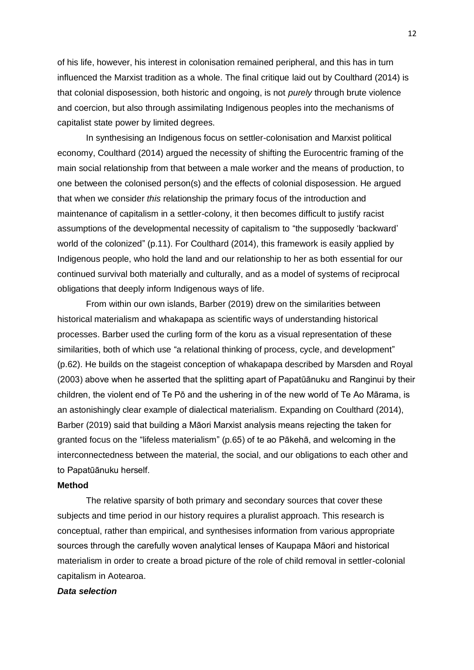of his life, however, his interest in colonisation remained peripheral, and this has in turn influenced the Marxist tradition as a whole. The final critique laid out by Coulthard (2014) is that colonial disposession, both historic and ongoing, is not *purely* through brute violence and coercion, but also through assimilating Indigenous peoples into the mechanisms of capitalist state power by limited degrees.

In synthesising an Indigenous focus on settler-colonisation and Marxist political economy, Coulthard (2014) argued the necessity of shifting the Eurocentric framing of the main social relationship from that between a male worker and the means of production, to one between the colonised person(s) and the effects of colonial disposession. He argued that when we consider *this* relationship the primary focus of the introduction and maintenance of capitalism in a settler-colony, it then becomes difficult to justify racist assumptions of the developmental necessity of capitalism to "the supposedly 'backward' world of the colonized" (p.11). For Coulthard (2014), this framework is easily applied by Indigenous people, who hold the land and our relationship to her as both essential for our continued survival both materially and culturally, and as a model of systems of reciprocal obligations that deeply inform Indigenous ways of life.

From within our own islands, Barber (2019) drew on the similarities between historical materialism and whakapapa as scientific ways of understanding historical processes. Barber used the curling form of the koru as a visual representation of these similarities, both of which use "a relational thinking of process, cycle, and development" (p.62). He builds on the stageist conception of whakapapa described by Marsden and Royal (2003) above when he asserted that the splitting apart of Papatūānuku and Ranginui by their children, the violent end of Te Pō and the ushering in of the new world of Te Ao Mārama, is an astonishingly clear example of dialectical materialism. Expanding on Coulthard (2014), Barber (2019) said that building a Māori Marxist analysis means rejecting the taken for granted focus on the "lifeless materialism" (p.65) of te ao Pākehā, and welcoming in the interconnectedness between the material, the social, and our obligations to each other and to Papatūānuku herself.

### **Method**

The relative sparsity of both primary and secondary sources that cover these subjects and time period in our history requires a pluralist approach. This research is conceptual, rather than empirical, and synthesises information from various appropriate sources through the carefully woven analytical lenses of Kaupapa Māori and historical materialism in order to create a broad picture of the role of child removal in settler-colonial capitalism in Aotearoa.

### *Data selection*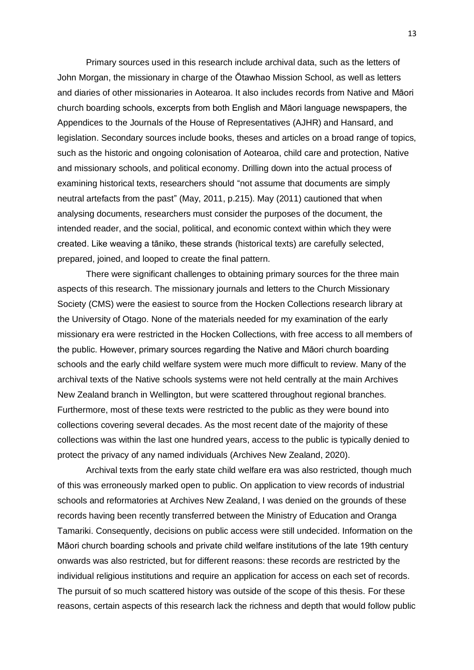Primary sources used in this research include archival data, such as the letters of John Morgan, the missionary in charge of the Ōtawhao Mission School, as well as letters and diaries of other missionaries in Aotearoa. It also includes records from Native and Māori church boarding schools, excerpts from both English and Māori language newspapers, the Appendices to the Journals of the House of Representatives (AJHR) and Hansard, and legislation. Secondary sources include books, theses and articles on a broad range of topics, such as the historic and ongoing colonisation of Aotearoa, child care and protection, Native and missionary schools, and political economy. Drilling down into the actual process of examining historical texts, researchers should "not assume that documents are simply neutral artefacts from the past" (May, 2011, p.215). May (2011) cautioned that when analysing documents, researchers must consider the purposes of the document, the intended reader, and the social, political, and economic context within which they were created. Like weaving a tāniko, these strands (historical texts) are carefully selected, prepared, joined, and looped to create the final pattern.

There were significant challenges to obtaining primary sources for the three main aspects of this research. The missionary journals and letters to the Church Missionary Society (CMS) were the easiest to source from the Hocken Collections research library at the University of Otago. None of the materials needed for my examination of the early missionary era were restricted in the Hocken Collections, with free access to all members of the public. However, primary sources regarding the Native and Māori church boarding schools and the early child welfare system were much more difficult to review. Many of the archival texts of the Native schools systems were not held centrally at the main Archives New Zealand branch in Wellington, but were scattered throughout regional branches. Furthermore, most of these texts were restricted to the public as they were bound into collections covering several decades. As the most recent date of the majority of these collections was within the last one hundred years, access to the public is typically denied to protect the privacy of any named individuals (Archives New Zealand, 2020).

Archival texts from the early state child welfare era was also restricted, though much of this was erroneously marked open to public. On application to view records of industrial schools and reformatories at Archives New Zealand, I was denied on the grounds of these records having been recently transferred between the Ministry of Education and Oranga Tamariki. Consequently, decisions on public access were still undecided. Information on the Māori church boarding schools and private child welfare institutions of the late 19th century onwards was also restricted, but for different reasons: these records are restricted by the individual religious institutions and require an application for access on each set of records. The pursuit of so much scattered history was outside of the scope of this thesis. For these reasons, certain aspects of this research lack the richness and depth that would follow public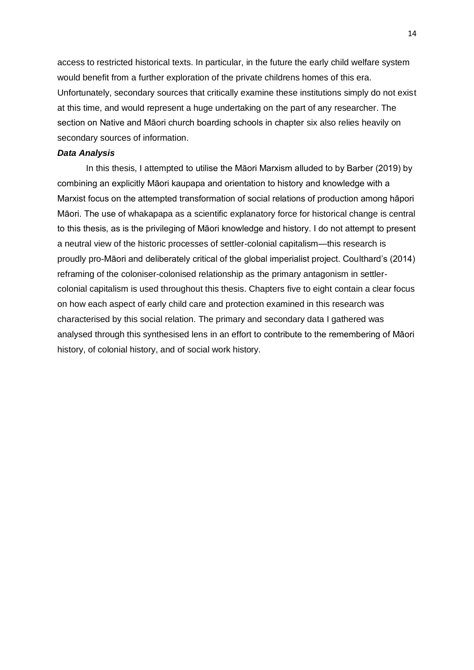access to restricted historical texts. In particular, in the future the early child welfare system would benefit from a further exploration of the private childrens homes of this era. Unfortunately, secondary sources that critically examine these institutions simply do not exist at this time, and would represent a huge undertaking on the part of any researcher. The section on Native and Māori church boarding schools in chapter six also relies heavily on secondary sources of information.

# *Data Analysis*

In this thesis, I attempted to utilise the Māori Marxism alluded to by Barber (2019) by combining an explicitly Māori kaupapa and orientation to history and knowledge with a Marxist focus on the attempted transformation of social relations of production among hāpori Māori. The use of whakapapa as a scientific explanatory force for historical change is central to this thesis, as is the privileging of Māori knowledge and history. I do not attempt to present a neutral view of the historic processes of settler-colonial capitalism—this research is proudly pro-Māori and deliberately critical of the global imperialist project. Coulthard's (2014) reframing of the coloniser-colonised relationship as the primary antagonism in settlercolonial capitalism is used throughout this thesis. Chapters five to eight contain a clear focus on how each aspect of early child care and protection examined in this research was characterised by this social relation. The primary and secondary data I gathered was analysed through this synthesised lens in an effort to contribute to the remembering of Māori history, of colonial history, and of social work history.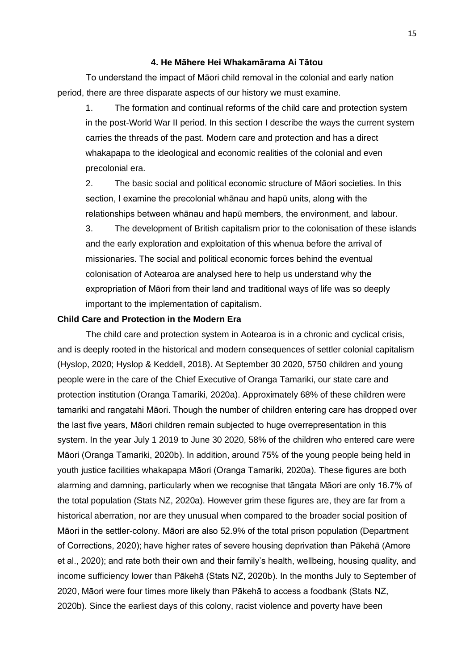### **4. He Māhere Hei Whakamārama Ai Tātou**

To understand the impact of Māori child removal in the colonial and early nation period, there are three disparate aspects of our history we must examine.

1. The formation and continual reforms of the child care and protection system in the post-World War II period. In this section I describe the ways the current system carries the threads of the past. Modern care and protection and has a direct whakapapa to the ideological and economic realities of the colonial and even precolonial era.

2. The basic social and political economic structure of Māori societies. In this section, I examine the precolonial whānau and hapū units, along with the relationships between whānau and hapū members, the environment, and labour.

3. The development of British capitalism prior to the colonisation of these islands and the early exploration and exploitation of this whenua before the arrival of missionaries. The social and political economic forces behind the eventual colonisation of Aotearoa are analysed here to help us understand why the expropriation of Māori from their land and traditional ways of life was so deeply important to the implementation of capitalism.

### **Child Care and Protection in the Modern Era**

The child care and protection system in Aotearoa is in a chronic and cyclical crisis, and is deeply rooted in the historical and modern consequences of settler colonial capitalism (Hyslop, 2020; Hyslop & Keddell, 2018). At September 30 2020, 5750 children and young people were in the care of the Chief Executive of Oranga Tamariki, our state care and protection institution (Oranga Tamariki, 2020a). Approximately 68% of these children were tamariki and rangatahi Māori. Though the number of children entering care has dropped over the last five years, Māori children remain subjected to huge overrepresentation in this system. In the year July 1 2019 to June 30 2020, 58% of the children who entered care were Māori (Oranga Tamariki, 2020b). In addition, around 75% of the young people being held in youth justice facilities whakapapa Māori (Oranga Tamariki, 2020a). These figures are both alarming and damning, particularly when we recognise that tāngata Māori are only 16.7% of the total population (Stats NZ, 2020a). However grim these figures are, they are far from a historical aberration, nor are they unusual when compared to the broader social position of Māori in the settler-colony. Māori are also 52.9% of the total prison population (Department of Corrections, 2020); have higher rates of severe housing deprivation than Pākehā (Amore et al., 2020); and rate both their own and their family's health, wellbeing, housing quality, and income sufficiency lower than Pākehā (Stats NZ, 2020b). In the months July to September of 2020, Māori were four times more likely than Pākehā to access a foodbank (Stats NZ, 2020b). Since the earliest days of this colony, racist violence and poverty have been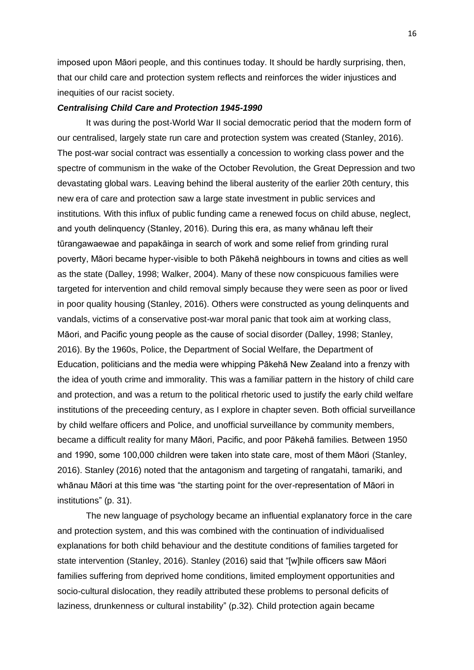imposed upon Māori people, and this continues today. It should be hardly surprising, then, that our child care and protection system reflects and reinforces the wider injustices and inequities of our racist society.

### *Centralising Child Care and Protection 1945-1990*

It was during the post-World War II social democratic period that the modern form of our centralised, largely state run care and protection system was created (Stanley, 2016). The post-war social contract was essentially a concession to working class power and the spectre of communism in the wake of the October Revolution, the Great Depression and two devastating global wars. Leaving behind the liberal austerity of the earlier 20th century, this new era of care and protection saw a large state investment in public services and institutions. With this influx of public funding came a renewed focus on child abuse, neglect, and youth delinquency (Stanley, 2016). During this era, as many whānau left their tūrangawaewae and papakāinga in search of work and some relief from grinding rural poverty, Māori became hyper-visible to both Pākehā neighbours in towns and cities as well as the state (Dalley, 1998; Walker, 2004). Many of these now conspicuous families were targeted for intervention and child removal simply because they were seen as poor or lived in poor quality housing (Stanley, 2016). Others were constructed as young delinquents and vandals, victims of a conservative post-war moral panic that took aim at working class, Māori, and Pacific young people as the cause of social disorder (Dalley, 1998; Stanley, 2016). By the 1960s, Police, the Department of Social Welfare, the Department of Education, politicians and the media were whipping Pākehā New Zealand into a frenzy with the idea of youth crime and immorality. This was a familiar pattern in the history of child care and protection, and was a return to the political rhetoric used to justify the early child welfare institutions of the preceeding century, as I explore in chapter seven. Both official surveillance by child welfare officers and Police, and unofficial surveillance by community members, became a difficult reality for many Māori, Pacific, and poor Pākehā families. Between 1950 and 1990, some 100,000 children were taken into state care, most of them Māori (Stanley, 2016). Stanley (2016) noted that the antagonism and targeting of rangatahi, tamariki, and whānau Māori at this time was "the starting point for the over-representation of Māori in institutions" (p. 31).

The new language of psychology became an influential explanatory force in the care and protection system, and this was combined with the continuation of individualised explanations for both child behaviour and the destitute conditions of families targeted for state intervention (Stanley, 2016). Stanley (2016) said that "[w]hile officers saw Māori families suffering from deprived home conditions, limited employment opportunities and socio-cultural dislocation, they readily attributed these problems to personal deficits of laziness, drunkenness or cultural instability" (p.32). Child protection again became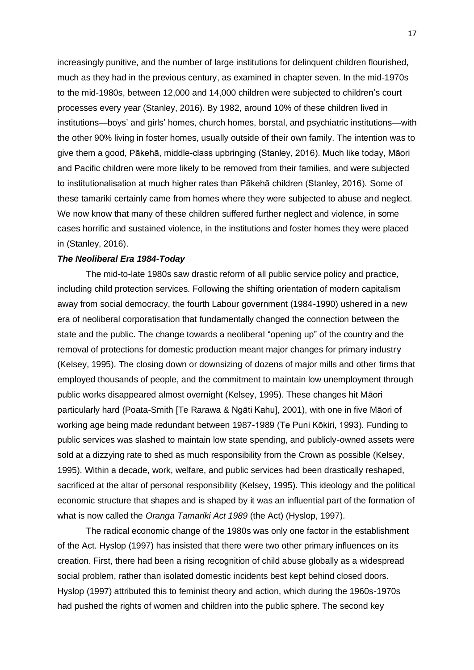increasingly punitive, and the number of large institutions for delinquent children flourished, much as they had in the previous century, as examined in chapter seven. In the mid-1970s to the mid-1980s, between 12,000 and 14,000 children were subjected to children's court processes every year (Stanley, 2016). By 1982, around 10% of these children lived in institutions—boys' and girls' homes, church homes, borstal, and psychiatric institutions—with the other 90% living in foster homes, usually outside of their own family. The intention was to give them a good, Pākehā, middle-class upbringing (Stanley, 2016). Much like today, Māori and Pacific children were more likely to be removed from their families, and were subjected to institutionalisation at much higher rates than Pākehā children (Stanley, 2016). Some of these tamariki certainly came from homes where they were subjected to abuse and neglect. We now know that many of these children suffered further neglect and violence, in some cases horrific and sustained violence, in the institutions and foster homes they were placed in (Stanley, 2016).

## *The Neoliberal Era 1984-Today*

The mid-to-late 1980s saw drastic reform of all public service policy and practice, including child protection services. Following the shifting orientation of modern capitalism away from social democracy, the fourth Labour government (1984-1990) ushered in a new era of neoliberal corporatisation that fundamentally changed the connection between the state and the public. The change towards a neoliberal "opening up" of the country and the removal of protections for domestic production meant major changes for primary industry (Kelsey, 1995). The closing down or downsizing of dozens of major mills and other firms that employed thousands of people, and the commitment to maintain low unemployment through public works disappeared almost overnight (Kelsey, 1995). These changes hit Māori particularly hard (Poata-Smith [Te Rarawa & Ngāti Kahu], 2001), with one in five Māori of working age being made redundant between 1987-1989 (Te Puni Kōkiri, 1993). Funding to public services was slashed to maintain low state spending, and publicly-owned assets were sold at a dizzying rate to shed as much responsibility from the Crown as possible (Kelsey, 1995). Within a decade, work, welfare, and public services had been drastically reshaped, sacrificed at the altar of personal responsibility (Kelsey, 1995). This ideology and the political economic structure that shapes and is shaped by it was an influential part of the formation of what is now called the *Oranga Tamariki Act 1989* (the Act) (Hyslop, 1997).

The radical economic change of the 1980s was only one factor in the establishment of the Act. Hyslop (1997) has insisted that there were two other primary influences on its creation. First, there had been a rising recognition of child abuse globally as a widespread social problem, rather than isolated domestic incidents best kept behind closed doors. Hyslop (1997) attributed this to feminist theory and action, which during the 1960s-1970s had pushed the rights of women and children into the public sphere. The second key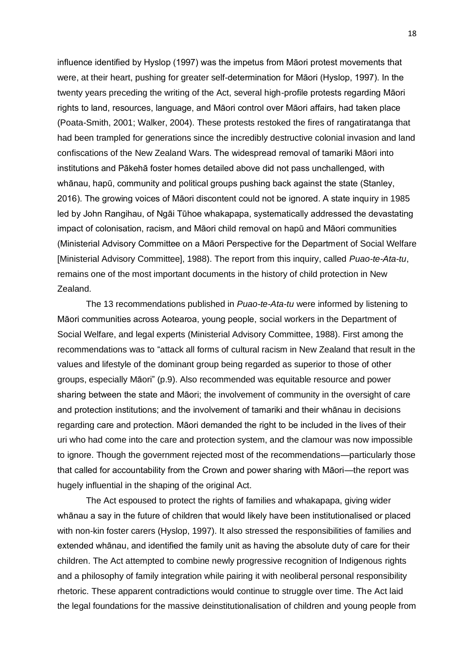influence identified by Hyslop (1997) was the impetus from Māori protest movements that were, at their heart, pushing for greater self-determination for Māori (Hyslop, 1997). In the twenty years preceding the writing of the Act, several high-profile protests regarding Māori rights to land, resources, language, and Māori control over Māori affairs, had taken place (Poata-Smith, 2001; Walker, 2004). These protests restoked the fires of rangatiratanga that had been trampled for generations since the incredibly destructive colonial invasion and land confiscations of the New Zealand Wars. The widespread removal of tamariki Māori into institutions and Pākehā foster homes detailed above did not pass unchallenged, with whānau, hapū, community and political groups pushing back against the state (Stanley, 2016). The growing voices of Māori discontent could not be ignored. A state inquiry in 1985 led by John Rangihau, of Ngāi Tūhoe whakapapa, systematically addressed the devastating impact of colonisation, racism, and Māori child removal on hapū and Māori communities (Ministerial Advisory Committee on a Māori Perspective for the Department of Social Welfare [Ministerial Advisory Committee], 1988). The report from this inquiry, called *Puao-te-Ata-tu*, remains one of the most important documents in the history of child protection in New Zealand.

The 13 recommendations published in *Puao-te-Ata-tu* were informed by listening to Māori communities across Aotearoa, young people, social workers in the Department of Social Welfare, and legal experts (Ministerial Advisory Committee, 1988). First among the recommendations was to "attack all forms of cultural racism in New Zealand that result in the values and lifestyle of the dominant group being regarded as superior to those of other groups, especially Māori" (p.9). Also recommended was equitable resource and power sharing between the state and Māori; the involvement of community in the oversight of care and protection institutions; and the involvement of tamariki and their whānau in decisions regarding care and protection. Māori demanded the right to be included in the lives of their uri who had come into the care and protection system, and the clamour was now impossible to ignore. Though the government rejected most of the recommendations—particularly those that called for accountability from the Crown and power sharing with Māori—the report was hugely influential in the shaping of the original Act.

The Act espoused to protect the rights of families and whakapapa, giving wider whānau a say in the future of children that would likely have been institutionalised or placed with non-kin foster carers (Hyslop, 1997). It also stressed the responsibilities of families and extended whānau, and identified the family unit as having the absolute duty of care for their children. The Act attempted to combine newly progressive recognition of Indigenous rights and a philosophy of family integration while pairing it with neoliberal personal responsibility rhetoric. These apparent contradictions would continue to struggle over time. The Act laid the legal foundations for the massive deinstitutionalisation of children and young people from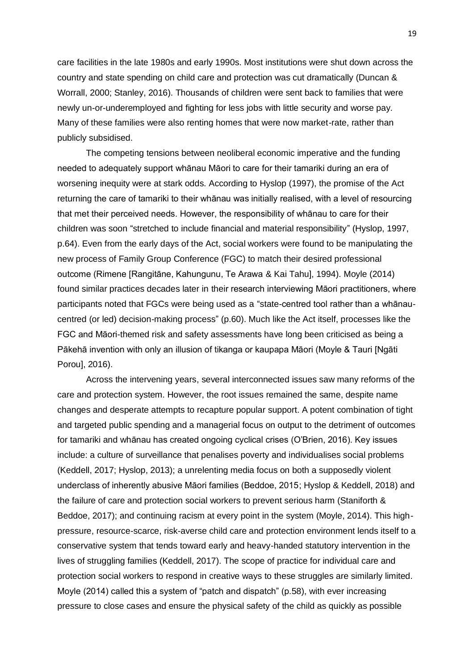care facilities in the late 1980s and early 1990s. Most institutions were shut down across the country and state spending on child care and protection was cut dramatically (Duncan & Worrall, 2000; Stanley, 2016). Thousands of children were sent back to families that were newly un-or-underemployed and fighting for less jobs with little security and worse pay. Many of these families were also renting homes that were now market-rate, rather than publicly subsidised.

The competing tensions between neoliberal economic imperative and the funding needed to adequately support whānau Māori to care for their tamariki during an era of worsening inequity were at stark odds. According to Hyslop (1997), the promise of the Act returning the care of tamariki to their whānau was initially realised, with a level of resourcing that met their perceived needs. However, the responsibility of whānau to care for their children was soon "stretched to include financial and material responsibility" (Hyslop, 1997, p.64). Even from the early days of the Act, social workers were found to be manipulating the new process of Family Group Conference (FGC) to match their desired professional outcome (Rimene [Rangitāne, Kahungunu, Te Arawa & Kai Tahu], 1994). Moyle (2014) found similar practices decades later in their research interviewing Māori practitioners, where participants noted that FGCs were being used as a "state-centred tool rather than a whānaucentred (or led) decision-making process" (p.60). Much like the Act itself, processes like the FGC and Māori-themed risk and safety assessments have long been criticised as being a Pākehā invention with only an illusion of tikanga or kaupapa Māori (Moyle & Tauri [Ngāti Porou], 2016).

Across the intervening years, several interconnected issues saw many reforms of the care and protection system. However, the root issues remained the same, despite name changes and desperate attempts to recapture popular support. A potent combination of tight and targeted public spending and a managerial focus on output to the detriment of outcomes for tamariki and whānau has created ongoing cyclical crises (O'Brien, 2016). Key issues include: a culture of surveillance that penalises poverty and individualises social problems (Keddell, 2017; Hyslop, 2013); a unrelenting media focus on both a supposedly violent underclass of inherently abusive Māori families (Beddoe, 2015; Hyslop & Keddell, 2018) and the failure of care and protection social workers to prevent serious harm (Staniforth & Beddoe, 2017); and continuing racism at every point in the system (Moyle, 2014). This highpressure, resource-scarce, risk-averse child care and protection environment lends itself to a conservative system that tends toward early and heavy-handed statutory intervention in the lives of struggling families (Keddell, 2017). The scope of practice for individual care and protection social workers to respond in creative ways to these struggles are similarly limited. Moyle (2014) called this a system of "patch and dispatch" (p.58), with ever increasing pressure to close cases and ensure the physical safety of the child as quickly as possible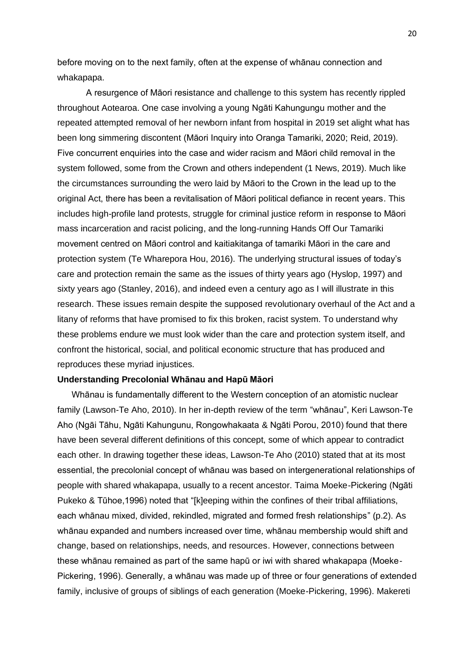before moving on to the next family, often at the expense of whānau connection and whakapapa.

A resurgence of Māori resistance and challenge to this system has recently rippled throughout Aotearoa. One case involving a young Ngāti Kahungungu mother and the repeated attempted removal of her newborn infant from hospital in 2019 set alight what has been long simmering discontent (Māori Inquiry into Oranga Tamariki, 2020; Reid, 2019). Five concurrent enquiries into the case and wider racism and Māori child removal in the system followed, some from the Crown and others independent (1 News, 2019). Much like the circumstances surrounding the wero laid by Māori to the Crown in the lead up to the original Act, there has been a revitalisation of Māori political defiance in recent years. This includes high-profile land protests, struggle for criminal justice reform in response to Māori mass incarceration and racist policing, and the long-running Hands Off Our Tamariki movement centred on Māori control and kaitiakitanga of tamariki Māori in the care and protection system (Te Wharepora Hou, 2016). The underlying structural issues of today's care and protection remain the same as the issues of thirty years ago (Hyslop, 1997) and sixty years ago (Stanley, 2016), and indeed even a century ago as I will illustrate in this research. These issues remain despite the supposed revolutionary overhaul of the Act and a litany of reforms that have promised to fix this broken, racist system. To understand why these problems endure we must look wider than the care and protection system itself, and confront the historical, social, and political economic structure that has produced and reproduces these myriad injustices.

### **Understanding Precolonial Whānau and Hapū Māori**

Whānau is fundamentally different to the Western conception of an atomistic nuclear family (Lawson-Te Aho, 2010). In her in-depth review of the term "whānau", Keri Lawson-Te Aho (Ngāi Tāhu, Ngāti Kahungunu, Rongowhakaata & Ngāti Porou, 2010) found that there have been several different definitions of this concept, some of which appear to contradict each other. In drawing together these ideas, Lawson-Te Aho (2010) stated that at its most essential, the precolonial concept of whānau was based on intergenerational relationships of people with shared whakapapa, usually to a recent ancestor. Taima Moeke-Pickering (Ngāti Pukeko & Tūhoe,1996) noted that "[k]eeping within the confines of their tribal affiliations, each whānau mixed, divided, rekindled, migrated and formed fresh relationships" (p.2). As whānau expanded and numbers increased over time, whānau membership would shift and change, based on relationships, needs, and resources. However, connections between these whānau remained as part of the same hapū or iwi with shared whakapapa (Moeke-Pickering, 1996). Generally, a whānau was made up of three or four generations of extended family, inclusive of groups of siblings of each generation (Moeke-Pickering, 1996). Makereti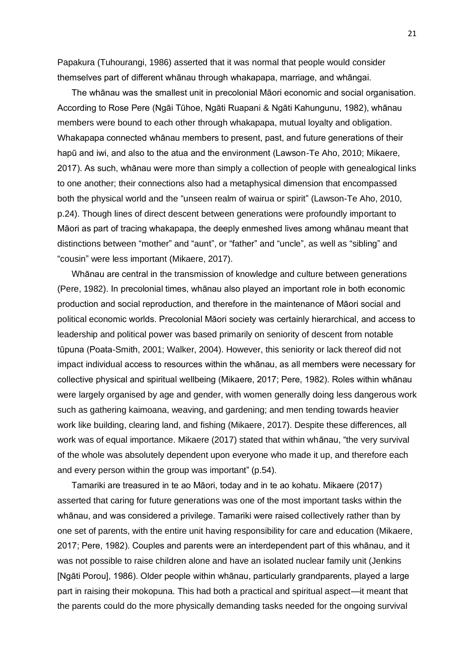Papakura (Tuhourangi, 1986) asserted that it was normal that people would consider themselves part of different whānau through whakapapa, marriage, and whāngai.

The whānau was the smallest unit in precolonial Māori economic and social organisation. According to Rose Pere (Ngāi Tūhoe, Ngāti Ruapani & Ngāti Kahungunu, 1982), whānau members were bound to each other through whakapapa, mutual loyalty and obligation. Whakapapa connected whānau members to present, past, and future generations of their hapū and iwi, and also to the atua and the environment (Lawson-Te Aho, 2010; Mikaere, 2017). As such, whānau were more than simply a collection of people with genealogical links to one another; their connections also had a metaphysical dimension that encompassed both the physical world and the "unseen realm of wairua or spirit" (Lawson-Te Aho, 2010, p.24). Though lines of direct descent between generations were profoundly important to Māori as part of tracing whakapapa, the deeply enmeshed lives among whānau meant that distinctions between "mother" and "aunt", or "father" and "uncle", as well as "sibling" and "cousin" were less important (Mikaere, 2017).

Whānau are central in the transmission of knowledge and culture between generations (Pere, 1982). In precolonial times, whānau also played an important role in both economic production and social reproduction, and therefore in the maintenance of Māori social and political economic worlds. Precolonial Māori society was certainly hierarchical, and access to leadership and political power was based primarily on seniority of descent from notable tūpuna (Poata-Smith, 2001; Walker, 2004). However, this seniority or lack thereof did not impact individual access to resources within the whānau, as all members were necessary for collective physical and spiritual wellbeing (Mikaere, 2017; Pere, 1982). Roles within whānau were largely organised by age and gender, with women generally doing less dangerous work such as gathering kaimoana, weaving, and gardening; and men tending towards heavier work like building, clearing land, and fishing (Mikaere, 2017). Despite these differences, all work was of equal importance. Mikaere (2017) stated that within whānau, "the very survival of the whole was absolutely dependent upon everyone who made it up, and therefore each and every person within the group was important" (p.54).

Tamariki are treasured in te ao Māori, today and in te ao kohatu. Mikaere (2017) asserted that caring for future generations was one of the most important tasks within the whānau, and was considered a privilege. Tamariki were raised collectively rather than by one set of parents, with the entire unit having responsibility for care and education (Mikaere, 2017; Pere, 1982). Couples and parents were an interdependent part of this whānau, and it was not possible to raise children alone and have an isolated nuclear family unit (Jenkins [Ngāti Porou], 1986). Older people within whānau, particularly grandparents, played a large part in raising their mokopuna. This had both a practical and spiritual aspect—it meant that the parents could do the more physically demanding tasks needed for the ongoing survival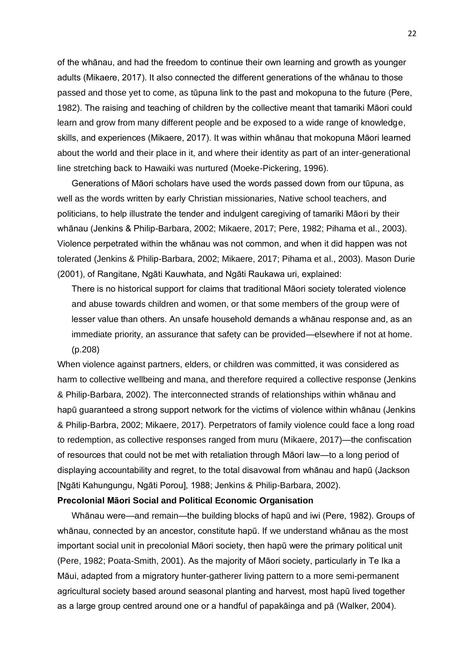of the whānau, and had the freedom to continue their own learning and growth as younger adults (Mikaere, 2017). It also connected the different generations of the whānau to those passed and those yet to come, as tūpuna link to the past and mokopuna to the future (Pere, 1982). The raising and teaching of children by the collective meant that tamariki Māori could learn and grow from many different people and be exposed to a wide range of knowledge, skills, and experiences (Mikaere, 2017). It was within whānau that mokopuna Māori learned about the world and their place in it, and where their identity as part of an inter-generational line stretching back to Hawaiki was nurtured (Moeke-Pickering, 1996).

Generations of Māori scholars have used the words passed down from our tūpuna, as well as the words written by early Christian missionaries, Native school teachers, and politicians, to help illustrate the tender and indulgent caregiving of tamariki Māori by their whānau (Jenkins & Philip-Barbara, 2002; Mikaere, 2017; Pere, 1982; Pihama et al., 2003). Violence perpetrated within the whānau was not common, and when it did happen was not tolerated (Jenkins & Philip-Barbara, 2002; Mikaere, 2017; Pihama et al., 2003). Mason Durie (2001), of Rangitane, Ngāti Kauwhata, and Ngāti Raukawa uri, explained:

There is no historical support for claims that traditional Māori society tolerated violence and abuse towards children and women, or that some members of the group were of lesser value than others. An unsafe household demands a whānau response and, as an immediate priority, an assurance that safety can be provided—elsewhere if not at home. (p.208)

When violence against partners, elders, or children was committed, it was considered as harm to collective wellbeing and mana, and therefore required a collective response (Jenkins & Philip-Barbara, 2002). The interconnected strands of relationships within whānau and hapū guaranteed a strong support network for the victims of violence within whānau (Jenkins & Philip-Barbra, 2002; Mikaere, 2017). Perpetrators of family violence could face a long road to redemption, as collective responses ranged from muru (Mikaere, 2017)—the confiscation of resources that could not be met with retaliation through Māori law—to a long period of displaying accountability and regret, to the total disavowal from whānau and hapū (Jackson [Ngāti Kahungungu, Ngāti Porou], 1988; Jenkins & Philip-Barbara, 2002).

### **Precolonial Māori Social and Political Economic Organisation**

Whānau were—and remain—the building blocks of hapū and iwi (Pere, 1982). Groups of whānau, connected by an ancestor, constitute hapū. If we understand whānau as the most important social unit in precolonial Māori society, then hapū were the primary political unit (Pere, 1982; Poata-Smith, 2001). As the majority of Māori society, particularly in Te Ika a Māui, adapted from a migratory hunter-gatherer living pattern to a more semi-permanent agricultural society based around seasonal planting and harvest, most hapū lived together as a large group centred around one or a handful of papakāinga and pā (Walker, 2004).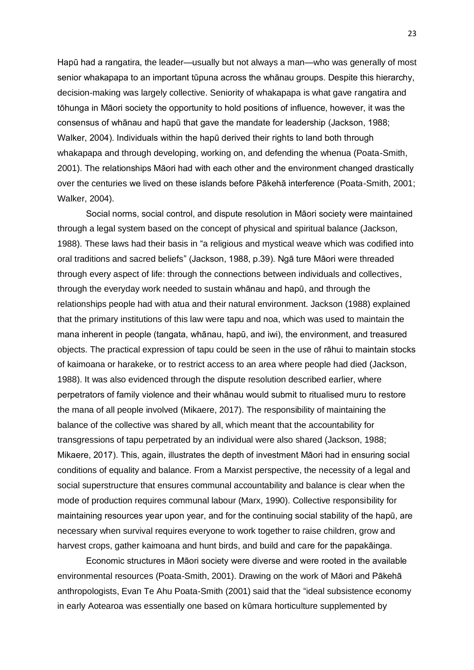Hapū had a rangatira, the leader—usually but not always a man—who was generally of most senior whakapapa to an important tūpuna across the whānau groups. Despite this hierarchy, decision-making was largely collective. Seniority of whakapapa is what gave rangatira and tōhunga in Māori society the opportunity to hold positions of influence, however, it was the consensus of whānau and hapū that gave the mandate for leadership (Jackson, 1988; Walker, 2004). Individuals within the hapū derived their rights to land both through whakapapa and through developing, working on, and defending the whenua (Poata-Smith, 2001). The relationships Māori had with each other and the environment changed drastically over the centuries we lived on these islands before Pākehā interference (Poata-Smith, 2001; Walker, 2004).

Social norms, social control, and dispute resolution in Māori society were maintained through a legal system based on the concept of physical and spiritual balance (Jackson, 1988). These laws had their basis in "a religious and mystical weave which was codified into oral traditions and sacred beliefs" (Jackson, 1988, p.39). Ngā ture Māori were threaded through every aspect of life: through the connections between individuals and collectives, through the everyday work needed to sustain whānau and hapū, and through the relationships people had with atua and their natural environment. Jackson (1988) explained that the primary institutions of this law were tapu and noa, which was used to maintain the mana inherent in people (tangata, whānau, hapū, and iwi), the environment, and treasured objects. The practical expression of tapu could be seen in the use of rāhui to maintain stocks of kaimoana or harakeke, or to restrict access to an area where people had died (Jackson, 1988). It was also evidenced through the dispute resolution described earlier, where perpetrators of family violence and their whānau would submit to ritualised muru to restore the mana of all people involved (Mikaere, 2017). The responsibility of maintaining the balance of the collective was shared by all, which meant that the accountability for transgressions of tapu perpetrated by an individual were also shared (Jackson, 1988; Mikaere, 2017). This, again, illustrates the depth of investment Māori had in ensuring social conditions of equality and balance. From a Marxist perspective, the necessity of a legal and social superstructure that ensures communal accountability and balance is clear when the mode of production requires communal labour (Marx, 1990). Collective responsibility for maintaining resources year upon year, and for the continuing social stability of the hapū, are necessary when survival requires everyone to work together to raise children, grow and harvest crops, gather kaimoana and hunt birds, and build and care for the papakāinga.

Economic structures in Māori society were diverse and were rooted in the available environmental resources (Poata-Smith, 2001). Drawing on the work of Māori and Pākehā anthropologists, Evan Te Ahu Poata-Smith (2001) said that the "ideal subsistence economy in early Aotearoa was essentially one based on kūmara horticulture supplemented by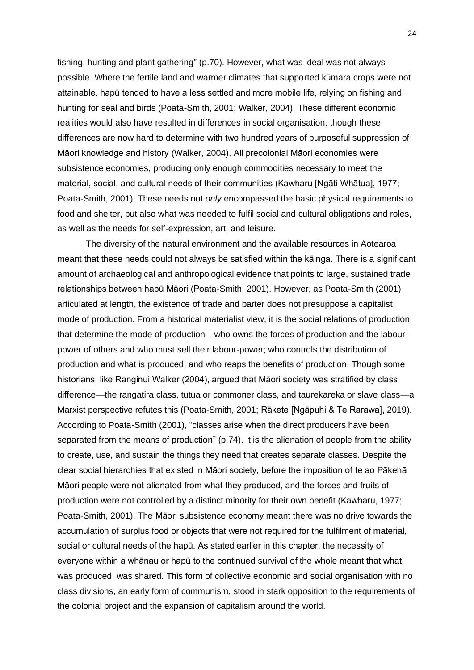fishing, hunting and plant gathering" (p.70). However, what was ideal was not always possible. Where the fertile land and warmer climates that supported kūmara crops were not attainable, hapū tended to have a less settled and more mobile life, relying on fishing and hunting for seal and birds (Poata-Smith, 2001; Walker, 2004). These different economic realities would also have resulted in differences in social organisation, though these differences are now hard to determine with two hundred years of purposeful suppression of Māori knowledge and history (Walker, 2004). All precolonial Māori economies were subsistence economies, producing only enough commodities necessary to meet the material, social, and cultural needs of their communities (Kawharu [Ngāti Whātua], 1977; Poata-Smith, 2001). These needs not *only* encompassed the basic physical requirements to food and shelter, but also what was needed to fulfil social and cultural obligations and roles, as well as the needs for self-expression, art, and leisure.

The diversity of the natural environment and the available resources in Aotearoa meant that these needs could not always be satisfied within the kāinga. There is a significant amount of archaeological and anthropological evidence that points to large, sustained trade relationships between hapū Māori (Poata-Smith, 2001). However, as Poata-Smith (2001) articulated at length, the existence of trade and barter does not presuppose a capitalist mode of production. From a historical materialist view, it is the social relations of production that determine the mode of production—who owns the forces of production and the labourpower of others and who must sell their labour-power; who controls the distribution of production and what is produced; and who reaps the benefits of production. Though some historians, like Ranginui Walker (2004), argued that Māori society was stratified by class difference—the rangatira class, tutua or commoner class, and taurekareka or slave class—a Marxist perspective refutes this (Poata-Smith, 2001; Rākete [Ngāpuhi & Te Rarawa], 2019). According to Poata-Smith (2001), "classes arise when the direct producers have been separated from the means of production" (p.74). It is the alienation of people from the ability to create, use, and sustain the things they need that creates separate classes. Despite the clear social hierarchies that existed in Māori society, before the imposition of te ao Pākehā Māori people were not alienated from what they produced, and the forces and fruits of production were not controlled by a distinct minority for their own benefit (Kawharu, 1977; Poata-Smith, 2001). The Māori subsistence economy meant there was no drive towards the accumulation of surplus food or objects that were not required for the fulfilment of material, social or cultural needs of the hapū. As stated earlier in this chapter, the necessity of everyone within a whānau or hapū to the continued survival of the whole meant that what was produced, was shared. This form of collective economic and social organisation with no class divisions, an early form of communism, stood in stark opposition to the requirements of the colonial project and the expansion of capitalism around the world.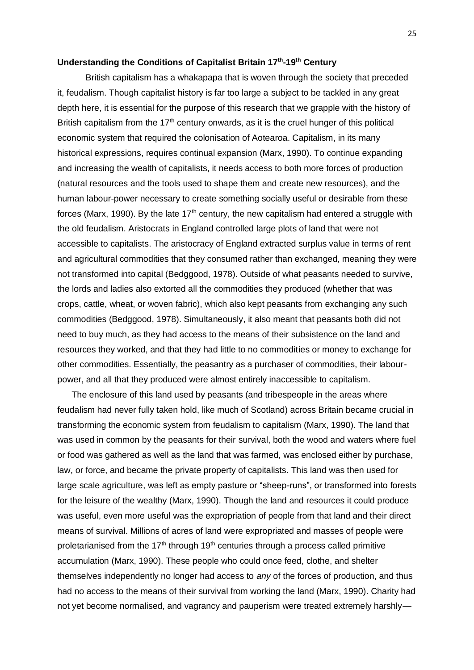# **Understanding the Conditions of Capitalist Britain 17th -19th Century**

British capitalism has a whakapapa that is woven through the society that preceded it, feudalism. Though capitalist history is far too large a subject to be tackled in any great depth here, it is essential for the purpose of this research that we grapple with the history of British capitalism from the  $17<sup>th</sup>$  century onwards, as it is the cruel hunger of this political economic system that required the colonisation of Aotearoa. Capitalism, in its many historical expressions, requires continual expansion (Marx, 1990). To continue expanding and increasing the wealth of capitalists, it needs access to both more forces of production (natural resources and the tools used to shape them and create new resources), and the human labour-power necessary to create something socially useful or desirable from these forces (Marx, 1990). By the late  $17<sup>th</sup>$  century, the new capitalism had entered a struggle with the old feudalism. Aristocrats in England controlled large plots of land that were not accessible to capitalists. The aristocracy of England extracted surplus value in terms of rent and agricultural commodities that they consumed rather than exchanged, meaning they were not transformed into capital (Bedggood, 1978). Outside of what peasants needed to survive, the lords and ladies also extorted all the commodities they produced (whether that was crops, cattle, wheat, or woven fabric), which also kept peasants from exchanging any such commodities (Bedggood, 1978). Simultaneously, it also meant that peasants both did not need to buy much, as they had access to the means of their subsistence on the land and resources they worked, and that they had little to no commodities or money to exchange for other commodities. Essentially, the peasantry as a purchaser of commodities, their labourpower, and all that they produced were almost entirely inaccessible to capitalism.

The enclosure of this land used by peasants (and tribespeople in the areas where feudalism had never fully taken hold, like much of Scotland) across Britain became crucial in transforming the economic system from feudalism to capitalism (Marx, 1990). The land that was used in common by the peasants for their survival, both the wood and waters where fuel or food was gathered as well as the land that was farmed, was enclosed either by purchase, law, or force, and became the private property of capitalists. This land was then used for large scale agriculture, was left as empty pasture or "sheep-runs", or transformed into forests for the leisure of the wealthy (Marx, 1990). Though the land and resources it could produce was useful, even more useful was the expropriation of people from that land and their direct means of survival. Millions of acres of land were expropriated and masses of people were proletarianised from the 17<sup>th</sup> through 19<sup>th</sup> centuries through a process called primitive accumulation (Marx, 1990). These people who could once feed, clothe, and shelter themselves independently no longer had access to *any* of the forces of production, and thus had no access to the means of their survival from working the land (Marx, 1990). Charity had not yet become normalised, and vagrancy and pauperism were treated extremely harshly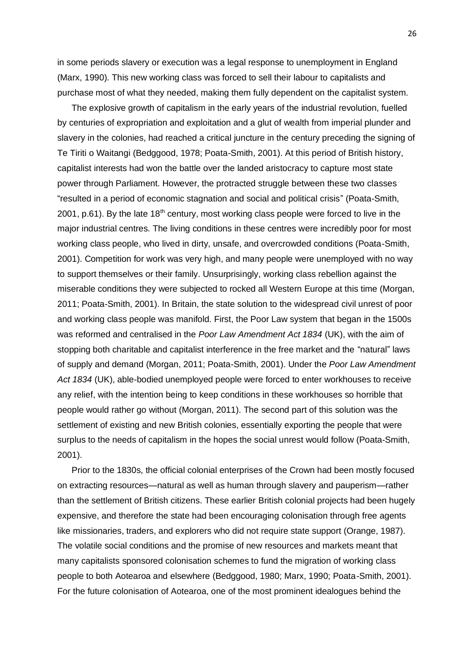in some periods slavery or execution was a legal response to unemployment in England (Marx, 1990). This new working class was forced to sell their labour to capitalists and purchase most of what they needed, making them fully dependent on the capitalist system.

The explosive growth of capitalism in the early years of the industrial revolution, fuelled by centuries of expropriation and exploitation and a glut of wealth from imperial plunder and slavery in the colonies, had reached a critical juncture in the century preceding the signing of Te Tiriti o Waitangi (Bedggood, 1978; Poata-Smith, 2001). At this period of British history, capitalist interests had won the battle over the landed aristocracy to capture most state power through Parliament. However, the protracted struggle between these two classes "resulted in a period of economic stagnation and social and political crisis" (Poata-Smith, 2001, p.61). By the late  $18<sup>th</sup>$  century, most working class people were forced to live in the major industrial centres. The living conditions in these centres were incredibly poor for most working class people, who lived in dirty, unsafe, and overcrowded conditions (Poata-Smith, 2001). Competition for work was very high, and many people were unemployed with no way to support themselves or their family. Unsurprisingly, working class rebellion against the miserable conditions they were subjected to rocked all Western Europe at this time (Morgan, 2011; Poata-Smith, 2001). In Britain, the state solution to the widespread civil unrest of poor and working class people was manifold. First, the Poor Law system that began in the 1500s was reformed and centralised in the *Poor Law Amendment Act 1834* (UK), with the aim of stopping both charitable and capitalist interference in the free market and the "natural" laws of supply and demand (Morgan, 2011; Poata-Smith, 2001). Under the *Poor Law Amendment Act 1834* (UK), able-bodied unemployed people were forced to enter workhouses to receive any relief, with the intention being to keep conditions in these workhouses so horrible that people would rather go without (Morgan, 2011). The second part of this solution was the settlement of existing and new British colonies, essentially exporting the people that were surplus to the needs of capitalism in the hopes the social unrest would follow (Poata-Smith, 2001).

Prior to the 1830s, the official colonial enterprises of the Crown had been mostly focused on extracting resources—natural as well as human through slavery and pauperism—rather than the settlement of British citizens. These earlier British colonial projects had been hugely expensive, and therefore the state had been encouraging colonisation through free agents like missionaries, traders, and explorers who did not require state support (Orange, 1987). The volatile social conditions and the promise of new resources and markets meant that many capitalists sponsored colonisation schemes to fund the migration of working class people to both Aotearoa and elsewhere (Bedggood, 1980; Marx, 1990; Poata-Smith, 2001). For the future colonisation of Aotearoa, one of the most prominent idealogues behind the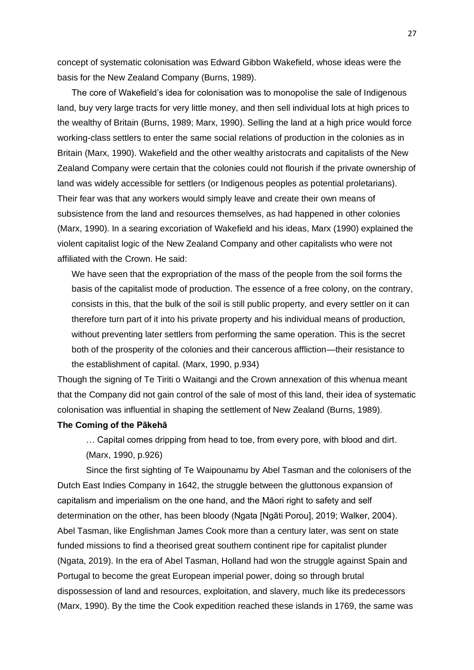concept of systematic colonisation was Edward Gibbon Wakefield, whose ideas were the basis for the New Zealand Company (Burns, 1989).

The core of Wakefield's idea for colonisation was to monopolise the sale of Indigenous land, buy very large tracts for very little money, and then sell individual lots at high prices to the wealthy of Britain (Burns, 1989; Marx, 1990). Selling the land at a high price would force working-class settlers to enter the same social relations of production in the colonies as in Britain (Marx, 1990). Wakefield and the other wealthy aristocrats and capitalists of the New Zealand Company were certain that the colonies could not flourish if the private ownership of land was widely accessible for settlers (or Indigenous peoples as potential proletarians). Their fear was that any workers would simply leave and create their own means of subsistence from the land and resources themselves, as had happened in other colonies (Marx, 1990). In a searing excoriation of Wakefield and his ideas, Marx (1990) explained the violent capitalist logic of the New Zealand Company and other capitalists who were not affiliated with the Crown. He said:

We have seen that the expropriation of the mass of the people from the soil forms the basis of the capitalist mode of production. The essence of a free colony, on the contrary, consists in this, that the bulk of the soil is still public property, and every settler on it can therefore turn part of it into his private property and his individual means of production, without preventing later settlers from performing the same operation. This is the secret both of the prosperity of the colonies and their cancerous affliction—their resistance to the establishment of capital. (Marx, 1990, p.934)

Though the signing of Te Tiriti o Waitangi and the Crown annexation of this whenua meant that the Company did not gain control of the sale of most of this land, their idea of systematic colonisation was influential in shaping the settlement of New Zealand (Burns, 1989).

### **The Coming of the Pākehā**

… Capital comes dripping from head to toe, from every pore, with blood and dirt. (Marx, 1990, p.926)

Since the first sighting of Te Waipounamu by Abel Tasman and the colonisers of the Dutch East Indies Company in 1642, the struggle between the gluttonous expansion of capitalism and imperialism on the one hand, and the Māori right to safety and self determination on the other, has been bloody (Ngata [Ngāti Porou], 2019; Walker, 2004). Abel Tasman, like Englishman James Cook more than a century later, was sent on state funded missions to find a theorised great southern continent ripe for capitalist plunder (Ngata, 2019). In the era of Abel Tasman, Holland had won the struggle against Spain and Portugal to become the great European imperial power, doing so through brutal dispossession of land and resources, exploitation, and slavery, much like its predecessors (Marx, 1990). By the time the Cook expedition reached these islands in 1769, the same was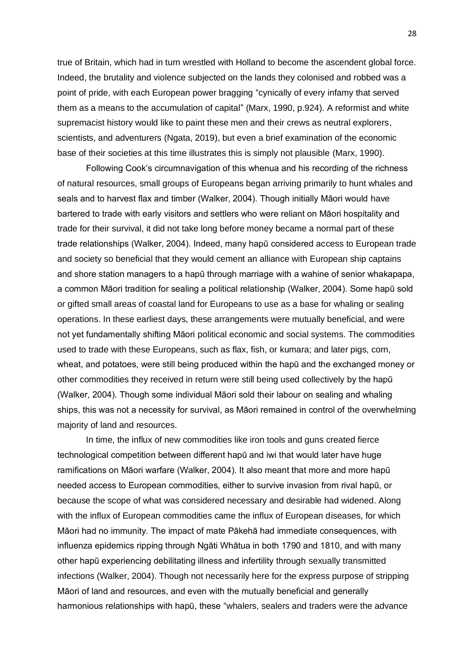true of Britain, which had in turn wrestled with Holland to become the ascendent global force. Indeed, the brutality and violence subjected on the lands they colonised and robbed was a point of pride, with each European power bragging "cynically of every infamy that served them as a means to the accumulation of capital" (Marx, 1990, p.924). A reformist and white supremacist history would like to paint these men and their crews as neutral explorers, scientists, and adventurers (Ngata, 2019), but even a brief examination of the economic base of their societies at this time illustrates this is simply not plausible (Marx, 1990).

Following Cook's circumnavigation of this whenua and his recording of the richness of natural resources, small groups of Europeans began arriving primarily to hunt whales and seals and to harvest flax and timber (Walker, 2004). Though initially Māori would have bartered to trade with early visitors and settlers who were reliant on Māori hospitality and trade for their survival, it did not take long before money became a normal part of these trade relationships (Walker, 2004). Indeed, many hapū considered access to European trade and society so beneficial that they would cement an alliance with European ship captains and shore station managers to a hapū through marriage with a wahine of senior whakapapa, a common Māori tradition for sealing a political relationship (Walker, 2004). Some hapū sold or gifted small areas of coastal land for Europeans to use as a base for whaling or sealing operations. In these earliest days, these arrangements were mutually beneficial, and were not yet fundamentally shifting Māori political economic and social systems. The commodities used to trade with these Europeans, such as flax, fish, or kumara; and later pigs, corn, wheat, and potatoes, were still being produced within the hapū and the exchanged money or other commodities they received in return were still being used collectively by the hapū (Walker, 2004). Though some individual Māori sold their labour on sealing and whaling ships, this was not a necessity for survival, as Māori remained in control of the overwhelming majority of land and resources.

In time, the influx of new commodities like iron tools and guns created fierce technological competition between different hapū and iwi that would later have huge ramifications on Māori warfare (Walker, 2004). It also meant that more and more hapū needed access to European commodities, either to survive invasion from rival hapū, or because the scope of what was considered necessary and desirable had widened. Along with the influx of European commodities came the influx of European diseases, for which Māori had no immunity. The impact of mate Pākehā had immediate consequences, with influenza epidemics ripping through Ngāti Whātua in both 1790 and 1810, and with many other hapū experiencing debilitating illness and infertility through sexually transmitted infections (Walker, 2004). Though not necessarily here for the express purpose of stripping Māori of land and resources, and even with the mutually beneficial and generally harmonious relationships with hapū, these "whalers, sealers and traders were the advance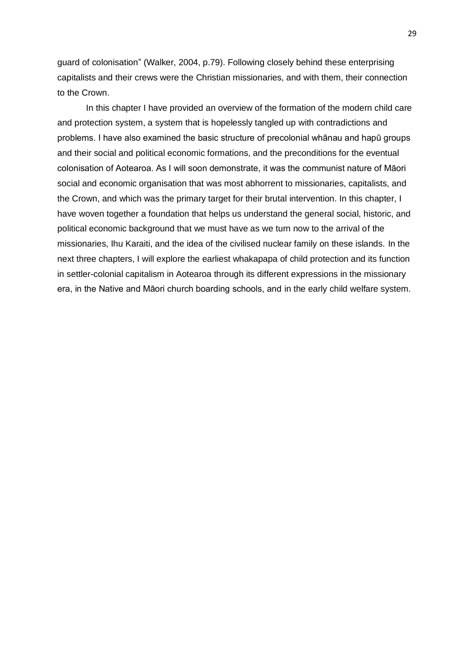guard of colonisation" (Walker, 2004, p.79). Following closely behind these enterprising capitalists and their crews were the Christian missionaries, and with them, their connection to the Crown.

In this chapter I have provided an overview of the formation of the modern child care and protection system, a system that is hopelessly tangled up with contradictions and problems. I have also examined the basic structure of precolonial whānau and hapū groups and their social and political economic formations, and the preconditions for the eventual colonisation of Aotearoa. As I will soon demonstrate, it was the communist nature of Māori social and economic organisation that was most abhorrent to missionaries, capitalists, and the Crown, and which was the primary target for their brutal intervention. In this chapter, I have woven together a foundation that helps us understand the general social, historic, and political economic background that we must have as we turn now to the arrival of the missionaries, Ihu Karaiti, and the idea of the civilised nuclear family on these islands. In the next three chapters, I will explore the earliest whakapapa of child protection and its function in settler-colonial capitalism in Aotearoa through its different expressions in the missionary era, in the Native and Māori church boarding schools, and in the early child welfare system.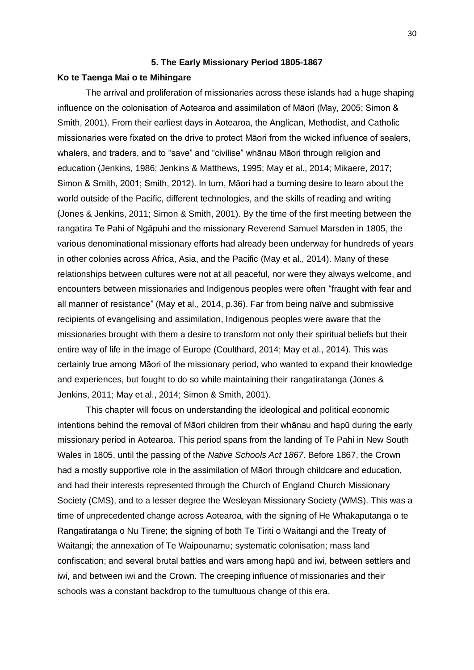### **5. The Early Missionary Period 1805-1867**

### **Ko te Taenga Mai o te Mihingare**

The arrival and proliferation of missionaries across these islands had a huge shaping influence on the colonisation of Aotearoa and assimilation of Māori (May, 2005; Simon & Smith, 2001). From their earliest days in Aotearoa, the Anglican, Methodist, and Catholic missionaries were fixated on the drive to protect Māori from the wicked influence of sealers, whalers, and traders, and to "save" and "civilise" whānau Māori through religion and education (Jenkins, 1986; Jenkins & Matthews, 1995; May et al., 2014; Mikaere, 2017; Simon & Smith, 2001; Smith, 2012). In turn, Māori had a burning desire to learn about the world outside of the Pacific, different technologies, and the skills of reading and writing (Jones & Jenkins, 2011; Simon & Smith, 2001). By the time of the first meeting between the rangatira Te Pahi of Ngāpuhi and the missionary Reverend Samuel Marsden in 1805, the various denominational missionary efforts had already been underway for hundreds of years in other colonies across Africa, Asia, and the Pacific (May et al., 2014). Many of these relationships between cultures were not at all peaceful, nor were they always welcome, and encounters between missionaries and Indigenous peoples were often "fraught with fear and all manner of resistance" (May et al., 2014, p.36). Far from being naïve and submissive recipients of evangelising and assimilation, Indigenous peoples were aware that the missionaries brought with them a desire to transform not only their spiritual beliefs but their entire way of life in the image of Europe (Coulthard, 2014; May et al., 2014). This was certainly true among Māori of the missionary period, who wanted to expand their knowledge and experiences, but fought to do so while maintaining their rangatiratanga (Jones & Jenkins, 2011; May et al., 2014; Simon & Smith, 2001).

This chapter will focus on understanding the ideological and political economic intentions behind the removal of Māori children from their whānau and hapū during the early missionary period in Aotearoa. This period spans from the landing of Te Pahi in New South Wales in 1805, until the passing of the *Native Schools Act 1867*. Before 1867, the Crown had a mostly supportive role in the assimilation of Māori through childcare and education, and had their interests represented through the Church of England Church Missionary Society (CMS), and to a lesser degree the Wesleyan Missionary Society (WMS). This was a time of unprecedented change across Aotearoa, with the signing of He Whakaputanga o te Rangatiratanga o Nu Tirene; the signing of both Te Tiriti o Waitangi and the Treaty of Waitangi; the annexation of Te Waipounamu; systematic colonisation; mass land confiscation; and several brutal battles and wars among hapū and iwi, between settlers and iwi, and between iwi and the Crown. The creeping influence of missionaries and their schools was a constant backdrop to the tumultuous change of this era.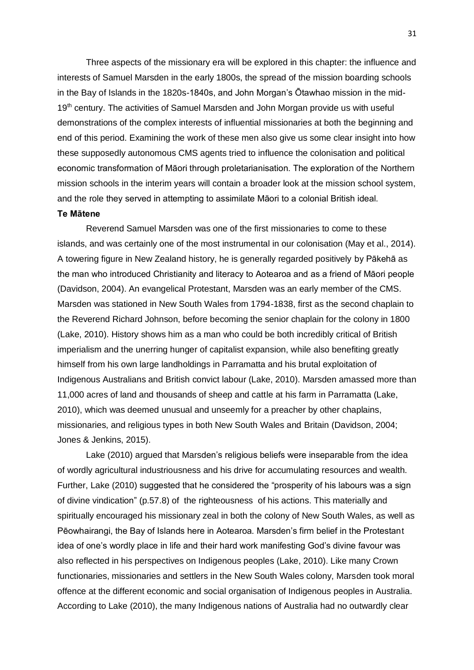Three aspects of the missionary era will be explored in this chapter: the influence and interests of Samuel Marsden in the early 1800s, the spread of the mission boarding schools in the Bay of Islands in the 1820s-1840s, and John Morgan's Ōtawhao mission in the mid-19<sup>th</sup> century. The activities of Samuel Marsden and John Morgan provide us with useful demonstrations of the complex interests of influential missionaries at both the beginning and end of this period. Examining the work of these men also give us some clear insight into how these supposedly autonomous CMS agents tried to influence the colonisation and political economic transformation of Māori through proletarianisation. The exploration of the Northern mission schools in the interim years will contain a broader look at the mission school system, and the role they served in attempting to assimilate Māori to a colonial British ideal.

# **Te Mātene**

Reverend Samuel Marsden was one of the first missionaries to come to these islands, and was certainly one of the most instrumental in our colonisation (May et al., 2014). A towering figure in New Zealand history, he is generally regarded positively by Pākehā as the man who introduced Christianity and literacy to Aotearoa and as a friend of Māori people (Davidson, 2004). An evangelical Protestant, Marsden was an early member of the CMS. Marsden was stationed in New South Wales from 1794-1838, first as the second chaplain to the Reverend Richard Johnson, before becoming the senior chaplain for the colony in 1800 (Lake, 2010). History shows him as a man who could be both incredibly critical of British imperialism and the unerring hunger of capitalist expansion, while also benefiting greatly himself from his own large landholdings in Parramatta and his brutal exploitation of Indigenous Australians and British convict labour (Lake, 2010). Marsden amassed more than 11,000 acres of land and thousands of sheep and cattle at his farm in Parramatta (Lake, 2010), which was deemed unusual and unseemly for a preacher by other chaplains, missionaries, and religious types in both New South Wales and Britain (Davidson, 2004; Jones & Jenkins, 2015).

Lake (2010) argued that Marsden's religious beliefs were inseparable from the idea of wordly agricultural industriousness and his drive for accumulating resources and wealth. Further, Lake (2010) suggested that he considered the "prosperity of his labours was a sign of divine vindication" (p.57.8) of the righteousness of his actions. This materially and spiritually encouraged his missionary zeal in both the colony of New South Wales, as well as Pēowhairangi, the Bay of Islands here in Aotearoa. Marsden's firm belief in the Protestant idea of one's wordly place in life and their hard work manifesting God's divine favour was also reflected in his perspectives on Indigenous peoples (Lake, 2010). Like many Crown functionaries, missionaries and settlers in the New South Wales colony, Marsden took moral offence at the different economic and social organisation of Indigenous peoples in Australia. According to Lake (2010), the many Indigenous nations of Australia had no outwardly clear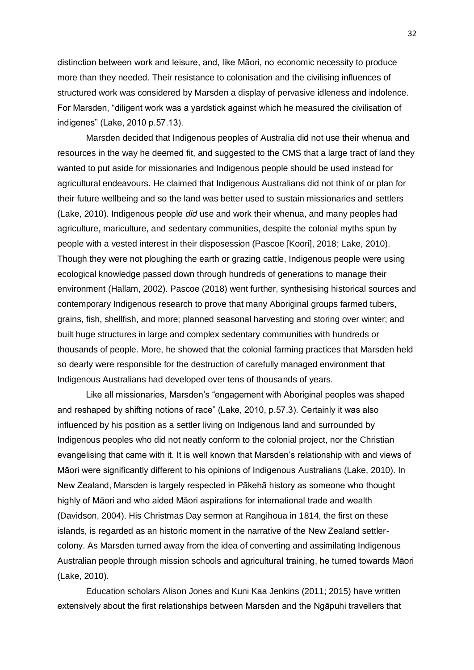distinction between work and leisure, and, like Māori, no economic necessity to produce more than they needed. Their resistance to colonisation and the civilising influences of structured work was considered by Marsden a display of pervasive idleness and indolence. For Marsden, "diligent work was a yardstick against which he measured the civilisation of indigenes" (Lake, 2010 p.57.13).

Marsden decided that Indigenous peoples of Australia did not use their whenua and resources in the way he deemed fit, and suggested to the CMS that a large tract of land they wanted to put aside for missionaries and Indigenous people should be used instead for agricultural endeavours. He claimed that Indigenous Australians did not think of or plan for their future wellbeing and so the land was better used to sustain missionaries and settlers (Lake, 2010). Indigenous people *did* use and work their whenua, and many peoples had agriculture, mariculture, and sedentary communities, despite the colonial myths spun by people with a vested interest in their disposession (Pascoe [Koori], 2018; Lake, 2010). Though they were not ploughing the earth or grazing cattle, Indigenous people were using ecological knowledge passed down through hundreds of generations to manage their environment (Hallam, 2002). Pascoe (2018) went further, synthesising historical sources and contemporary Indigenous research to prove that many Aboriginal groups farmed tubers, grains, fish, shellfish, and more; planned seasonal harvesting and storing over winter; and built huge structures in large and complex sedentary communities with hundreds or thousands of people. More, he showed that the colonial farming practices that Marsden held so dearly were responsible for the destruction of carefully managed environment that Indigenous Australians had developed over tens of thousands of years.

Like all missionaries, Marsden's "engagement with Aboriginal peoples was shaped and reshaped by shifting notions of race" (Lake, 2010, p.57.3). Certainly it was also influenced by his position as a settler living on Indigenous land and surrounded by Indigenous peoples who did not neatly conform to the colonial project, nor the Christian evangelising that came with it. It is well known that Marsden's relationship with and views of Māori were significantly different to his opinions of Indigenous Australians (Lake, 2010). In New Zealand, Marsden is largely respected in Pākehā history as someone who thought highly of Māori and who aided Māori aspirations for international trade and wealth (Davidson, 2004). His Christmas Day sermon at Rangihoua in 1814, the first on these islands, is regarded as an historic moment in the narrative of the New Zealand settlercolony. As Marsden turned away from the idea of converting and assimilating Indigenous Australian people through mission schools and agricultural training, he turned towards Māori (Lake, 2010).

Education scholars Alison Jones and Kuni Kaa Jenkins (2011; 2015) have written extensively about the first relationships between Marsden and the Ngāpuhi travellers that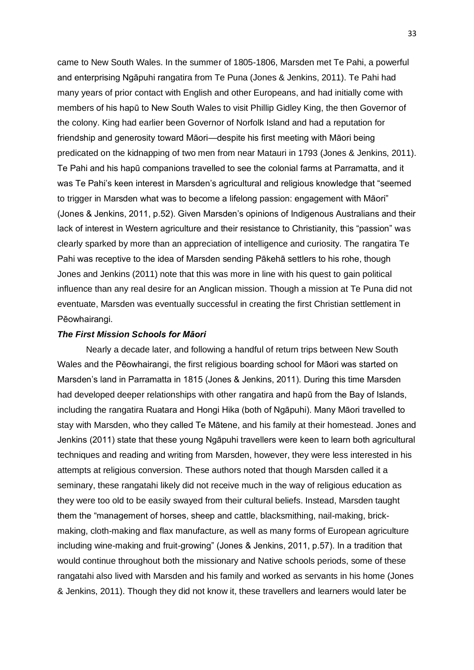came to New South Wales. In the summer of 1805-1806, Marsden met Te Pahi, a powerful and enterprising Ngāpuhi rangatira from Te Puna (Jones & Jenkins, 2011). Te Pahi had many years of prior contact with English and other Europeans, and had initially come with members of his hapū to New South Wales to visit Phillip Gidley King, the then Governor of the colony. King had earlier been Governor of Norfolk Island and had a reputation for friendship and generosity toward Māori—despite his first meeting with Māori being predicated on the kidnapping of two men from near Matauri in 1793 (Jones & Jenkins, 2011). Te Pahi and his hapū companions travelled to see the colonial farms at Parramatta, and it was Te Pahi's keen interest in Marsden's agricultural and religious knowledge that "seemed to trigger in Marsden what was to become a lifelong passion: engagement with Māori" (Jones & Jenkins, 2011, p.52). Given Marsden's opinions of Indigenous Australians and their lack of interest in Western agriculture and their resistance to Christianity, this "passion" was clearly sparked by more than an appreciation of intelligence and curiosity. The rangatira Te Pahi was receptive to the idea of Marsden sending Pākehā settlers to his rohe, though Jones and Jenkins (2011) note that this was more in line with his quest to gain political influence than any real desire for an Anglican mission. Though a mission at Te Puna did not eventuate, Marsden was eventually successful in creating the first Christian settlement in Pēowhairangi.

## *The First Mission Schools for Māori*

Nearly a decade later, and following a handful of return trips between New South Wales and the Pēowhairangi, the first religious boarding school for Māori was started on Marsden's land in Parramatta in 1815 (Jones & Jenkins, 2011). During this time Marsden had developed deeper relationships with other rangatira and hapū from the Bay of Islands, including the rangatira Ruatara and Hongi Hika (both of Ngāpuhi). Many Māori travelled to stay with Marsden, who they called Te Mātene, and his family at their homestead. Jones and Jenkins (2011) state that these young Ngāpuhi travellers were keen to learn both agricultural techniques and reading and writing from Marsden, however, they were less interested in his attempts at religious conversion. These authors noted that though Marsden called it a seminary, these rangatahi likely did not receive much in the way of religious education as they were too old to be easily swayed from their cultural beliefs. Instead, Marsden taught them the "management of horses, sheep and cattle, blacksmithing, nail-making, brickmaking, cloth-making and flax manufacture, as well as many forms of European agriculture including wine-making and fruit-growing" (Jones & Jenkins, 2011, p.57). In a tradition that would continue throughout both the missionary and Native schools periods, some of these rangatahi also lived with Marsden and his family and worked as servants in his home (Jones & Jenkins, 2011). Though they did not know it, these travellers and learners would later be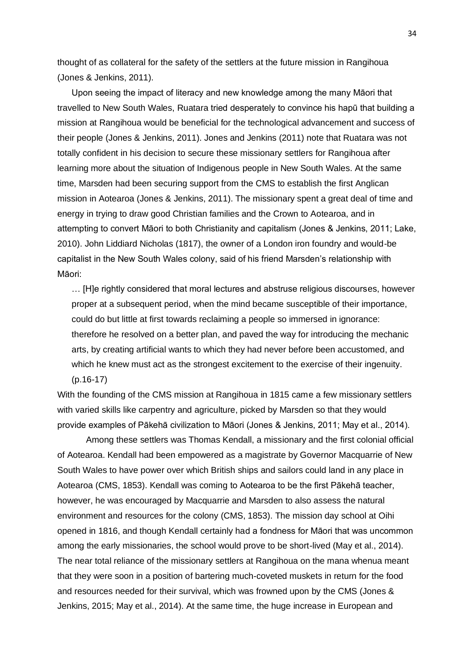thought of as collateral for the safety of the settlers at the future mission in Rangihoua (Jones & Jenkins, 2011).

Upon seeing the impact of literacy and new knowledge among the many Māori that travelled to New South Wales, Ruatara tried desperately to convince his hapū that building a mission at Rangihoua would be beneficial for the technological advancement and success of their people (Jones & Jenkins, 2011). Jones and Jenkins (2011) note that Ruatara was not totally confident in his decision to secure these missionary settlers for Rangihoua after learning more about the situation of Indigenous people in New South Wales. At the same time, Marsden had been securing support from the CMS to establish the first Anglican mission in Aotearoa (Jones & Jenkins, 2011). The missionary spent a great deal of time and energy in trying to draw good Christian families and the Crown to Aotearoa, and in attempting to convert Māori to both Christianity and capitalism (Jones & Jenkins, 2011; Lake, 2010). John Liddiard Nicholas (1817), the owner of a London iron foundry and would-be capitalist in the New South Wales colony, said of his friend Marsden's relationship with Māori:

… [H]e rightly considered that moral lectures and abstruse religious discourses, however proper at a subsequent period, when the mind became susceptible of their importance, could do but little at first towards reclaiming a people so immersed in ignorance: therefore he resolved on a better plan, and paved the way for introducing the mechanic arts, by creating artificial wants to which they had never before been accustomed, and which he knew must act as the strongest excitement to the exercise of their ingenuity. (p.16-17)

With the founding of the CMS mission at Rangihoua in 1815 came a few missionary settlers with varied skills like carpentry and agriculture, picked by Marsden so that they would provide examples of Pākehā civilization to Māori (Jones & Jenkins, 2011; May et al., 2014).

Among these settlers was Thomas Kendall, a missionary and the first colonial official of Aotearoa. Kendall had been empowered as a magistrate by Governor Macquarrie of New South Wales to have power over which British ships and sailors could land in any place in Aotearoa (CMS, 1853). Kendall was coming to Aotearoa to be the first Pākehā teacher, however, he was encouraged by Macquarrie and Marsden to also assess the natural environment and resources for the colony (CMS, 1853). The mission day school at Oihi opened in 1816, and though Kendall certainly had a fondness for Māori that was uncommon among the early missionaries, the school would prove to be short-lived (May et al., 2014). The near total reliance of the missionary settlers at Rangihoua on the mana whenua meant that they were soon in a position of bartering much-coveted muskets in return for the food and resources needed for their survival, which was frowned upon by the CMS (Jones & Jenkins, 2015; May et al., 2014). At the same time, the huge increase in European and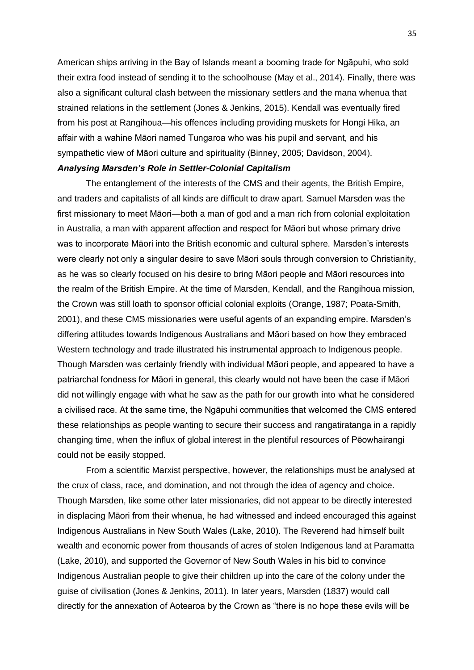American ships arriving in the Bay of Islands meant a booming trade for Ngāpuhi, who sold their extra food instead of sending it to the schoolhouse (May et al., 2014). Finally, there was also a significant cultural clash between the missionary settlers and the mana whenua that strained relations in the settlement (Jones & Jenkins, 2015). Kendall was eventually fired from his post at Rangihoua—his offences including providing muskets for Hongi Hika, an affair with a wahine Māori named Tungaroa who was his pupil and servant, and his sympathetic view of Māori culture and spirituality (Binney, 2005; Davidson, 2004). *Analysing Marsden's Role in Settler-Colonial Capitalism*

The entanglement of the interests of the CMS and their agents, the British Empire, and traders and capitalists of all kinds are difficult to draw apart. Samuel Marsden was the first missionary to meet Māori—both a man of god and a man rich from colonial exploitation in Australia, a man with apparent affection and respect for Māori but whose primary drive was to incorporate Māori into the British economic and cultural sphere. Marsden's interests were clearly not only a singular desire to save Māori souls through conversion to Christianity, as he was so clearly focused on his desire to bring Māori people and Māori resources into the realm of the British Empire. At the time of Marsden, Kendall, and the Rangihoua mission, the Crown was still loath to sponsor official colonial exploits (Orange, 1987; Poata-Smith, 2001), and these CMS missionaries were useful agents of an expanding empire. Marsden's differing attitudes towards Indigenous Australians and Māori based on how they embraced Western technology and trade illustrated his instrumental approach to Indigenous people. Though Marsden was certainly friendly with individual Māori people, and appeared to have a patriarchal fondness for Māori in general, this clearly would not have been the case if Māori did not willingly engage with what he saw as the path for our growth into what he considered a civilised race. At the same time, the Ngāpuhi communities that welcomed the CMS entered these relationships as people wanting to secure their success and rangatiratanga in a rapidly changing time, when the influx of global interest in the plentiful resources of Pēowhairangi could not be easily stopped.

From a scientific Marxist perspective, however, the relationships must be analysed at the crux of class, race, and domination, and not through the idea of agency and choice. Though Marsden, like some other later missionaries, did not appear to be directly interested in displacing Māori from their whenua, he had witnessed and indeed encouraged this against Indigenous Australians in New South Wales (Lake, 2010). The Reverend had himself built wealth and economic power from thousands of acres of stolen Indigenous land at Paramatta (Lake, 2010), and supported the Governor of New South Wales in his bid to convince Indigenous Australian people to give their children up into the care of the colony under the guise of civilisation (Jones & Jenkins, 2011). In later years, Marsden (1837) would call directly for the annexation of Aotearoa by the Crown as "there is no hope these evils will be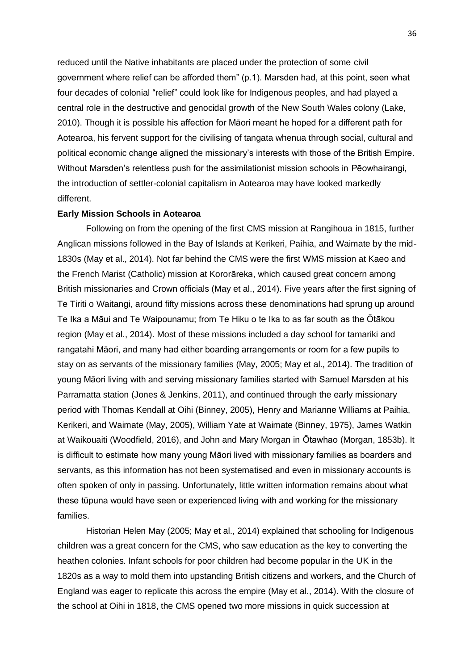reduced until the Native inhabitants are placed under the protection of some civil government where relief can be afforded them" (p.1). Marsden had, at this point, seen what four decades of colonial "relief" could look like for Indigenous peoples, and had played a central role in the destructive and genocidal growth of the New South Wales colony (Lake, 2010). Though it is possible his affection for Māori meant he hoped for a different path for Aotearoa, his fervent support for the civilising of tangata whenua through social, cultural and political economic change aligned the missionary's interests with those of the British Empire. Without Marsden's relentless push for the assimilationist mission schools in Pēowhairangi, the introduction of settler-colonial capitalism in Aotearoa may have looked markedly different.

## **Early Mission Schools in Aotearoa**

Following on from the opening of the first CMS mission at Rangihoua in 1815, further Anglican missions followed in the Bay of Islands at Kerikeri, Paihia, and Waimate by the mid-1830s (May et al., 2014). Not far behind the CMS were the first WMS mission at Kaeo and the French Marist (Catholic) mission at Kororāreka, which caused great concern among British missionaries and Crown officials (May et al., 2014). Five years after the first signing of Te Tiriti o Waitangi, around fifty missions across these denominations had sprung up around Te Ika a Māui and Te Waipounamu; from Te Hiku o te Ika to as far south as the Ōtākou region (May et al., 2014). Most of these missions included a day school for tamariki and rangatahi Māori, and many had either boarding arrangements or room for a few pupils to stay on as servants of the missionary families (May, 2005; May et al., 2014). The tradition of young Māori living with and serving missionary families started with Samuel Marsden at his Parramatta station (Jones & Jenkins, 2011), and continued through the early missionary period with Thomas Kendall at Oihi (Binney, 2005), Henry and Marianne Williams at Paihia, Kerikeri, and Waimate (May, 2005), William Yate at Waimate (Binney, 1975), James Watkin at Waikouaiti (Woodfield, 2016), and John and Mary Morgan in Ōtawhao (Morgan, 1853b). It is difficult to estimate how many young Māori lived with missionary families as boarders and servants, as this information has not been systematised and even in missionary accounts is often spoken of only in passing. Unfortunately, little written information remains about what these tūpuna would have seen or experienced living with and working for the missionary families.

Historian Helen May (2005; May et al., 2014) explained that schooling for Indigenous children was a great concern for the CMS, who saw education as the key to converting the heathen colonies. Infant schools for poor children had become popular in the UK in the 1820s as a way to mold them into upstanding British citizens and workers, and the Church of England was eager to replicate this across the empire (May et al., 2014). With the closure of the school at Oihi in 1818, the CMS opened two more missions in quick succession at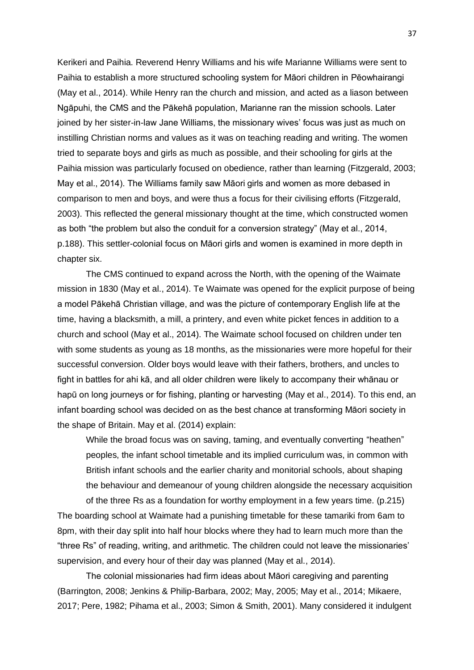Kerikeri and Paihia. Reverend Henry Williams and his wife Marianne Williams were sent to Paihia to establish a more structured schooling system for Māori children in Pēowhairangi (May et al., 2014). While Henry ran the church and mission, and acted as a liason between Ngāpuhi, the CMS and the Pākehā population, Marianne ran the mission schools. Later joined by her sister-in-law Jane Williams, the missionary wives' focus was just as much on instilling Christian norms and values as it was on teaching reading and writing. The women tried to separate boys and girls as much as possible, and their schooling for girls at the Paihia mission was particularly focused on obedience, rather than learning (Fitzgerald, 2003; May et al., 2014). The Williams family saw Māori girls and women as more debased in comparison to men and boys, and were thus a focus for their civilising efforts (Fitzgerald, 2003). This reflected the general missionary thought at the time, which constructed women as both "the problem but also the conduit for a conversion strategy" (May et al., 2014, p.188). This settler-colonial focus on Māori girls and women is examined in more depth in chapter six.

The CMS continued to expand across the North, with the opening of the Waimate mission in 1830 (May et al., 2014). Te Waimate was opened for the explicit purpose of being a model Pākehā Christian village, and was the picture of contemporary English life at the time, having a blacksmith, a mill, a printery, and even white picket fences in addition to a church and school (May et al., 2014). The Waimate school focused on children under ten with some students as young as 18 months, as the missionaries were more hopeful for their successful conversion. Older boys would leave with their fathers, brothers, and uncles to fight in battles for ahi kā, and all older children were likely to accompany their whānau or hapū on long journeys or for fishing, planting or harvesting (May et al., 2014). To this end, an infant boarding school was decided on as the best chance at transforming Māori society in the shape of Britain. May et al. (2014) explain:

While the broad focus was on saving, taming, and eventually converting "heathen" peoples, the infant school timetable and its implied curriculum was, in common with British infant schools and the earlier charity and monitorial schools, about shaping the behaviour and demeanour of young children alongside the necessary acquisition of the three Rs as a foundation for worthy employment in a few years time. (p.215)

The boarding school at Waimate had a punishing timetable for these tamariki from 6am to 8pm, with their day split into half hour blocks where they had to learn much more than the "three Rs" of reading, writing, and arithmetic. The children could not leave the missionaries' supervision, and every hour of their day was planned (May et al., 2014).

The colonial missionaries had firm ideas about Māori caregiving and parenting (Barrington, 2008; Jenkins & Philip-Barbara, 2002; May, 2005; May et al., 2014; Mikaere, 2017; Pere, 1982; Pihama et al., 2003; Simon & Smith, 2001). Many considered it indulgent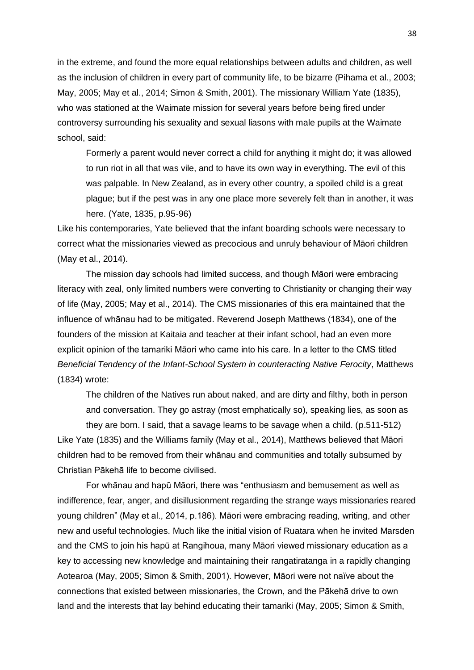in the extreme, and found the more equal relationships between adults and children, as well as the inclusion of children in every part of community life, to be bizarre (Pihama et al., 2003; May, 2005; May et al., 2014; Simon & Smith, 2001). The missionary William Yate (1835), who was stationed at the Waimate mission for several years before being fired under controversy surrounding his sexuality and sexual liasons with male pupils at the Waimate school, said:

Formerly a parent would never correct a child for anything it might do; it was allowed to run riot in all that was vile, and to have its own way in everything. The evil of this was palpable. In New Zealand, as in every other country, a spoiled child is a great plague; but if the pest was in any one place more severely felt than in another, it was here. (Yate, 1835, p.95-96)

Like his contemporaries, Yate believed that the infant boarding schools were necessary to correct what the missionaries viewed as precocious and unruly behaviour of Māori children (May et al., 2014).

The mission day schools had limited success, and though Māori were embracing literacy with zeal, only limited numbers were converting to Christianity or changing their way of life (May, 2005; May et al., 2014). The CMS missionaries of this era maintained that the influence of whānau had to be mitigated. Reverend Joseph Matthews (1834), one of the founders of the mission at Kaitaia and teacher at their infant school, had an even more explicit opinion of the tamariki Māori who came into his care. In a letter to the CMS titled *Beneficial Tendency of the Infant-School System in counteracting Native Ferocity*, Matthews (1834) wrote:

The children of the Natives run about naked, and are dirty and filthy, both in person and conversation. They go astray (most emphatically so), speaking lies, as soon as they are born. I said, that a savage learns to be savage when a child. (p.511-512) Like Yate (1835) and the Williams family (May et al., 2014), Matthews believed that Māori children had to be removed from their whānau and communities and totally subsumed by Christian Pākehā life to become civilised.

For whānau and hapū Māori, there was "enthusiasm and bemusement as well as indifference, fear, anger, and disillusionment regarding the strange ways missionaries reared young children" (May et al., 2014, p.186). Māori were embracing reading, writing, and other new and useful technologies. Much like the initial vision of Ruatara when he invited Marsden and the CMS to join his hapū at Rangihoua, many Māori viewed missionary education as a key to accessing new knowledge and maintaining their rangatiratanga in a rapidly changing Aotearoa (May, 2005; Simon & Smith, 2001). However, Māori were not naïve about the connections that existed between missionaries, the Crown, and the Pākehā drive to own land and the interests that lay behind educating their tamariki (May, 2005; Simon & Smith,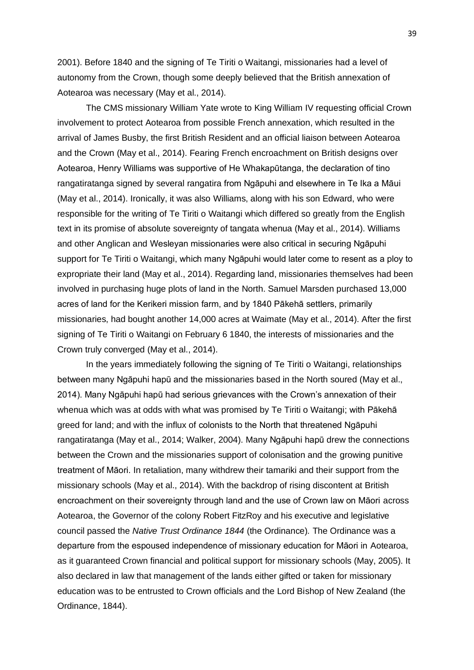2001). Before 1840 and the signing of Te Tiriti o Waitangi, missionaries had a level of autonomy from the Crown, though some deeply believed that the British annexation of Aotearoa was necessary (May et al., 2014).

The CMS missionary William Yate wrote to King William IV requesting official Crown involvement to protect Aotearoa from possible French annexation, which resulted in the arrival of James Busby, the first British Resident and an official liaison between Aotearoa and the Crown (May et al., 2014). Fearing French encroachment on British designs over Aotearoa, Henry Williams was supportive of He Whakapūtanga, the declaration of tino rangatiratanga signed by several rangatira from Ngāpuhi and elsewhere in Te Ika a Māui (May et al., 2014). Ironically, it was also Williams, along with his son Edward, who were responsible for the writing of Te Tiriti o Waitangi which differed so greatly from the English text in its promise of absolute sovereignty of tangata whenua (May et al., 2014). Williams and other Anglican and Wesleyan missionaries were also critical in securing Ngāpuhi support for Te Tiriti o Waitangi, which many Ngāpuhi would later come to resent as a ploy to expropriate their land (May et al., 2014). Regarding land, missionaries themselves had been involved in purchasing huge plots of land in the North. Samuel Marsden purchased 13,000 acres of land for the Kerikeri mission farm, and by 1840 Pākehā settlers, primarily missionaries, had bought another 14,000 acres at Waimate (May et al., 2014). After the first signing of Te Tiriti o Waitangi on February 6 1840, the interests of missionaries and the Crown truly converged (May et al., 2014).

In the years immediately following the signing of Te Tiriti o Waitangi, relationships between many Ngāpuhi hapū and the missionaries based in the North soured (May et al., 2014). Many Ngāpuhi hapū had serious grievances with the Crown's annexation of their whenua which was at odds with what was promised by Te Tiriti o Waitangi; with Pākehā greed for land; and with the influx of colonists to the North that threatened Ngāpuhi rangatiratanga (May et al., 2014; Walker, 2004). Many Ngāpuhi hapū drew the connections between the Crown and the missionaries support of colonisation and the growing punitive treatment of Māori. In retaliation, many withdrew their tamariki and their support from the missionary schools (May et al., 2014). With the backdrop of rising discontent at British encroachment on their sovereignty through land and the use of Crown law on Māori across Aotearoa, the Governor of the colony Robert FitzRoy and his executive and legislative council passed the *Native Trust Ordinance 1844* (the Ordinance)*.* The Ordinance was a departure from the espoused independence of missionary education for Māori in Aotearoa, as it guaranteed Crown financial and political support for missionary schools (May, 2005). It also declared in law that management of the lands either gifted or taken for missionary education was to be entrusted to Crown officials and the Lord Bishop of New Zealand (the Ordinance, 1844).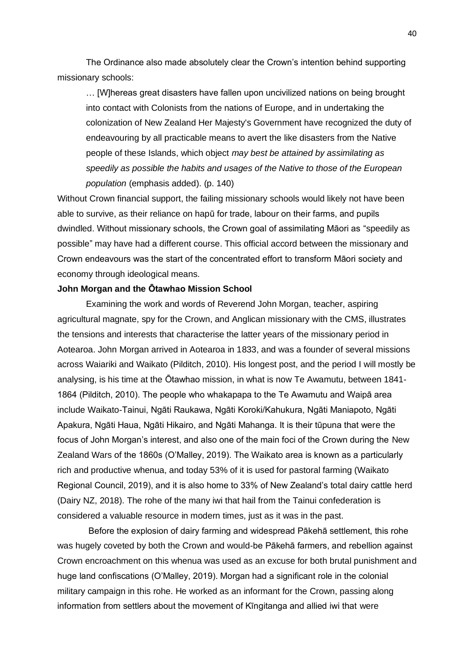The Ordinance also made absolutely clear the Crown's intention behind supporting missionary schools:

… [W]hereas great disasters have fallen upon uncivilized nations on being brought into contact with Colonists from the nations of Europe, and in undertaking the colonization of New Zealand Her Majesty's Government have recognized the duty of endeavouring by all practicable means to avert the like disasters from the Native people of these Islands, which object *may best be attained by assimilating as speedily as possible the habits and usages of the Native to those of the European population* (emphasis added). (p. 140)

Without Crown financial support, the failing missionary schools would likely not have been able to survive, as their reliance on hapū for trade, labour on their farms, and pupils dwindled. Without missionary schools, the Crown goal of assimilating Māori as "speedily as possible" may have had a different course. This official accord between the missionary and Crown endeavours was the start of the concentrated effort to transform Māori society and economy through ideological means.

## **John Morgan and the Ōtawhao Mission School**

Examining the work and words of Reverend John Morgan, teacher, aspiring agricultural magnate, spy for the Crown, and Anglican missionary with the CMS, illustrates the tensions and interests that characterise the latter years of the missionary period in Aotearoa. John Morgan arrived in Aotearoa in 1833, and was a founder of several missions across Waiariki and Waikato (Pilditch, 2010). His longest post, and the period I will mostly be analysing, is his time at the Ōtawhao mission, in what is now Te Awamutu, between 1841- 1864 (Pilditch, 2010). The people who whakapapa to the Te Awamutu and Waipā area include Waikato-Tainui, Ngāti Raukawa, Ngāti Koroki/Kahukura, Ngāti Maniapoto, Ngāti Apakura, Ngāti Haua, Ngāti Hikairo, and Ngāti Mahanga. It is their tūpuna that were the focus of John Morgan's interest, and also one of the main foci of the Crown during the New Zealand Wars of the 1860s (O'Malley, 2019). The Waikato area is known as a particularly rich and productive whenua, and today 53% of it is used for pastoral farming (Waikato Regional Council, 2019), and it is also home to 33% of New Zealand's total dairy cattle herd (Dairy NZ, 2018). The rohe of the many iwi that hail from the Tainui confederation is considered a valuable resource in modern times, just as it was in the past.

Before the explosion of dairy farming and widespread Pākehā settlement, this rohe was hugely coveted by both the Crown and would-be Pākehā farmers, and rebellion against Crown encroachment on this whenua was used as an excuse for both brutal punishment and huge land confiscations (O'Malley, 2019). Morgan had a significant role in the colonial military campaign in this rohe. He worked as an informant for the Crown, passing along information from settlers about the movement of Kīngitanga and allied iwi that were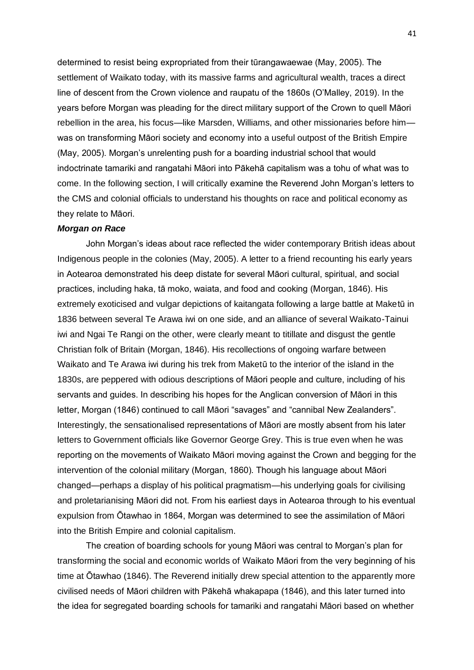determined to resist being expropriated from their tūrangawaewae (May, 2005). The settlement of Waikato today, with its massive farms and agricultural wealth, traces a direct line of descent from the Crown violence and raupatu of the 1860s (O'Malley, 2019). In the years before Morgan was pleading for the direct military support of the Crown to quell Māori rebellion in the area, his focus—like Marsden, Williams, and other missionaries before him was on transforming Māori society and economy into a useful outpost of the British Empire (May, 2005). Morgan's unrelenting push for a boarding industrial school that would indoctrinate tamariki and rangatahi Māori into Pākehā capitalism was a tohu of what was to come. In the following section, I will critically examine the Reverend John Morgan's letters to the CMS and colonial officials to understand his thoughts on race and political economy as they relate to Māori.

#### *Morgan on Race*

John Morgan's ideas about race reflected the wider contemporary British ideas about Indigenous people in the colonies (May, 2005). A letter to a friend recounting his early years in Aotearoa demonstrated his deep distate for several Māori cultural, spiritual, and social practices, including haka, tā moko, waiata, and food and cooking (Morgan, 1846). His extremely exoticised and vulgar depictions of kaitangata following a large battle at Maketū in 1836 between several Te Arawa iwi on one side, and an alliance of several Waikato-Tainui iwi and Ngai Te Rangi on the other, were clearly meant to titillate and disgust the gentle Christian folk of Britain (Morgan, 1846). His recollections of ongoing warfare between Waikato and Te Arawa iwi during his trek from Maketū to the interior of the island in the 1830s, are peppered with odious descriptions of Māori people and culture, including of his servants and guides. In describing his hopes for the Anglican conversion of Māori in this letter, Morgan (1846) continued to call Māori "savages" and "cannibal New Zealanders". Interestingly, the sensationalised representations of Māori are mostly absent from his later letters to Government officials like Governor George Grey. This is true even when he was reporting on the movements of Waikato Māori moving against the Crown and begging for the intervention of the colonial military (Morgan, 1860). Though his language about Māori changed—perhaps a display of his political pragmatism—his underlying goals for civilising and proletarianising Māori did not. From his earliest days in Aotearoa through to his eventual expulsion from Ōtawhao in 1864, Morgan was determined to see the assimilation of Māori into the British Empire and colonial capitalism.

The creation of boarding schools for young Māori was central to Morgan's plan for transforming the social and economic worlds of Waikato Māori from the very beginning of his time at Ōtawhao (1846). The Reverend initially drew special attention to the apparently more civilised needs of Māori children with Pākehā whakapapa (1846), and this later turned into the idea for segregated boarding schools for tamariki and rangatahi Māori based on whether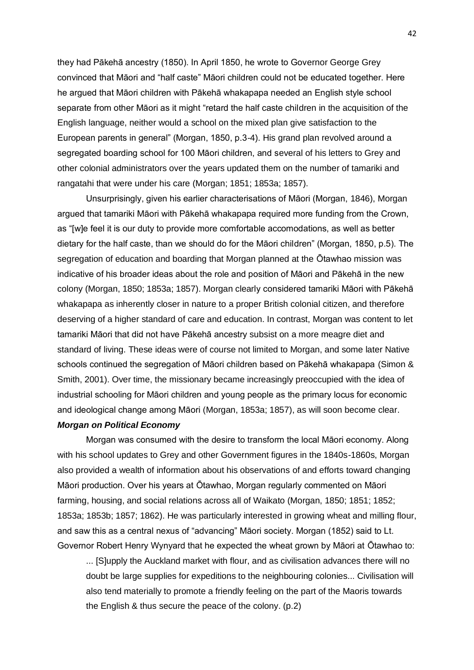they had Pākehā ancestry (1850). In April 1850, he wrote to Governor George Grey convinced that Māori and "half caste" Māori children could not be educated together. Here he argued that Māori children with Pākehā whakapapa needed an English style school separate from other Māori as it might "retard the half caste children in the acquisition of the English language, neither would a school on the mixed plan give satisfaction to the European parents in general" (Morgan, 1850, p.3-4). His grand plan revolved around a segregated boarding school for 100 Māori children, and several of his letters to Grey and other colonial administrators over the years updated them on the number of tamariki and rangatahi that were under his care (Morgan; 1851; 1853a; 1857).

Unsurprisingly, given his earlier characterisations of Māori (Morgan, 1846), Morgan argued that tamariki Māori with Pākehā whakapapa required more funding from the Crown, as "[w]e feel it is our duty to provide more comfortable accomodations, as well as better dietary for the half caste, than we should do for the Māori children" (Morgan, 1850, p.5). The segregation of education and boarding that Morgan planned at the Ōtawhao mission was indicative of his broader ideas about the role and position of Māori and Pākehā in the new colony (Morgan, 1850; 1853a; 1857). Morgan clearly considered tamariki Māori with Pākehā whakapapa as inherently closer in nature to a proper British colonial citizen, and therefore deserving of a higher standard of care and education. In contrast, Morgan was content to let tamariki Māori that did not have Pākehā ancestry subsist on a more meagre diet and standard of living. These ideas were of course not limited to Morgan, and some later Native schools continued the segregation of Māori children based on Pākehā whakapapa (Simon & Smith, 2001). Over time, the missionary became increasingly preoccupied with the idea of industrial schooling for Māori children and young people as the primary locus for economic and ideological change among Māori (Morgan, 1853a; 1857), as will soon become clear.

## *Morgan on Political Economy*

Morgan was consumed with the desire to transform the local Māori economy. Along with his school updates to Grey and other Government figures in the 1840s-1860s, Morgan also provided a wealth of information about his observations of and efforts toward changing Māori production. Over his years at Ōtawhao, Morgan regularly commented on Māori farming, housing, and social relations across all of Waikato (Morgan, 1850; 1851; 1852; 1853a; 1853b; 1857; 1862). He was particularly interested in growing wheat and milling flour, and saw this as a central nexus of "advancing" Māori society. Morgan (1852) said to Lt. Governor Robert Henry Wynyard that he expected the wheat grown by Māori at Ōtawhao to:

... [S]upply the Auckland market with flour, and as civilisation advances there will no doubt be large supplies for expeditions to the neighbouring colonies... Civilisation will also tend materially to promote a friendly feeling on the part of the Maoris towards the English & thus secure the peace of the colony. (p.2)

42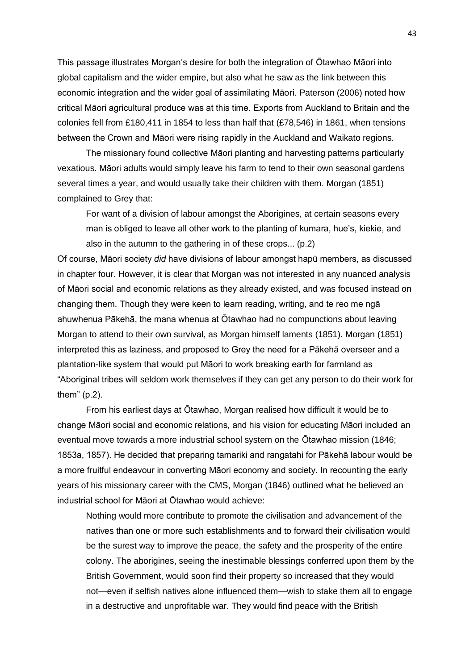This passage illustrates Morgan's desire for both the integration of Ōtawhao Māori into global capitalism and the wider empire, but also what he saw as the link between this economic integration and the wider goal of assimilating Māori. Paterson (2006) noted how critical Māori agricultural produce was at this time. Exports from Auckland to Britain and the colonies fell from £180,411 in 1854 to less than half that (£78,546) in 1861, when tensions between the Crown and Māori were rising rapidly in the Auckland and Waikato regions.

The missionary found collective Māori planting and harvesting patterns particularly vexatious. Māori adults would simply leave his farm to tend to their own seasonal gardens several times a year, and would usually take their children with them. Morgan (1851) complained to Grey that:

For want of a division of labour amongst the Aborigines, at certain seasons every man is obliged to leave all other work to the planting of kumara, hue's, kiekie, and also in the autumn to the gathering in of these crops... (p.2)

Of course, Māori society *did* have divisions of labour amongst hapū members, as discussed in chapter four. However, it is clear that Morgan was not interested in any nuanced analysis of Māori social and economic relations as they already existed, and was focused instead on changing them. Though they were keen to learn reading, writing, and te reo me ngā ahuwhenua Pākehā, the mana whenua at Ōtawhao had no compunctions about leaving Morgan to attend to their own survival, as Morgan himself laments (1851). Morgan (1851) interpreted this as laziness, and proposed to Grey the need for a Pākehā overseer and a plantation-like system that would put Māori to work breaking earth for farmland as "Aboriginal tribes will seldom work themselves if they can get any person to do their work for them" (p.2).

From his earliest days at Ōtawhao, Morgan realised how difficult it would be to change Māori social and economic relations, and his vision for educating Māori included an eventual move towards a more industrial school system on the Ōtawhao mission (1846; 1853a, 1857). He decided that preparing tamariki and rangatahi for Pākehā labour would be a more fruitful endeavour in converting Māori economy and society. In recounting the early years of his missionary career with the CMS, Morgan (1846) outlined what he believed an industrial school for Māori at Ōtawhao would achieve:

Nothing would more contribute to promote the civilisation and advancement of the natives than one or more such establishments and to forward their civilisation would be the surest way to improve the peace, the safety and the prosperity of the entire colony. The aborigines, seeing the inestimable blessings conferred upon them by the British Government, would soon find their property so increased that they would not—even if selfish natives alone influenced them—wish to stake them all to engage in a destructive and unprofitable war. They would find peace with the British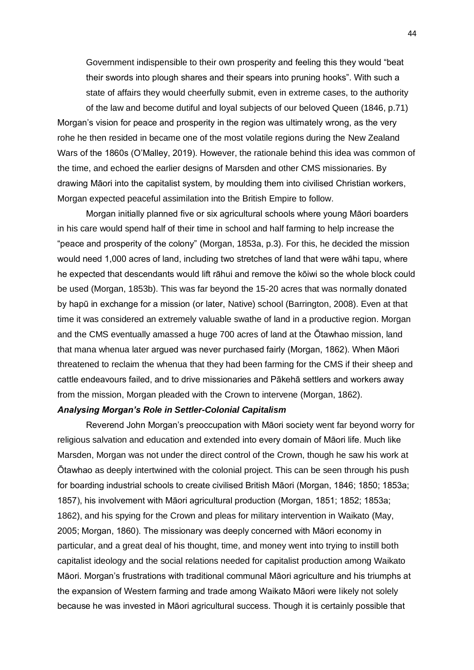Government indispensible to their own prosperity and feeling this they would "beat their swords into plough shares and their spears into pruning hooks". With such a state of affairs they would cheerfully submit, even in extreme cases, to the authority of the law and become dutiful and loyal subjects of our beloved Queen (1846, p.71)

Morgan's vision for peace and prosperity in the region was ultimately wrong, as the very rohe he then resided in became one of the most volatile regions during the New Zealand Wars of the 1860s (O'Malley, 2019). However, the rationale behind this idea was common of the time, and echoed the earlier designs of Marsden and other CMS missionaries. By drawing Māori into the capitalist system, by moulding them into civilised Christian workers, Morgan expected peaceful assimilation into the British Empire to follow.

Morgan initially planned five or six agricultural schools where young Māori boarders in his care would spend half of their time in school and half farming to help increase the "peace and prosperity of the colony" (Morgan, 1853a, p.3). For this, he decided the mission would need 1,000 acres of land, including two stretches of land that were wāhi tapu, where he expected that descendants would lift rāhui and remove the kōiwi so the whole block could be used (Morgan, 1853b). This was far beyond the 15-20 acres that was normally donated by hapū in exchange for a mission (or later, Native) school (Barrington, 2008). Even at that time it was considered an extremely valuable swathe of land in a productive region. Morgan and the CMS eventually amassed a huge 700 acres of land at the Ōtawhao mission, land that mana whenua later argued was never purchased fairly (Morgan, 1862). When Māori threatened to reclaim the whenua that they had been farming for the CMS if their sheep and cattle endeavours failed, and to drive missionaries and Pākehā settlers and workers away from the mission, Morgan pleaded with the Crown to intervene (Morgan, 1862).

## *Analysing Morgan's Role in Settler-Colonial Capitalism*

Reverend John Morgan's preoccupation with Māori society went far beyond worry for religious salvation and education and extended into every domain of Māori life. Much like Marsden, Morgan was not under the direct control of the Crown, though he saw his work at Ōtawhao as deeply intertwined with the colonial project. This can be seen through his push for boarding industrial schools to create civilised British Māori (Morgan, 1846; 1850; 1853a; 1857), his involvement with Māori agricultural production (Morgan, 1851; 1852; 1853a; 1862), and his spying for the Crown and pleas for military intervention in Waikato (May, 2005; Morgan, 1860). The missionary was deeply concerned with Māori economy in particular, and a great deal of his thought, time, and money went into trying to instill both capitalist ideology and the social relations needed for capitalist production among Waikato Māori. Morgan's frustrations with traditional communal Māori agriculture and his triumphs at the expansion of Western farming and trade among Waikato Māori were likely not solely because he was invested in Māori agricultural success. Though it is certainly possible that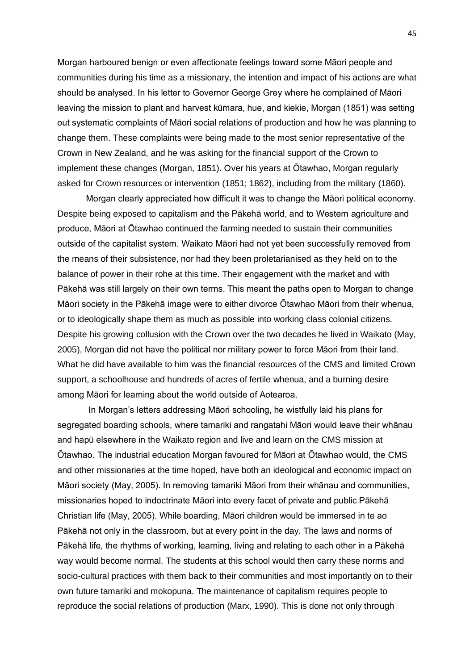Morgan harboured benign or even affectionate feelings toward some Māori people and communities during his time as a missionary, the intention and impact of his actions are what should be analysed. In his letter to Governor George Grey where he complained of Māori leaving the mission to plant and harvest kūmara, hue, and kiekie, Morgan (1851) was setting out systematic complaints of Māori social relations of production and how he was planning to change them. These complaints were being made to the most senior representative of the Crown in New Zealand, and he was asking for the financial support of the Crown to implement these changes (Morgan, 1851). Over his years at Ōtawhao, Morgan regularly asked for Crown resources or intervention (1851; 1862), including from the military (1860).

Morgan clearly appreciated how difficult it was to change the Māori political economy. Despite being exposed to capitalism and the Pākehā world, and to Western agriculture and produce, Māori at Ōtawhao continued the farming needed to sustain their communities outside of the capitalist system. Waikato Māori had not yet been successfully removed from the means of their subsistence, nor had they been proletarianised as they held on to the balance of power in their rohe at this time. Their engagement with the market and with Pākehā was still largely on their own terms. This meant the paths open to Morgan to change Māori society in the Pākehā image were to either divorce Ōtawhao Māori from their whenua, or to ideologically shape them as much as possible into working class colonial citizens. Despite his growing collusion with the Crown over the two decades he lived in Waikato (May, 2005), Morgan did not have the political nor military power to force Māori from their land. What he did have available to him was the financial resources of the CMS and limited Crown support, a schoolhouse and hundreds of acres of fertile whenua, and a burning desire among Māori for learning about the world outside of Aotearoa.

In Morgan's letters addressing Māori schooling, he wistfully laid his plans for segregated boarding schools, where tamariki and rangatahi Māori would leave their whānau and hapū elsewhere in the Waikato region and live and learn on the CMS mission at Ōtawhao. The industrial education Morgan favoured for Māori at Ōtawhao would, the CMS and other missionaries at the time hoped, have both an ideological and economic impact on Māori society (May, 2005). In removing tamariki Māori from their whānau and communities, missionaries hoped to indoctrinate Māori into every facet of private and public Pākehā Christian life (May, 2005). While boarding, Māori children would be immersed in te ao Pākehā not only in the classroom, but at every point in the day. The laws and norms of Pākehā life, the rhythms of working, learning, living and relating to each other in a Pākehā way would become normal. The students at this school would then carry these norms and socio-cultural practices with them back to their communities and most importantly on to their own future tamariki and mokopuna. The maintenance of capitalism requires people to reproduce the social relations of production (Marx, 1990). This is done not only through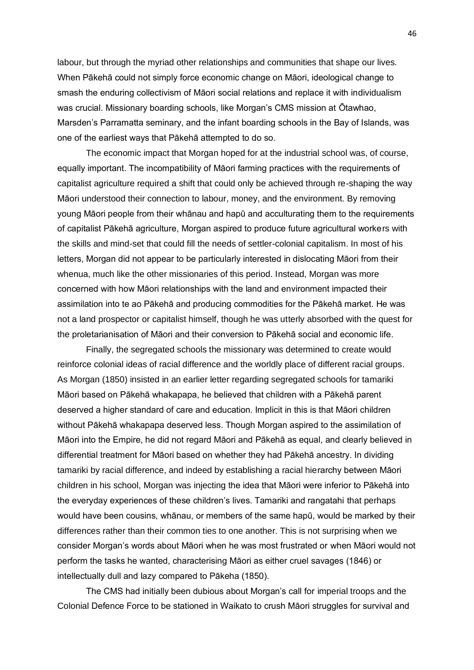labour, but through the myriad other relationships and communities that shape our lives. When Pākehā could not simply force economic change on Māori, ideological change to smash the enduring collectivism of Māori social relations and replace it with individualism was crucial. Missionary boarding schools, like Morgan's CMS mission at Ōtawhao, Marsden's Parramatta seminary, and the infant boarding schools in the Bay of Islands, was one of the earliest ways that Pākehā attempted to do so.

The economic impact that Morgan hoped for at the industrial school was, of course, equally important. The incompatibility of Māori farming practices with the requirements of capitalist agriculture required a shift that could only be achieved through re-shaping the way Māori understood their connection to labour, money, and the environment. By removing young Māori people from their whānau and hapū and acculturating them to the requirements of capitalist Pākehā agriculture, Morgan aspired to produce future agricultural workers with the skills and mind-set that could fill the needs of settler-colonial capitalism. In most of his letters, Morgan did not appear to be particularly interested in dislocating Māori from their whenua, much like the other missionaries of this period. Instead, Morgan was more concerned with how Māori relationships with the land and environment impacted their assimilation into te ao Pākehā and producing commodities for the Pākehā market. He was not a land prospector or capitalist himself, though he was utterly absorbed with the quest for the proletarianisation of Māori and their conversion to Pākehā social and economic life.

Finally, the segregated schools the missionary was determined to create would reinforce colonial ideas of racial difference and the worldly place of different racial groups. As Morgan (1850) insisted in an earlier letter regarding segregated schools for tamariki Māori based on Pākehā whakapapa, he believed that children with a Pākehā parent deserved a higher standard of care and education. Implicit in this is that Māori children without Pākehā whakapapa deserved less. Though Morgan aspired to the assimilation of Māori into the Empire, he did not regard Māori and Pākehā as equal, and clearly believed in differential treatment for Māori based on whether they had Pākehā ancestry. In dividing tamariki by racial difference, and indeed by establishing a racial hierarchy between Māori children in his school, Morgan was injecting the idea that Māori were inferior to Pākehā into the everyday experiences of these children's lives. Tamariki and rangatahi that perhaps would have been cousins, whānau, or members of the same hapū, would be marked by their differences rather than their common ties to one another. This is not surprising when we consider Morgan's words about Māori when he was most frustrated or when Māori would not perform the tasks he wanted, characterising Māori as either cruel savages (1846) or intellectually dull and lazy compared to Pākeha (1850).

The CMS had initially been dubious about Morgan's call for imperial troops and the Colonial Defence Force to be stationed in Waikato to crush Māori struggles for survival and

46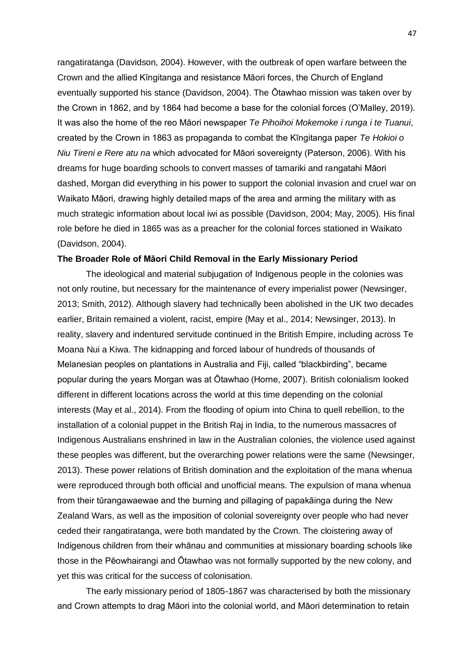rangatiratanga (Davidson, 2004). However, with the outbreak of open warfare between the Crown and the allied Kīngitanga and resistance Māori forces, the Church of England eventually supported his stance (Davidson, 2004). The Ōtawhao mission was taken over by the Crown in 1862, and by 1864 had become a base for the colonial forces (O'Malley, 2019). It was also the home of the reo Māori newspaper *Te Pihoihoi Mokemoke i runga i te Tuanui*, created by the Crown in 1863 as propaganda to combat the Kīngitanga paper *Te Hokioi o Niu Tireni e Rere atu na* which advocated for Māori sovereignty (Paterson, 2006). With his dreams for huge boarding schools to convert masses of tamariki and rangatahi Māori dashed, Morgan did everything in his power to support the colonial invasion and cruel war on Waikato Māori, drawing highly detailed maps of the area and arming the military with as much strategic information about local iwi as possible (Davidson, 2004; May, 2005). His final role before he died in 1865 was as a preacher for the colonial forces stationed in Waikato (Davidson, 2004).

## **The Broader Role of Māori Child Removal in the Early Missionary Period**

The ideological and material subjugation of Indigenous people in the colonies was not only routine, but necessary for the maintenance of every imperialist power (Newsinger, 2013; Smith, 2012). Although slavery had technically been abolished in the UK two decades earlier, Britain remained a violent, racist, empire (May et al., 2014; Newsinger, 2013). In reality, slavery and indentured servitude continued in the British Empire, including across Te Moana Nui a Kiwa. The kidnapping and forced labour of hundreds of thousands of Melanesian peoples on plantations in Australia and Fiji, called "blackbirding", became popular during the years Morgan was at Ōtawhao (Horne, 2007). British colonialism looked different in different locations across the world at this time depending on the colonial interests (May et al., 2014). From the flooding of opium into China to quell rebellion, to the installation of a colonial puppet in the British Raj in India, to the numerous massacres of Indigenous Australians enshrined in law in the Australian colonies, the violence used against these peoples was different, but the overarching power relations were the same (Newsinger, 2013). These power relations of British domination and the exploitation of the mana whenua were reproduced through both official and unofficial means. The expulsion of mana whenua from their tūrangawaewae and the burning and pillaging of papakāinga during the New Zealand Wars, as well as the imposition of colonial sovereignty over people who had never ceded their rangatiratanga, were both mandated by the Crown. The cloistering away of Indigenous children from their whānau and communities at missionary boarding schools like those in the Pēowhairangi and Ōtawhao was not formally supported by the new colony, and yet this was critical for the success of colonisation.

The early missionary period of 1805-1867 was characterised by both the missionary and Crown attempts to drag Māori into the colonial world, and Māori determination to retain

47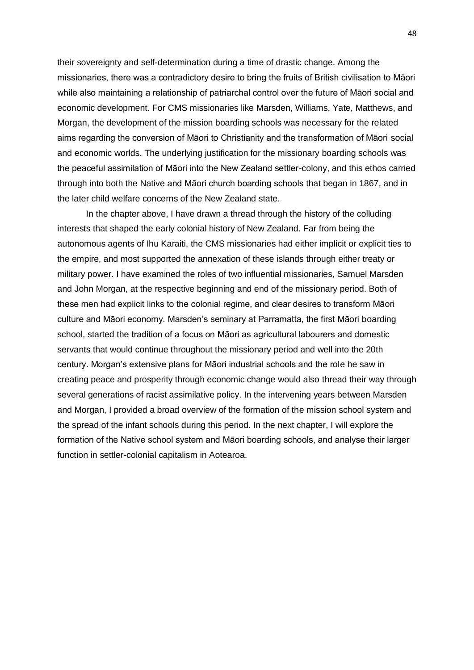their sovereignty and self-determination during a time of drastic change. Among the missionaries, there was a contradictory desire to bring the fruits of British civilisation to Māori while also maintaining a relationship of patriarchal control over the future of Māori social and economic development. For CMS missionaries like Marsden, Williams, Yate, Matthews, and Morgan, the development of the mission boarding schools was necessary for the related aims regarding the conversion of Māori to Christianity and the transformation of Māori social and economic worlds. The underlying justification for the missionary boarding schools was the peaceful assimilation of Māori into the New Zealand settler-colony, and this ethos carried through into both the Native and Māori church boarding schools that began in 1867, and in the later child welfare concerns of the New Zealand state.

In the chapter above, I have drawn a thread through the history of the colluding interests that shaped the early colonial history of New Zealand. Far from being the autonomous agents of Ihu Karaiti, the CMS missionaries had either implicit or explicit ties to the empire, and most supported the annexation of these islands through either treaty or military power. I have examined the roles of two influential missionaries, Samuel Marsden and John Morgan, at the respective beginning and end of the missionary period. Both of these men had explicit links to the colonial regime, and clear desires to transform Māori culture and Māori economy. Marsden's seminary at Parramatta, the first Māori boarding school, started the tradition of a focus on Māori as agricultural labourers and domestic servants that would continue throughout the missionary period and well into the 20th century. Morgan's extensive plans for Māori industrial schools and the role he saw in creating peace and prosperity through economic change would also thread their way through several generations of racist assimilative policy. In the intervening years between Marsden and Morgan, I provided a broad overview of the formation of the mission school system and the spread of the infant schools during this period. In the next chapter, I will explore the formation of the Native school system and Māori boarding schools, and analyse their larger function in settler-colonial capitalism in Aotearoa.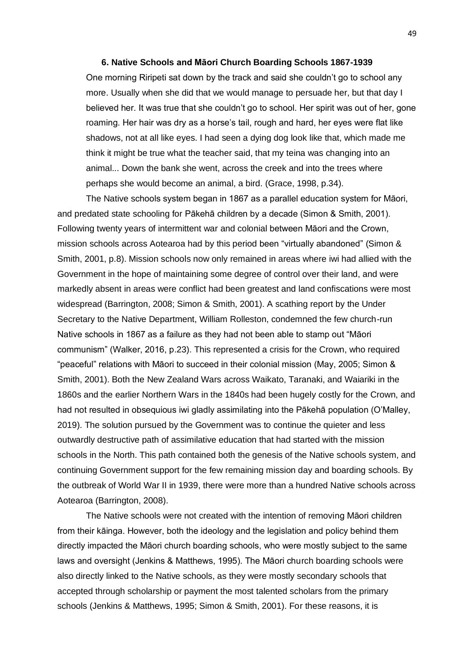#### **6. Native Schools and Māori Church Boarding Schools 1867-1939**

One morning Riripeti sat down by the track and said she couldn't go to school any more. Usually when she did that we would manage to persuade her, but that day I believed her. It was true that she couldn't go to school. Her spirit was out of her, gone roaming. Her hair was dry as a horse's tail, rough and hard, her eyes were flat like shadows, not at all like eyes. I had seen a dying dog look like that, which made me think it might be true what the teacher said, that my teina was changing into an animal... Down the bank she went, across the creek and into the trees where perhaps she would become an animal, a bird. (Grace, 1998, p.34).

The Native schools system began in 1867 as a parallel education system for Māori, and predated state schooling for Pākehā children by a decade (Simon & Smith, 2001). Following twenty years of intermittent war and colonial between Māori and the Crown, mission schools across Aotearoa had by this period been "virtually abandoned" (Simon & Smith, 2001, p.8). Mission schools now only remained in areas where iwi had allied with the Government in the hope of maintaining some degree of control over their land, and were markedly absent in areas were conflict had been greatest and land confiscations were most widespread (Barrington, 2008; Simon & Smith, 2001). A scathing report by the Under Secretary to the Native Department, William Rolleston, condemned the few church-run Native schools in 1867 as a failure as they had not been able to stamp out "Māori communism" (Walker, 2016, p.23). This represented a crisis for the Crown, who required "peaceful" relations with Māori to succeed in their colonial mission (May, 2005; Simon & Smith, 2001). Both the New Zealand Wars across Waikato, Taranaki, and Waiariki in the 1860s and the earlier Northern Wars in the 1840s had been hugely costly for the Crown, and had not resulted in obsequious iwi gladly assimilating into the Pākehā population (O'Malley, 2019). The solution pursued by the Government was to continue the quieter and less outwardly destructive path of assimilative education that had started with the mission schools in the North. This path contained both the genesis of the Native schools system, and continuing Government support for the few remaining mission day and boarding schools. By the outbreak of World War II in 1939, there were more than a hundred Native schools across Aotearoa (Barrington, 2008).

The Native schools were not created with the intention of removing Māori children from their kāinga. However, both the ideology and the legislation and policy behind them directly impacted the Māori church boarding schools, who were mostly subject to the same laws and oversight (Jenkins & Matthews, 1995). The Māori church boarding schools were also directly linked to the Native schools, as they were mostly secondary schools that accepted through scholarship or payment the most talented scholars from the primary schools (Jenkins & Matthews, 1995; Simon & Smith, 2001). For these reasons, it is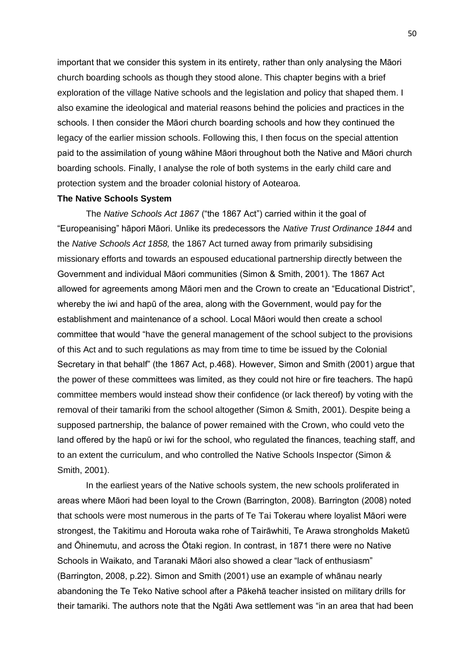important that we consider this system in its entirety, rather than only analysing the Māori church boarding schools as though they stood alone. This chapter begins with a brief exploration of the village Native schools and the legislation and policy that shaped them. I also examine the ideological and material reasons behind the policies and practices in the schools. I then consider the Māori church boarding schools and how they continued the legacy of the earlier mission schools. Following this, I then focus on the special attention paid to the assimilation of young wāhine Māori throughout both the Native and Māori church boarding schools. Finally, I analyse the role of both systems in the early child care and protection system and the broader colonial history of Aotearoa.

## **The Native Schools System**

The *Native Schools Act 1867* ("the 1867 Act") carried within it the goal of "Europeanising" hāpori Māori. Unlike its predecessors the *Native Trust Ordinance 1844* and the *Native Schools Act 1858,* the 1867 Act turned away from primarily subsidising missionary efforts and towards an espoused educational partnership directly between the Government and individual Māori communities (Simon & Smith, 2001). The 1867 Act allowed for agreements among Māori men and the Crown to create an "Educational District", whereby the iwi and hapū of the area, along with the Government, would pay for the establishment and maintenance of a school. Local Māori would then create a school committee that would "have the general management of the school subject to the provisions of this Act and to such regulations as may from time to time be issued by the Colonial Secretary in that behalf" (the 1867 Act, p.468). However, Simon and Smith (2001) argue that the power of these committees was limited, as they could not hire or fire teachers. The hapū committee members would instead show their confidence (or lack thereof) by voting with the removal of their tamariki from the school altogether (Simon & Smith, 2001). Despite being a supposed partnership, the balance of power remained with the Crown, who could veto the land offered by the hapū or iwi for the school, who regulated the finances, teaching staff, and to an extent the curriculum, and who controlled the Native Schools Inspector (Simon & Smith, 2001).

In the earliest years of the Native schools system, the new schools proliferated in areas where Māori had been loyal to the Crown (Barrington, 2008). Barrington (2008) noted that schools were most numerous in the parts of Te Tai Tokerau where loyalist Māori were strongest, the Takitimu and Horouta waka rohe of Tairāwhiti, Te Arawa strongholds Maketū and Ōhinemutu, and across the Ōtaki region. In contrast, in 1871 there were no Native Schools in Waikato, and Taranaki Māori also showed a clear "lack of enthusiasm" (Barrington, 2008, p.22). Simon and Smith (2001) use an example of whānau nearly abandoning the Te Teko Native school after a Pākehā teacher insisted on military drills for their tamariki. The authors note that the Ngāti Awa settlement was "in an area that had been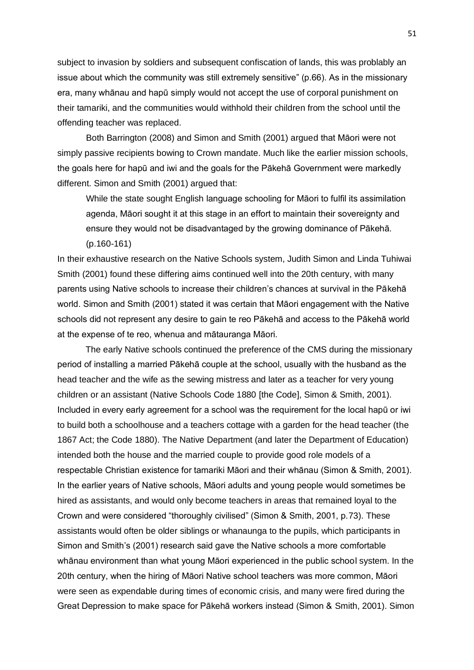subject to invasion by soldiers and subsequent confiscation of lands, this was problably an issue about which the community was still extremely sensitive" (p.66). As in the missionary era, many whānau and hapū simply would not accept the use of corporal punishment on their tamariki, and the communities would withhold their children from the school until the offending teacher was replaced.

Both Barrington (2008) and Simon and Smith (2001) argued that Māori were not simply passive recipients bowing to Crown mandate. Much like the earlier mission schools, the goals here for hapū and iwi and the goals for the Pākehā Government were markedly different. Simon and Smith (2001) argued that:

While the state sought English language schooling for Māori to fulfil its assimilation agenda, Māori sought it at this stage in an effort to maintain their sovereignty and ensure they would not be disadvantaged by the growing dominance of Pākehā. (p.160-161)

In their exhaustive research on the Native Schools system, Judith Simon and Linda Tuhiwai Smith (2001) found these differing aims continued well into the 20th century, with many parents using Native schools to increase their children's chances at survival in the Pākehā world. Simon and Smith (2001) stated it was certain that Māori engagement with the Native schools did not represent any desire to gain te reo Pākehā and access to the Pākehā world at the expense of te reo, whenua and mātauranga Māori.

The early Native schools continued the preference of the CMS during the missionary period of installing a married Pākehā couple at the school, usually with the husband as the head teacher and the wife as the sewing mistress and later as a teacher for very young children or an assistant (Native Schools Code 1880 [the Code], Simon & Smith, 2001). Included in every early agreement for a school was the requirement for the local hapū or iwi to build both a schoolhouse and a teachers cottage with a garden for the head teacher (the 1867 Act; the Code 1880). The Native Department (and later the Department of Education) intended both the house and the married couple to provide good role models of a respectable Christian existence for tamariki Māori and their whānau (Simon & Smith, 2001). In the earlier years of Native schools, Māori adults and young people would sometimes be hired as assistants, and would only become teachers in areas that remained loyal to the Crown and were considered "thoroughly civilised" (Simon & Smith, 2001, p.73). These assistants would often be older siblings or whanaunga to the pupils, which participants in Simon and Smith's (2001) research said gave the Native schools a more comfortable whānau environment than what young Māori experienced in the public school system. In the 20th century, when the hiring of Māori Native school teachers was more common, Māori were seen as expendable during times of economic crisis, and many were fired during the Great Depression to make space for Pākehā workers instead (Simon & Smith, 2001). Simon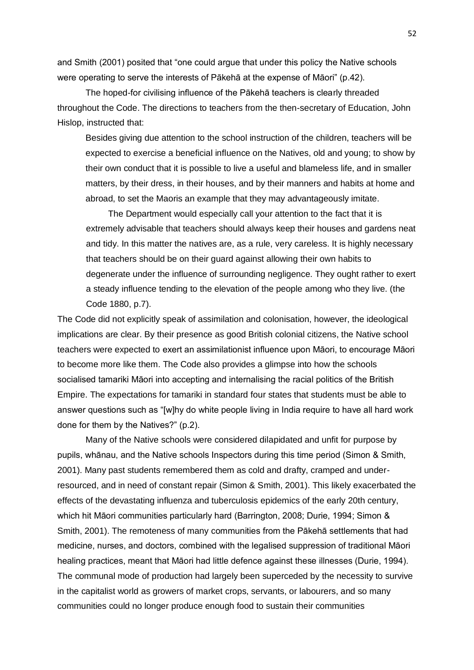and Smith (2001) posited that "one could argue that under this policy the Native schools were operating to serve the interests of Pākehā at the expense of Māori" (p.42).

The hoped-for civilising influence of the Pākehā teachers is clearly threaded throughout the Code. The directions to teachers from the then-secretary of Education, John Hislop, instructed that:

Besides giving due attention to the school instruction of the children, teachers will be expected to exercise a beneficial influence on the Natives, old and young; to show by their own conduct that it is possible to live a useful and blameless life, and in smaller matters, by their dress, in their houses, and by their manners and habits at home and abroad, to set the Maoris an example that they may advantageously imitate.

The Department would especially call your attention to the fact that it is extremely advisable that teachers should always keep their houses and gardens neat and tidy. In this matter the natives are, as a rule, very careless. It is highly necessary that teachers should be on their guard against allowing their own habits to degenerate under the influence of surrounding negligence. They ought rather to exert a steady influence tending to the elevation of the people among who they live. (the Code 1880, p.7).

The Code did not explicitly speak of assimilation and colonisation, however, the ideological implications are clear. By their presence as good British colonial citizens, the Native school teachers were expected to exert an assimilationist influence upon Māori, to encourage Māori to become more like them. The Code also provides a glimpse into how the schools socialised tamariki Māori into accepting and internalising the racial politics of the British Empire. The expectations for tamariki in standard four states that students must be able to answer questions such as "[w]hy do white people living in India require to have all hard work done for them by the Natives?" (p.2).

Many of the Native schools were considered dilapidated and unfit for purpose by pupils, whānau, and the Native schools Inspectors during this time period (Simon & Smith, 2001). Many past students remembered them as cold and drafty, cramped and underresourced, and in need of constant repair (Simon & Smith, 2001). This likely exacerbated the effects of the devastating influenza and tuberculosis epidemics of the early 20th century, which hit Māori communities particularly hard (Barrington, 2008; Durie, 1994; Simon & Smith, 2001). The remoteness of many communities from the Pākehā settlements that had medicine, nurses, and doctors, combined with the legalised suppression of traditional Māori healing practices, meant that Māori had little defence against these illnesses (Durie, 1994). The communal mode of production had largely been superceded by the necessity to survive in the capitalist world as growers of market crops, servants, or labourers, and so many communities could no longer produce enough food to sustain their communities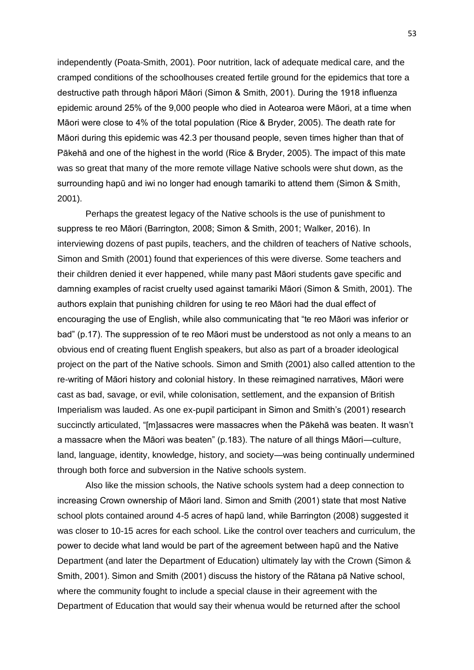independently (Poata-Smith, 2001). Poor nutrition, lack of adequate medical care, and the cramped conditions of the schoolhouses created fertile ground for the epidemics that tore a destructive path through hāpori Māori (Simon & Smith, 2001). During the 1918 influenza epidemic around 25% of the 9,000 people who died in Aotearoa were Māori, at a time when Māori were close to 4% of the total population (Rice & Bryder, 2005). The death rate for Māori during this epidemic was 42.3 per thousand people, seven times higher than that of Pākehā and one of the highest in the world (Rice & Bryder, 2005). The impact of this mate was so great that many of the more remote village Native schools were shut down, as the surrounding hapū and iwi no longer had enough tamariki to attend them (Simon & Smith, 2001).

Perhaps the greatest legacy of the Native schools is the use of punishment to suppress te reo Māori (Barrington, 2008; Simon & Smith, 2001; Walker, 2016). In interviewing dozens of past pupils, teachers, and the children of teachers of Native schools, Simon and Smith (2001) found that experiences of this were diverse. Some teachers and their children denied it ever happened, while many past Māori students gave specific and damning examples of racist cruelty used against tamariki Māori (Simon & Smith, 2001). The authors explain that punishing children for using te reo Māori had the dual effect of encouraging the use of English, while also communicating that "te reo Māori was inferior or bad" (p.17). The suppression of te reo Māori must be understood as not only a means to an obvious end of creating fluent English speakers, but also as part of a broader ideological project on the part of the Native schools. Simon and Smith (2001) also called attention to the re-writing of Māori history and colonial history. In these reimagined narratives, Māori were cast as bad, savage, or evil, while colonisation, settlement, and the expansion of British Imperialism was lauded. As one ex-pupil participant in Simon and Smith's (2001) research succinctly articulated, "[m]assacres were massacres when the Pākehā was beaten. It wasn't a massacre when the Māori was beaten" (p.183). The nature of all things Māori—culture, land, language, identity, knowledge, history, and society—was being continually undermined through both force and subversion in the Native schools system.

Also like the mission schools, the Native schools system had a deep connection to increasing Crown ownership of Māori land. Simon and Smith (2001) state that most Native school plots contained around 4-5 acres of hapū land, while Barrington (2008) suggested it was closer to 10-15 acres for each school. Like the control over teachers and curriculum, the power to decide what land would be part of the agreement between hapū and the Native Department (and later the Department of Education) ultimately lay with the Crown (Simon & Smith, 2001). Simon and Smith (2001) discuss the history of the Rātana pā Native school, where the community fought to include a special clause in their agreement with the Department of Education that would say their whenua would be returned after the school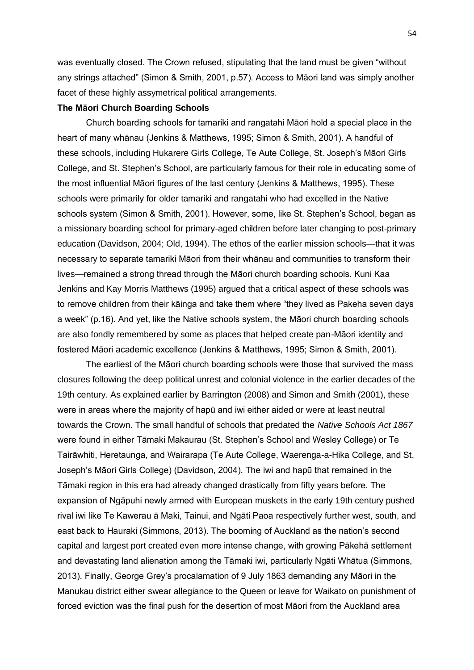was eventually closed. The Crown refused, stipulating that the land must be given "without any strings attached" (Simon & Smith, 2001, p.57). Access to Māori land was simply another facet of these highly assymetrical political arrangements.

#### **The Māori Church Boarding Schools**

Church boarding schools for tamariki and rangatahi Māori hold a special place in the heart of many whānau (Jenkins & Matthews, 1995; Simon & Smith, 2001). A handful of these schools, including Hukarere Girls College, Te Aute College, St. Joseph's Māori Girls College, and St. Stephen's School, are particularly famous for their role in educating some of the most influential Māori figures of the last century (Jenkins & Matthews, 1995). These schools were primarily for older tamariki and rangatahi who had excelled in the Native schools system (Simon & Smith, 2001). However, some, like St. Stephen's School, began as a missionary boarding school for primary-aged children before later changing to post-primary education (Davidson, 2004; Old, 1994). The ethos of the earlier mission schools—that it was necessary to separate tamariki Māori from their whānau and communities to transform their lives—remained a strong thread through the Māori church boarding schools. Kuni Kaa Jenkins and Kay Morris Matthews (1995) argued that a critical aspect of these schools was to remove children from their kāinga and take them where "they lived as Pakeha seven days a week" (p.16). And yet, like the Native schools system, the Māori church boarding schools are also fondly remembered by some as places that helped create pan-Māori identity and fostered Māori academic excellence (Jenkins & Matthews, 1995; Simon & Smith, 2001).

The earliest of the Māori church boarding schools were those that survived the mass closures following the deep political unrest and colonial violence in the earlier decades of the 19th century. As explained earlier by Barrington (2008) and Simon and Smith (2001), these were in areas where the majority of hapū and iwi either aided or were at least neutral towards the Crown. The small handful of schools that predated the *Native Schools Act 1867* were found in either Tāmaki Makaurau (St. Stephen's School and Wesley College) or Te Tairāwhiti, Heretaunga, and Wairarapa (Te Aute College, Waerenga-a-Hika College, and St. Joseph's Māori Girls College) (Davidson, 2004). The iwi and hapū that remained in the Tāmaki region in this era had already changed drastically from fifty years before. The expansion of Ngāpuhi newly armed with European muskets in the early 19th century pushed rival iwi like Te Kawerau ā Maki, Tainui, and Ngāti Paoa respectively further west, south, and east back to Hauraki (Simmons, 2013). The booming of Auckland as the nation's second capital and largest port created even more intense change, with growing Pākehā settlement and devastating land alienation among the Tāmaki iwi, particularly Ngāti Whātua (Simmons, 2013). Finally, George Grey's procalamation of 9 July 1863 demanding any Māori in the Manukau district either swear allegiance to the Queen or leave for Waikato on punishment of forced eviction was the final push for the desertion of most Māori from the Auckland area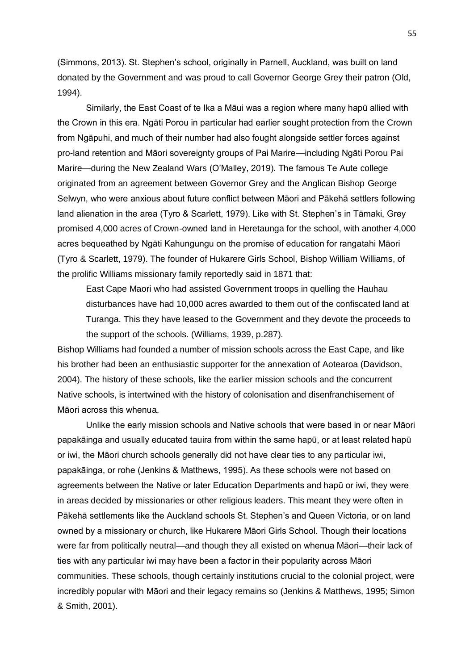(Simmons, 2013). St. Stephen's school, originally in Parnell, Auckland, was built on land donated by the Government and was proud to call Governor George Grey their patron (Old, 1994).

Similarly, the East Coast of te Ika a Māui was a region where many hapū allied with the Crown in this era. Ngāti Porou in particular had earlier sought protection from the Crown from Ngāpuhi, and much of their number had also fought alongside settler forces against pro-land retention and Māori sovereignty groups of Pai Marire—including Ngāti Porou Pai Marire—during the New Zealand Wars (O'Malley, 2019). The famous Te Aute college originated from an agreement between Governor Grey and the Anglican Bishop George Selwyn, who were anxious about future conflict between Māori and Pākehā settlers following land alienation in the area (Tyro & Scarlett, 1979). Like with St. Stephen's in Tāmaki, Grey promised 4,000 acres of Crown-owned land in Heretaunga for the school, with another 4,000 acres bequeathed by Ngāti Kahungungu on the promise of education for rangatahi Māori (Tyro & Scarlett, 1979). The founder of Hukarere Girls School, Bishop William Williams, of the prolific Williams missionary family reportedly said in 1871 that:

East Cape Maori who had assisted Government troops in quelling the Hauhau disturbances have had 10,000 acres awarded to them out of the confiscated land at Turanga. This they have leased to the Government and they devote the proceeds to the support of the schools. (Williams, 1939, p.287).

Bishop Williams had founded a number of mission schools across the East Cape, and like his brother had been an enthusiastic supporter for the annexation of Aotearoa (Davidson, 2004). The history of these schools, like the earlier mission schools and the concurrent Native schools, is intertwined with the history of colonisation and disenfranchisement of Māori across this whenua.

Unlike the early mission schools and Native schools that were based in or near Māori papakāinga and usually educated tauira from within the same hapū, or at least related hapū or iwi, the Māori church schools generally did not have clear ties to any particular iwi, papakāinga, or rohe (Jenkins & Matthews, 1995). As these schools were not based on agreements between the Native or later Education Departments and hapū or iwi, they were in areas decided by missionaries or other religious leaders. This meant they were often in Pākehā settlements like the Auckland schools St. Stephen's and Queen Victoria, or on land owned by a missionary or church, like Hukarere Māori Girls School. Though their locations were far from politically neutral—and though they all existed on whenua Māori—their lack of ties with any particular iwi may have been a factor in their popularity across Māori communities. These schools, though certainly institutions crucial to the colonial project, were incredibly popular with Māori and their legacy remains so (Jenkins & Matthews, 1995; Simon & Smith, 2001).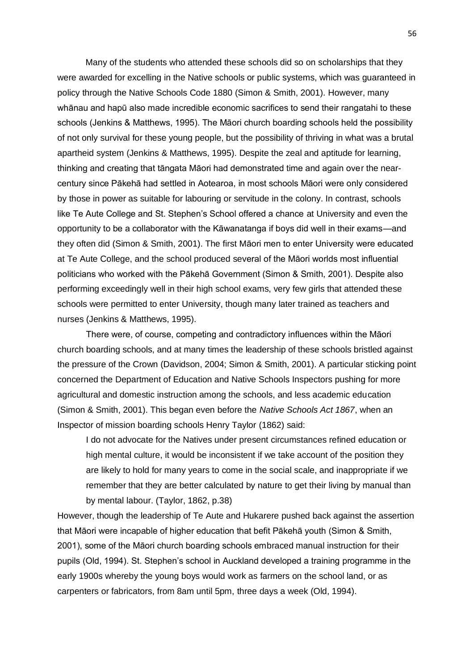Many of the students who attended these schools did so on scholarships that they were awarded for excelling in the Native schools or public systems, which was guaranteed in policy through the Native Schools Code 1880 (Simon & Smith, 2001)*.* However, many whānau and hapū also made incredible economic sacrifices to send their rangatahi to these schools (Jenkins & Matthews, 1995). The Māori church boarding schools held the possibility of not only survival for these young people, but the possibility of thriving in what was a brutal apartheid system (Jenkins & Matthews, 1995). Despite the zeal and aptitude for learning, thinking and creating that tāngata Māori had demonstrated time and again over the nearcentury since Pākehā had settled in Aotearoa, in most schools Māori were only considered by those in power as suitable for labouring or servitude in the colony. In contrast, schools like Te Aute College and St. Stephen's School offered a chance at University and even the opportunity to be a collaborator with the Kāwanatanga if boys did well in their exams—and they often did (Simon & Smith, 2001). The first Māori men to enter University were educated at Te Aute College, and the school produced several of the Māori worlds most influential politicians who worked with the Pākehā Government (Simon & Smith, 2001). Despite also performing exceedingly well in their high school exams, very few girls that attended these schools were permitted to enter University, though many later trained as teachers and nurses (Jenkins & Matthews, 1995).

There were, of course, competing and contradictory influences within the Māori church boarding schools, and at many times the leadership of these schools bristled against the pressure of the Crown (Davidson, 2004; Simon & Smith, 2001). A particular sticking point concerned the Department of Education and Native Schools Inspectors pushing for more agricultural and domestic instruction among the schools, and less academic education (Simon & Smith, 2001). This began even before the *Native Schools Act 1867*, when an Inspector of mission boarding schools Henry Taylor (1862) said:

I do not advocate for the Natives under present circumstances refined education or high mental culture, it would be inconsistent if we take account of the position they are likely to hold for many years to come in the social scale, and inappropriate if we remember that they are better calculated by nature to get their living by manual than by mental labour. (Taylor, 1862, p.38)

However, though the leadership of Te Aute and Hukarere pushed back against the assertion that Māori were incapable of higher education that befit Pākehā youth (Simon & Smith, 2001), some of the Māori church boarding schools embraced manual instruction for their pupils (Old, 1994). St. Stephen's school in Auckland developed a training programme in the early 1900s whereby the young boys would work as farmers on the school land, or as carpenters or fabricators, from 8am until 5pm, three days a week (Old, 1994).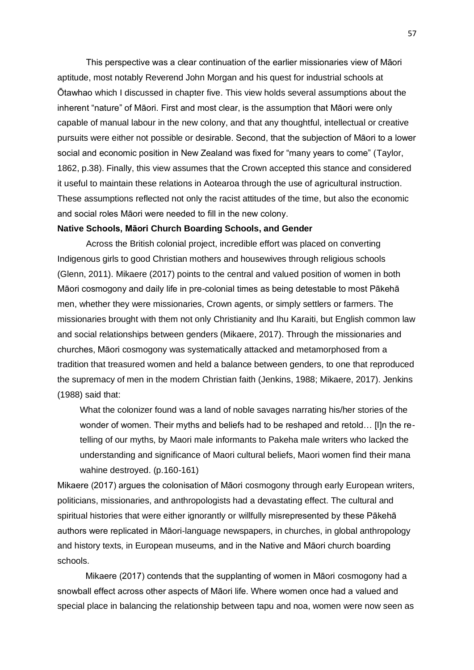This perspective was a clear continuation of the earlier missionaries view of Māori aptitude, most notably Reverend John Morgan and his quest for industrial schools at Ōtawhao which I discussed in chapter five. This view holds several assumptions about the inherent "nature" of Māori. First and most clear, is the assumption that Māori were only capable of manual labour in the new colony, and that any thoughtful, intellectual or creative pursuits were either not possible or desirable. Second, that the subjection of Māori to a lower social and economic position in New Zealand was fixed for "many years to come" (Taylor, 1862, p.38). Finally, this view assumes that the Crown accepted this stance and considered it useful to maintain these relations in Aotearoa through the use of agricultural instruction. These assumptions reflected not only the racist attitudes of the time, but also the economic and social roles Māori were needed to fill in the new colony.

#### **Native Schools, Māori Church Boarding Schools, and Gender**

Across the British colonial project, incredible effort was placed on converting Indigenous girls to good Christian mothers and housewives through religious schools (Glenn, 2011). Mikaere (2017) points to the central and valued position of women in both Māori cosmogony and daily life in pre-colonial times as being detestable to most Pākehā men, whether they were missionaries, Crown agents, or simply settlers or farmers. The missionaries brought with them not only Christianity and Ihu Karaiti, but English common law and social relationships between genders (Mikaere, 2017). Through the missionaries and churches, Māori cosmogony was systematically attacked and metamorphosed from a tradition that treasured women and held a balance between genders, to one that reproduced the supremacy of men in the modern Christian faith (Jenkins, 1988; Mikaere, 2017). Jenkins (1988) said that:

What the colonizer found was a land of noble savages narrating his/her stories of the wonder of women. Their myths and beliefs had to be reshaped and retold… [I]n the retelling of our myths, by Maori male informants to Pakeha male writers who lacked the understanding and significance of Maori cultural beliefs, Maori women find their mana wahine destroyed. (p.160-161)

Mikaere (2017) argues the colonisation of Māori cosmogony through early European writers, politicians, missionaries, and anthropologists had a devastating effect. The cultural and spiritual histories that were either ignorantly or willfully misrepresented by these Pākehā authors were replicated in Māori-language newspapers, in churches, in global anthropology and history texts, in European museums, and in the Native and Māori church boarding schools.

Mikaere (2017) contends that the supplanting of women in Māori cosmogony had a snowball effect across other aspects of Māori life. Where women once had a valued and special place in balancing the relationship between tapu and noa, women were now seen as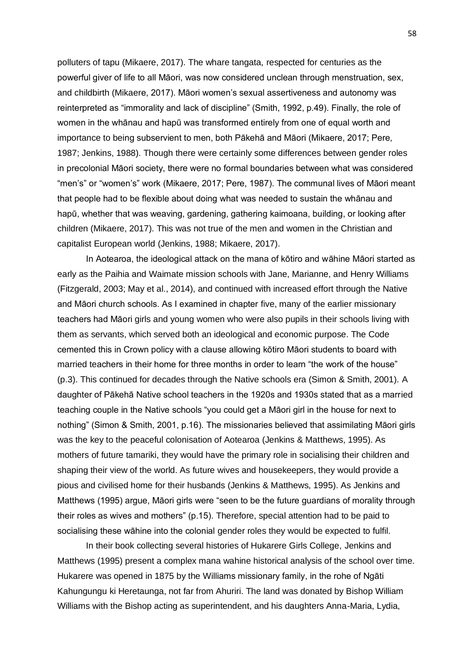polluters of tapu (Mikaere, 2017). The whare tangata, respected for centuries as the powerful giver of life to all Māori, was now considered unclean through menstruation, sex, and childbirth (Mikaere, 2017). Māori women's sexual assertiveness and autonomy was reinterpreted as "immorality and lack of discipline" (Smith, 1992, p.49). Finally, the role of women in the whānau and hapū was transformed entirely from one of equal worth and importance to being subservient to men, both Pākehā and Māori (Mikaere, 2017; Pere, 1987; Jenkins, 1988). Though there were certainly some differences between gender roles in precolonial Māori society, there were no formal boundaries between what was considered "men's" or "women's" work (Mikaere, 2017; Pere, 1987). The communal lives of Māori meant that people had to be flexible about doing what was needed to sustain the whānau and hapū, whether that was weaving, gardening, gathering kaimoana, building, or looking after children (Mikaere, 2017). This was not true of the men and women in the Christian and capitalist European world (Jenkins, 1988; Mikaere, 2017).

In Aotearoa, the ideological attack on the mana of kōtiro and wāhine Māori started as early as the Paihia and Waimate mission schools with Jane, Marianne, and Henry Williams (Fitzgerald, 2003; May et al., 2014), and continued with increased effort through the Native and Māori church schools. As I examined in chapter five, many of the earlier missionary teachers had Māori girls and young women who were also pupils in their schools living with them as servants, which served both an ideological and economic purpose. The Code cemented this in Crown policy with a clause allowing kōtiro Māori students to board with married teachers in their home for three months in order to learn "the work of the house" (p.3). This continued for decades through the Native schools era (Simon & Smith, 2001). A daughter of Pākehā Native school teachers in the 1920s and 1930s stated that as a married teaching couple in the Native schools "you could get a Māori girl in the house for next to nothing" (Simon & Smith, 2001, p.16). The missionaries believed that assimilating Māori girls was the key to the peaceful colonisation of Aotearoa (Jenkins & Matthews, 1995). As mothers of future tamariki, they would have the primary role in socialising their children and shaping their view of the world. As future wives and housekeepers, they would provide a pious and civilised home for their husbands (Jenkins & Matthews, 1995). As Jenkins and Matthews (1995) argue, Māori girls were "seen to be the future guardians of morality through their roles as wives and mothers" (p.15). Therefore, special attention had to be paid to socialising these wāhine into the colonial gender roles they would be expected to fulfil.

In their book collecting several histories of Hukarere Girls College, Jenkins and Matthews (1995) present a complex mana wahine historical analysis of the school over time. Hukarere was opened in 1875 by the Williams missionary family, in the rohe of Ngāti Kahungungu ki Heretaunga, not far from Ahuriri. The land was donated by Bishop William Williams with the Bishop acting as superintendent, and his daughters Anna-Maria, Lydia,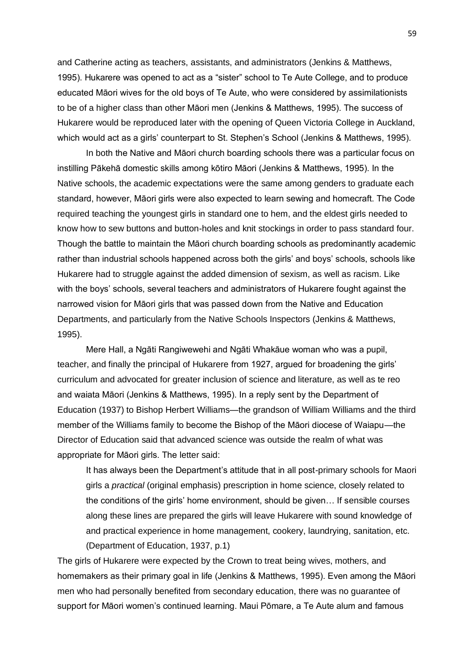and Catherine acting as teachers, assistants, and administrators (Jenkins & Matthews, 1995). Hukarere was opened to act as a "sister" school to Te Aute College, and to produce educated Māori wives for the old boys of Te Aute, who were considered by assimilationists to be of a higher class than other Māori men (Jenkins & Matthews, 1995). The success of Hukarere would be reproduced later with the opening of Queen Victoria College in Auckland, which would act as a girls' counterpart to St. Stephen's School (Jenkins & Matthews, 1995).

In both the Native and Māori church boarding schools there was a particular focus on instilling Pākehā domestic skills among kōtiro Māori (Jenkins & Matthews, 1995). In the Native schools, the academic expectations were the same among genders to graduate each standard, however, Māori girls were also expected to learn sewing and homecraft. The Code required teaching the youngest girls in standard one to hem, and the eldest girls needed to know how to sew buttons and button-holes and knit stockings in order to pass standard four. Though the battle to maintain the Māori church boarding schools as predominantly academic rather than industrial schools happened across both the girls' and boys' schools, schools like Hukarere had to struggle against the added dimension of sexism, as well as racism. Like with the boys' schools, several teachers and administrators of Hukarere fought against the narrowed vision for Māori girls that was passed down from the Native and Education Departments, and particularly from the Native Schools Inspectors (Jenkins & Matthews, 1995).

Mere Hall, a Ngāti Rangiwewehi and Ngāti Whakāue woman who was a pupil, teacher, and finally the principal of Hukarere from 1927, argued for broadening the girls' curriculum and advocated for greater inclusion of science and literature, as well as te reo and waiata Māori (Jenkins & Matthews, 1995). In a reply sent by the Department of Education (1937) to Bishop Herbert Williams—the grandson of William Williams and the third member of the Williams family to become the Bishop of the Māori diocese of Waiapu—the Director of Education said that advanced science was outside the realm of what was appropriate for Māori girls. The letter said:

It has always been the Department's attitude that in all post-primary schools for Maori girls a *practical* (original emphasis) prescription in home science, closely related to the conditions of the girls' home environment, should be given… If sensible courses along these lines are prepared the girls will leave Hukarere with sound knowledge of and practical experience in home management, cookery, laundrying, sanitation, etc. (Department of Education, 1937, p.1)

The girls of Hukarere were expected by the Crown to treat being wives, mothers, and homemakers as their primary goal in life (Jenkins & Matthews, 1995). Even among the Māori men who had personally benefited from secondary education, there was no guarantee of support for Māori women's continued learning. Maui Pōmare, a Te Aute alum and famous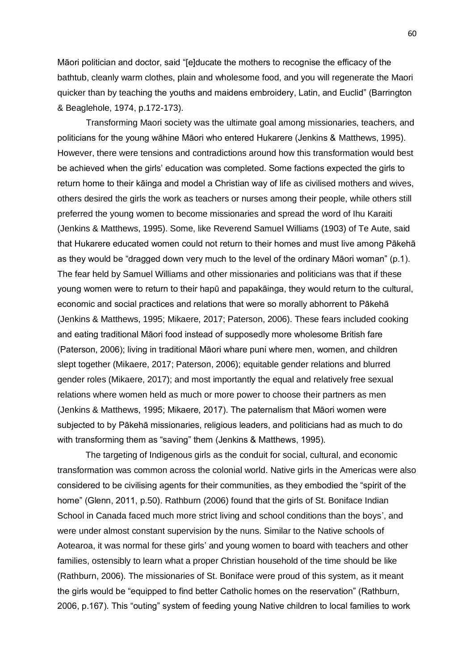Māori politician and doctor, said "[e]ducate the mothers to recognise the efficacy of the bathtub, cleanly warm clothes, plain and wholesome food, and you will regenerate the Maori quicker than by teaching the youths and maidens embroidery, Latin, and Euclid" (Barrington & Beaglehole, 1974, p.172-173).

Transforming Maori society was the ultimate goal among missionaries, teachers, and politicians for the young wāhine Māori who entered Hukarere (Jenkins & Matthews, 1995). However, there were tensions and contradictions around how this transformation would best be achieved when the girls' education was completed. Some factions expected the girls to return home to their kāinga and model a Christian way of life as civilised mothers and wives, others desired the girls the work as teachers or nurses among their people, while others still preferred the young women to become missionaries and spread the word of Ihu Karaiti (Jenkins & Matthews, 1995). Some, like Reverend Samuel Williams (1903) of Te Aute, said that Hukarere educated women could not return to their homes and must live among Pākehā as they would be "dragged down very much to the level of the ordinary Māori woman" (p.1). The fear held by Samuel Williams and other missionaries and politicians was that if these young women were to return to their hapū and papakāinga, they would return to the cultural, economic and social practices and relations that were so morally abhorrent to Pākehā (Jenkins & Matthews, 1995; Mikaere, 2017; Paterson, 2006). These fears included cooking and eating traditional Māori food instead of supposedly more wholesome British fare (Paterson, 2006); living in traditional Māori whare puni where men, women, and children slept together (Mikaere, 2017; Paterson, 2006); equitable gender relations and blurred gender roles (Mikaere, 2017); and most importantly the equal and relatively free sexual relations where women held as much or more power to choose their partners as men (Jenkins & Matthews, 1995; Mikaere, 2017). The paternalism that Māori women were subjected to by Pākehā missionaries, religious leaders, and politicians had as much to do with transforming them as "saving" them (Jenkins & Matthews, 1995).

The targeting of Indigenous girls as the conduit for social, cultural, and economic transformation was common across the colonial world. Native girls in the Americas were also considered to be civilising agents for their communities, as they embodied the "spirit of the home" (Glenn, 2011, p.50). Rathburn (2006) found that the girls of St. Boniface Indian School in Canada faced much more strict living and school conditions than the boys', and were under almost constant supervision by the nuns. Similar to the Native schools of Aotearoa, it was normal for these girls' and young women to board with teachers and other families, ostensibly to learn what a proper Christian household of the time should be like (Rathburn, 2006). The missionaries of St. Boniface were proud of this system, as it meant the girls would be "equipped to find better Catholic homes on the reservation" (Rathburn, 2006, p.167). This "outing" system of feeding young Native children to local families to work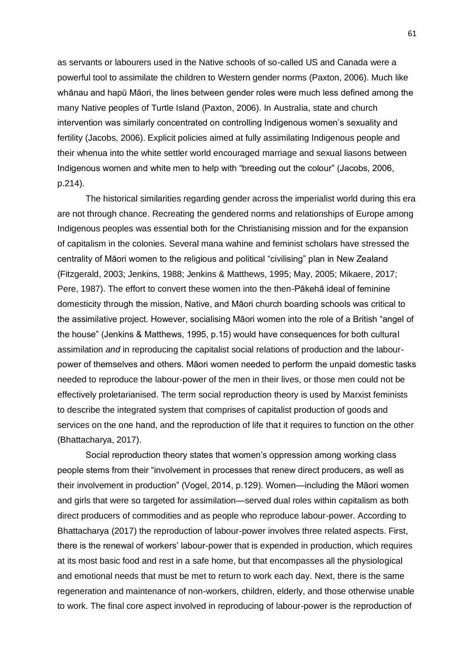as servants or labourers used in the Native schools of so-called US and Canada were a powerful tool to assimilate the children to Western gender norms (Paxton, 2006). Much like whānau and hapū Māori, the lines between gender roles were much less defined among the many Native peoples of Turtle Island (Paxton, 2006). In Australia, state and church intervention was similarly concentrated on controlling Indigenous women's sexuality and fertility (Jacobs, 2006). Explicit policies aimed at fully assimilating Indigenous people and their whenua into the white settler world encouraged marriage and sexual liasons between Indigenous women and white men to help with "breeding out the colour" (Jacobs, 2006, p.214).

The historical similarities regarding gender across the imperialist world during this era are not through chance. Recreating the gendered norms and relationships of Europe among Indigenous peoples was essential both for the Christianising mission and for the expansion of capitalism in the colonies. Several mana wahine and feminist scholars have stressed the centrality of Māori women to the religious and political "civilising" plan in New Zealand (Fitzgerald, 2003; Jenkins, 1988; Jenkins & Matthews, 1995; May, 2005; Mikaere, 2017; Pere, 1987). The effort to convert these women into the then-Pākehā ideal of feminine domesticity through the mission, Native, and Māori church boarding schools was critical to the assimilative project. However, socialising Māori women into the role of a British "angel of the house" (Jenkins & Matthews, 1995, p.15) would have consequences for both cultural assimilation *and* in reproducing the capitalist social relations of production and the labourpower of themselves and others. Māori women needed to perform the unpaid domestic tasks needed to reproduce the labour-power of the men in their lives, or those men could not be effectively proletarianised. The term social reproduction theory is used by Marxist feminists to describe the integrated system that comprises of capitalist production of goods and services on the one hand, and the reproduction of life that it requires to function on the other (Bhattacharya, 2017).

Social reproduction theory states that women's oppression among working class people stems from their "involvement in processes that renew direct producers, as well as their involvement in production" (Vogel, 2014, p.129). Women—including the Māori women and girls that were so targeted for assimilation—served dual roles within capitalism as both direct producers of commodities and as people who reproduce labour-power. According to Bhattacharya (2017) the reproduction of labour-power involves three related aspects. First, there is the renewal of workers' labour-power that is expended in production, which requires at its most basic food and rest in a safe home, but that encompasses all the physiological and emotional needs that must be met to return to work each day. Next, there is the same regeneration and maintenance of non-workers, children, elderly, and those otherwise unable to work. The final core aspect involved in reproducing of labour-power is the reproduction of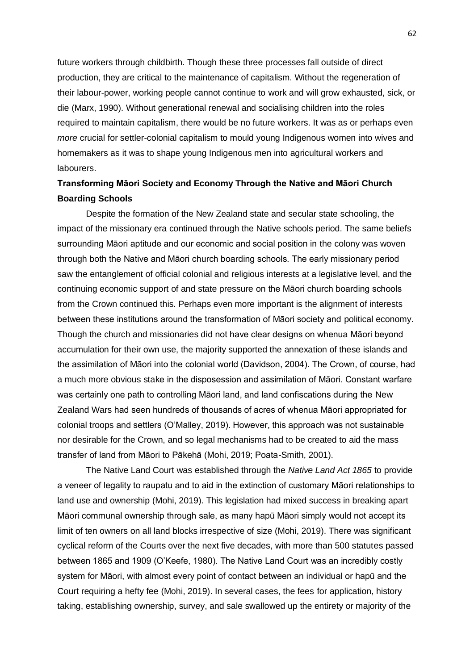future workers through childbirth. Though these three processes fall outside of direct production, they are critical to the maintenance of capitalism. Without the regeneration of their labour-power, working people cannot continue to work and will grow exhausted, sick, or die (Marx, 1990). Without generational renewal and socialising children into the roles required to maintain capitalism, there would be no future workers. It was as or perhaps even *more* crucial for settler-colonial capitalism to mould young Indigenous women into wives and homemakers as it was to shape young Indigenous men into agricultural workers and labourers.

# **Transforming Māori Society and Economy Through the Native and Māori Church Boarding Schools**

Despite the formation of the New Zealand state and secular state schooling, the impact of the missionary era continued through the Native schools period. The same beliefs surrounding Māori aptitude and our economic and social position in the colony was woven through both the Native and Māori church boarding schools. The early missionary period saw the entanglement of official colonial and religious interests at a legislative level, and the continuing economic support of and state pressure on the Māori church boarding schools from the Crown continued this. Perhaps even more important is the alignment of interests between these institutions around the transformation of Māori society and political economy. Though the church and missionaries did not have clear designs on whenua Māori beyond accumulation for their own use, the majority supported the annexation of these islands and the assimilation of Māori into the colonial world (Davidson, 2004). The Crown, of course, had a much more obvious stake in the disposession and assimilation of Māori. Constant warfare was certainly one path to controlling Māori land, and land confiscations during the New Zealand Wars had seen hundreds of thousands of acres of whenua Māori appropriated for colonial troops and settlers (O'Malley, 2019). However, this approach was not sustainable nor desirable for the Crown, and so legal mechanisms had to be created to aid the mass transfer of land from Māori to Pākehā (Mohi, 2019; Poata-Smith, 2001).

The Native Land Court was established through the *Native Land Act 1865* to provide a veneer of legality to raupatu and to aid in the extinction of customary Māori relationships to land use and ownership (Mohi, 2019). This legislation had mixed success in breaking apart Māori communal ownership through sale, as many hapū Māori simply would not accept its limit of ten owners on all land blocks irrespective of size (Mohi, 2019). There was significant cyclical reform of the Courts over the next five decades, with more than 500 statutes passed between 1865 and 1909 (O'Keefe, 1980). The Native Land Court was an incredibly costly system for Māori, with almost every point of contact between an individual or hapū and the Court requiring a hefty fee (Mohi, 2019). In several cases, the fees for application, history taking, establishing ownership, survey, and sale swallowed up the entirety or majority of the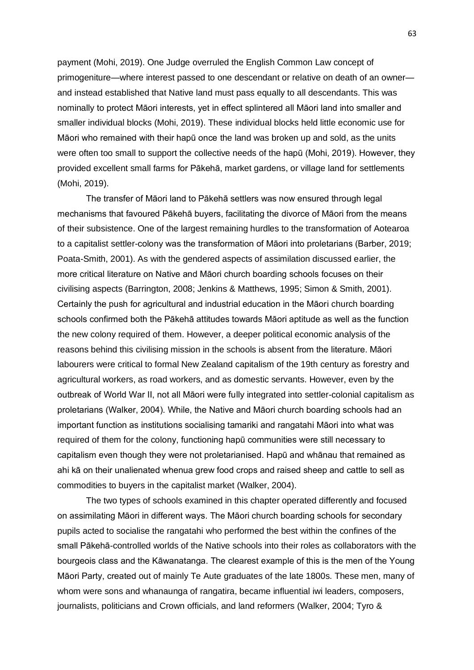payment (Mohi, 2019). One Judge overruled the English Common Law concept of primogeniture—where interest passed to one descendant or relative on death of an owner and instead established that Native land must pass equally to all descendants. This was nominally to protect Māori interests, yet in effect splintered all Māori land into smaller and smaller individual blocks (Mohi, 2019). These individual blocks held little economic use for Māori who remained with their hapū once the land was broken up and sold, as the units were often too small to support the collective needs of the hapū (Mohi, 2019). However, they provided excellent small farms for Pākehā, market gardens, or village land for settlements (Mohi, 2019).

The transfer of Māori land to Pākehā settlers was now ensured through legal mechanisms that favoured Pākehā buyers, facilitating the divorce of Māori from the means of their subsistence. One of the largest remaining hurdles to the transformation of Aotearoa to a capitalist settler-colony was the transformation of Māori into proletarians (Barber, 2019; Poata-Smith, 2001). As with the gendered aspects of assimilation discussed earlier, the more critical literature on Native and Māori church boarding schools focuses on their civilising aspects (Barrington, 2008; Jenkins & Matthews, 1995; Simon & Smith, 2001). Certainly the push for agricultural and industrial education in the Māori church boarding schools confirmed both the Pākehā attitudes towards Māori aptitude as well as the function the new colony required of them. However, a deeper political economic analysis of the reasons behind this civilising mission in the schools is absent from the literature. Māori labourers were critical to formal New Zealand capitalism of the 19th century as forestry and agricultural workers, as road workers, and as domestic servants. However, even by the outbreak of World War II, not all Māori were fully integrated into settler-colonial capitalism as proletarians (Walker, 2004). While, the Native and Māori church boarding schools had an important function as institutions socialising tamariki and rangatahi Māori into what was required of them for the colony, functioning hapū communities were still necessary to capitalism even though they were not proletarianised. Hapū and whānau that remained as ahi kā on their unalienated whenua grew food crops and raised sheep and cattle to sell as commodities to buyers in the capitalist market (Walker, 2004).

The two types of schools examined in this chapter operated differently and focused on assimilating Māori in different ways. The Māori church boarding schools for secondary pupils acted to socialise the rangatahi who performed the best within the confines of the small Pākehā-controlled worlds of the Native schools into their roles as collaborators with the bourgeois class and the Kāwanatanga. The clearest example of this is the men of the Young Māori Party, created out of mainly Te Aute graduates of the late 1800s. These men, many of whom were sons and whanaunga of rangatira, became influential iwi leaders, composers, journalists, politicians and Crown officials, and land reformers (Walker, 2004; Tyro &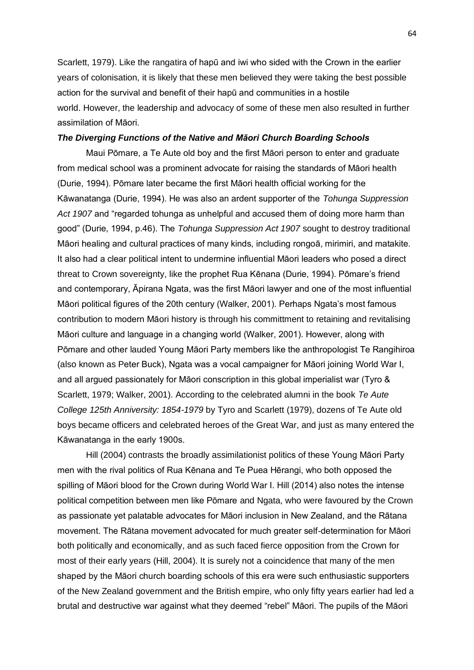Scarlett, 1979). Like the rangatira of hapū and iwi who sided with the Crown in the earlier years of colonisation, it is likely that these men believed they were taking the best possible action for the survival and benefit of their hapū and communities in a hostile world. However, the leadership and advocacy of some of these men also resulted in further assimilation of Māori.

## *The Diverging Functions of the Native and Māori Church Boarding Schools*

Maui Pōmare, a Te Aute old boy and the first Māori person to enter and graduate from medical school was a prominent advocate for raising the standards of Māori health (Durie, 1994). Pōmare later became the first Māori health official working for the Kāwanatanga (Durie, 1994). He was also an ardent supporter of the *Tohunga Suppression Act 1907* and "regarded tohunga as unhelpful and accused them of doing more harm than good" (Durie, 1994, p.46). The *Tohunga Suppression Act 1907* sought to destroy traditional Māori healing and cultural practices of many kinds, including rongoā, mirimiri, and matakite. It also had a clear political intent to undermine influential Māori leaders who posed a direct threat to Crown sovereignty, like the prophet Rua Kēnana (Durie, 1994). Pōmare's friend and contemporary, Āpirana Ngata, was the first Māori lawyer and one of the most influential Māori political figures of the 20th century (Walker, 2001). Perhaps Ngata's most famous contribution to modern Māori history is through his committment to retaining and revitalising Māori culture and language in a changing world (Walker, 2001). However, along with Pōmare and other lauded Young Māori Party members like the anthropologist Te Rangihiroa (also known as Peter Buck), Ngata was a vocal campaigner for Māori joining World War I, and all argued passionately for Māori conscription in this global imperialist war (Tyro & Scarlett, 1979; Walker, 2001). According to the celebrated alumni in the book *Te Aute College 125th Anniversity: 1854-1979* by Tyro and Scarlett (1979), dozens of Te Aute old boys became officers and celebrated heroes of the Great War, and just as many entered the Kāwanatanga in the early 1900s.

Hill (2004) contrasts the broadly assimilationist politics of these Young Māori Party men with the rival politics of Rua Kēnana and Te Puea Hērangi, who both opposed the spilling of Māori blood for the Crown during World War I. Hill (2014) also notes the intense political competition between men like Pōmare and Ngata, who were favoured by the Crown as passionate yet palatable advocates for Māori inclusion in New Zealand, and the Rātana movement. The Rātana movement advocated for much greater self-determination for Māori both politically and economically, and as such faced fierce opposition from the Crown for most of their early years (Hill, 2004). It is surely not a coincidence that many of the men shaped by the Māori church boarding schools of this era were such enthusiastic supporters of the New Zealand government and the British empire, who only fifty years earlier had led a brutal and destructive war against what they deemed "rebel" Māori. The pupils of the Māori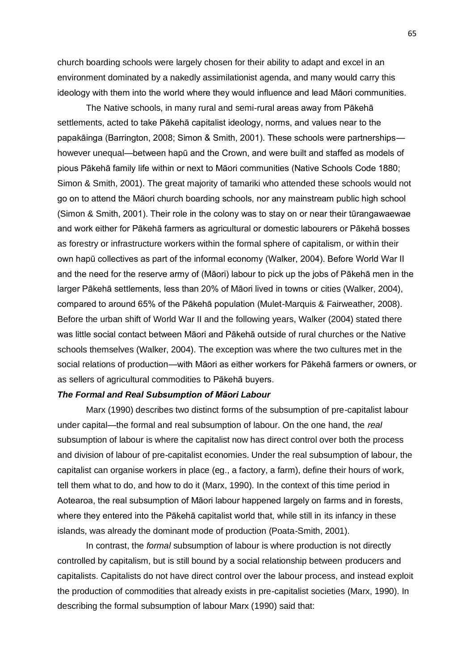church boarding schools were largely chosen for their ability to adapt and excel in an environment dominated by a nakedly assimilationist agenda, and many would carry this ideology with them into the world where they would influence and lead Māori communities.

The Native schools, in many rural and semi-rural areas away from Pākehā settlements, acted to take Pākehā capitalist ideology, norms, and values near to the papakāinga (Barrington, 2008; Simon & Smith, 2001). These schools were partnerships however unequal—between hapū and the Crown, and were built and staffed as models of pious Pākehā family life within or next to Māori communities (Native Schools Code 1880; Simon & Smith, 2001). The great majority of tamariki who attended these schools would not go on to attend the Māori church boarding schools, nor any mainstream public high school (Simon & Smith, 2001). Their role in the colony was to stay on or near their tūrangawaewae and work either for Pākehā farmers as agricultural or domestic labourers or Pākehā bosses as forestry or infrastructure workers within the formal sphere of capitalism, or within their own hapū collectives as part of the informal economy (Walker, 2004). Before World War II and the need for the reserve army of (Māori) labour to pick up the jobs of Pākehā men in the larger Pākehā settlements, less than 20% of Māori lived in towns or cities (Walker, 2004), compared to around 65% of the Pākehā population (Mulet-Marquis & Fairweather, 2008). Before the urban shift of World War II and the following years, Walker (2004) stated there was little social contact between Māori and Pākehā outside of rural churches or the Native schools themselves (Walker, 2004). The exception was where the two cultures met in the social relations of production—with Māori as either workers for Pākehā farmers or owners, or as sellers of agricultural commodities to Pākehā buyers.

#### *The Formal and Real Subsumption of Māori Labour*

Marx (1990) describes two distinct forms of the subsumption of pre-capitalist labour under capital—the formal and real subsumption of labour. On the one hand, the *real* subsumption of labour is where the capitalist now has direct control over both the process and division of labour of pre-capitalist economies. Under the real subsumption of labour, the capitalist can organise workers in place (eg., a factory, a farm), define their hours of work, tell them what to do, and how to do it (Marx, 1990). In the context of this time period in Aotearoa, the real subsumption of Māori labour happened largely on farms and in forests, where they entered into the Pākehā capitalist world that, while still in its infancy in these islands, was already the dominant mode of production (Poata-Smith, 2001).

In contrast, the *formal* subsumption of labour is where production is not directly controlled by capitalism, but is still bound by a social relationship between producers and capitalists. Capitalists do not have direct control over the labour process, and instead exploit the production of commodities that already exists in pre-capitalist societies (Marx, 1990). In describing the formal subsumption of labour Marx (1990) said that: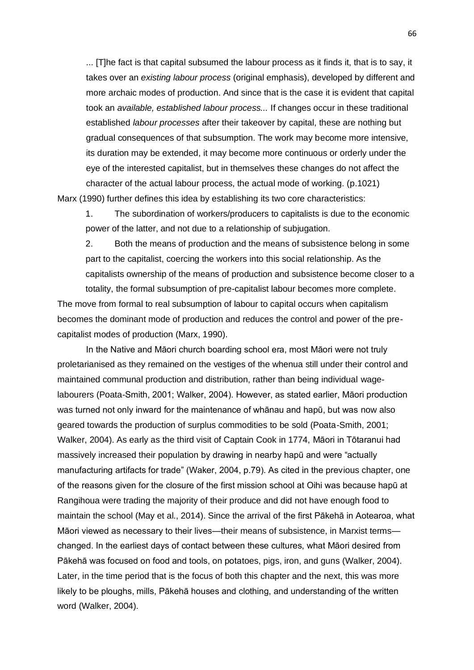... [T]he fact is that capital subsumed the labour process as it finds it, that is to say, it takes over an *existing labour process* (original emphasis), developed by different and more archaic modes of production. And since that is the case it is evident that capital took an *available, established labour process...* If changes occur in these traditional established *labour processes* after their takeover by capital, these are nothing but gradual consequences of that subsumption. The work may become more intensive, its duration may be extended, it may become more continuous or orderly under the eye of the interested capitalist, but in themselves these changes do not affect the character of the actual labour process, the actual mode of working. (p.1021)

Marx (1990) further defines this idea by establishing its two core characteristics:

1. The subordination of workers/producers to capitalists is due to the economic power of the latter, and not due to a relationship of subjugation.

2. Both the means of production and the means of subsistence belong in some part to the capitalist, coercing the workers into this social relationship. As the capitalists ownership of the means of production and subsistence become closer to a

totality, the formal subsumption of pre-capitalist labour becomes more complete. The move from formal to real subsumption of labour to capital occurs when capitalism becomes the dominant mode of production and reduces the control and power of the precapitalist modes of production (Marx, 1990).

In the Native and Māori church boarding school era, most Māori were not truly proletarianised as they remained on the vestiges of the whenua still under their control and maintained communal production and distribution, rather than being individual wagelabourers (Poata-Smith, 2001; Walker, 2004). However, as stated earlier, Māori production was turned not only inward for the maintenance of whānau and hapū, but was now also geared towards the production of surplus commodities to be sold (Poata-Smith, 2001; Walker, 2004). As early as the third visit of Captain Cook in 1774, Māori in Tōtaranui had massively increased their population by drawing in nearby hapū and were "actually manufacturing artifacts for trade" (Waker, 2004, p.79). As cited in the previous chapter, one of the reasons given for the closure of the first mission school at Oihi was because hapū at Rangihoua were trading the majority of their produce and did not have enough food to maintain the school (May et al., 2014). Since the arrival of the first Pākehā in Aotearoa, what Māori viewed as necessary to their lives—their means of subsistence, in Marxist terms changed. In the earliest days of contact between these cultures, what Māori desired from Pākehā was focused on food and tools, on potatoes, pigs, iron, and guns (Walker, 2004). Later, in the time period that is the focus of both this chapter and the next, this was more likely to be ploughs, mills, Pākehā houses and clothing, and understanding of the written word (Walker, 2004).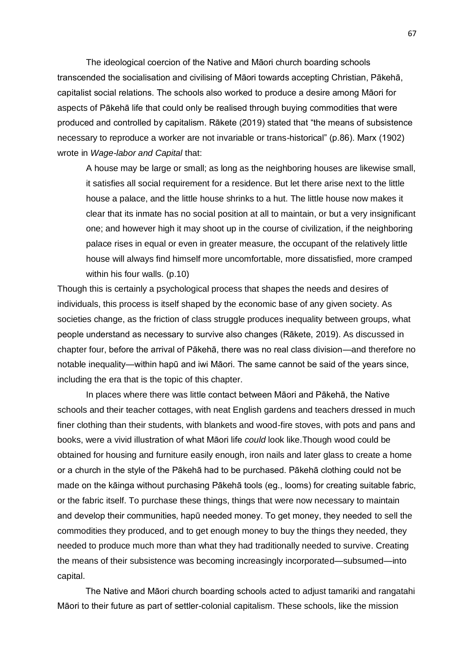The ideological coercion of the Native and Māori church boarding schools transcended the socialisation and civilising of Māori towards accepting Christian, Pākehā, capitalist social relations. The schools also worked to produce a desire among Māori for aspects of Pākehā life that could only be realised through buying commodities that were produced and controlled by capitalism. Rākete (2019) stated that "the means of subsistence necessary to reproduce a worker are not invariable or trans-historical" (p.86). Marx (1902) wrote in *Wage-labor and Capital* that:

A house may be large or small; as long as the neighboring houses are likewise small, it satisfies all social requirement for a residence. But let there arise next to the little house a palace, and the little house shrinks to a hut. The little house now makes it clear that its inmate has no social position at all to maintain, or but a very insignificant one; and however high it may shoot up in the course of civilization, if the neighboring palace rises in equal or even in greater measure, the occupant of the relatively little house will always find himself more uncomfortable, more dissatisfied, more cramped within his four walls. (p.10)

Though this is certainly a psychological process that shapes the needs and desires of individuals, this process is itself shaped by the economic base of any given society. As societies change, as the friction of class struggle produces inequality between groups, what people understand as necessary to survive also changes (Rākete, 2019). As discussed in chapter four, before the arrival of Pākehā, there was no real class division—and therefore no notable inequality—within hapū and iwi Māori. The same cannot be said of the years since, including the era that is the topic of this chapter.

In places where there was little contact between Māori and Pākehā, the Native schools and their teacher cottages, with neat English gardens and teachers dressed in much finer clothing than their students, with blankets and wood-fire stoves, with pots and pans and books, were a vivid illustration of what Māori life *could* look like.Though wood could be obtained for housing and furniture easily enough, iron nails and later glass to create a home or a church in the style of the Pākehā had to be purchased. Pākehā clothing could not be made on the kāinga without purchasing Pākehā tools (eg., looms) for creating suitable fabric, or the fabric itself. To purchase these things, things that were now necessary to maintain and develop their communities, hapū needed money. To get money, they needed to sell the commodities they produced, and to get enough money to buy the things they needed, they needed to produce much more than what they had traditionally needed to survive. Creating the means of their subsistence was becoming increasingly incorporated—subsumed—into capital.

The Native and Māori church boarding schools acted to adjust tamariki and rangatahi Māori to their future as part of settler-colonial capitalism. These schools, like the mission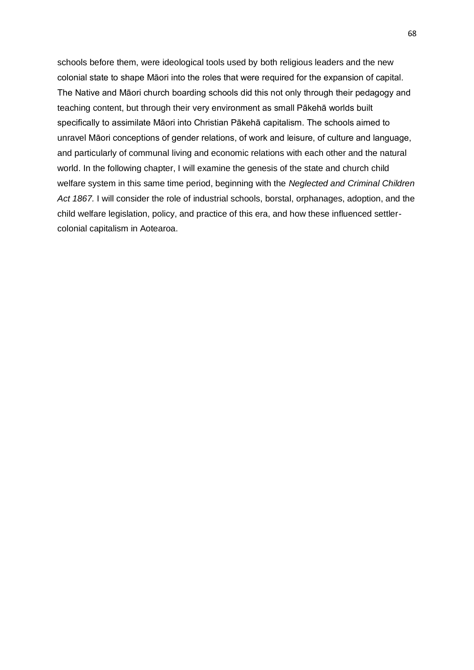schools before them, were ideological tools used by both religious leaders and the new colonial state to shape Māori into the roles that were required for the expansion of capital. The Native and Māori church boarding schools did this not only through their pedagogy and teaching content, but through their very environment as small Pākehā worlds built specifically to assimilate Māori into Christian Pākehā capitalism. The schools aimed to unravel Māori conceptions of gender relations, of work and leisure, of culture and language, and particularly of communal living and economic relations with each other and the natural world. In the following chapter, I will examine the genesis of the state and church child welfare system in this same time period, beginning with the *Neglected and Criminal Children*  Act 1867. I will consider the role of industrial schools, borstal, orphanages, adoption, and the child welfare legislation, policy, and practice of this era, and how these influenced settlercolonial capitalism in Aotearoa.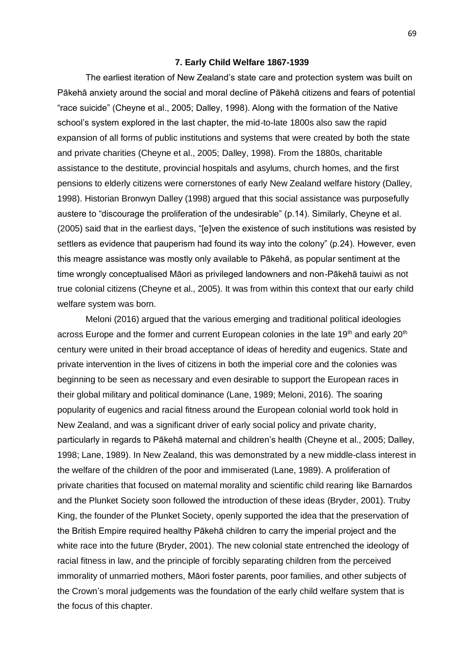#### **7. Early Child Welfare 1867-1939**

The earliest iteration of New Zealand's state care and protection system was built on Pākehā anxiety around the social and moral decline of Pākehā citizens and fears of potential "race suicide" (Cheyne et al., 2005; Dalley, 1998). Along with the formation of the Native school's system explored in the last chapter, the mid-to-late 1800s also saw the rapid expansion of all forms of public institutions and systems that were created by both the state and private charities (Cheyne et al., 2005; Dalley, 1998). From the 1880s, charitable assistance to the destitute, provincial hospitals and asylums, church homes, and the first pensions to elderly citizens were cornerstones of early New Zealand welfare history (Dalley, 1998). Historian Bronwyn Dalley (1998) argued that this social assistance was purposefully austere to "discourage the proliferation of the undesirable" (p.14). Similarly, Cheyne et al. (2005) said that in the earliest days, "[e]ven the existence of such institutions was resisted by settlers as evidence that pauperism had found its way into the colony" (p.24). However, even this meagre assistance was mostly only available to Pākehā, as popular sentiment at the time wrongly conceptualised Māori as privileged landowners and non-Pākehā tauiwi as not true colonial citizens (Cheyne et al., 2005). It was from within this context that our early child welfare system was born.

Meloni (2016) argued that the various emerging and traditional political ideologies across Europe and the former and current European colonies in the late 19<sup>th</sup> and early 20<sup>th</sup> century were united in their broad acceptance of ideas of heredity and eugenics. State and private intervention in the lives of citizens in both the imperial core and the colonies was beginning to be seen as necessary and even desirable to support the European races in their global military and political dominance (Lane, 1989; Meloni, 2016). The soaring popularity of eugenics and racial fitness around the European colonial world took hold in New Zealand, and was a significant driver of early social policy and private charity, particularly in regards to Pākehā maternal and children's health (Cheyne et al., 2005; Dalley, 1998; Lane, 1989). In New Zealand, this was demonstrated by a new middle-class interest in the welfare of the children of the poor and immiserated (Lane, 1989). A proliferation of private charities that focused on maternal morality and scientific child rearing like Barnardos and the Plunket Society soon followed the introduction of these ideas (Bryder, 2001). Truby King, the founder of the Plunket Society, openly supported the idea that the preservation of the British Empire required healthy Pākehā children to carry the imperial project and the white race into the future (Bryder, 2001). The new colonial state entrenched the ideology of racial fitness in law, and the principle of forcibly separating children from the perceived immorality of unmarried mothers, Māori foster parents, poor families, and other subjects of the Crown's moral judgements was the foundation of the early child welfare system that is the focus of this chapter.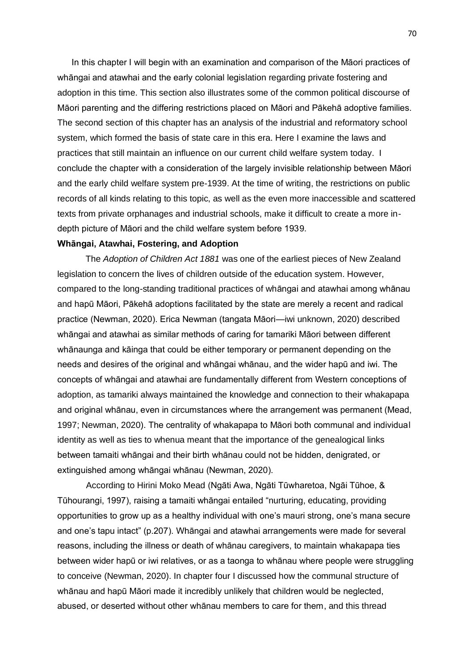In this chapter I will begin with an examination and comparison of the Māori practices of whāngai and atawhai and the early colonial legislation regarding private fostering and adoption in this time. This section also illustrates some of the common political discourse of Māori parenting and the differing restrictions placed on Māori and Pākehā adoptive families. The second section of this chapter has an analysis of the industrial and reformatory school system, which formed the basis of state care in this era. Here I examine the laws and practices that still maintain an influence on our current child welfare system today. I conclude the chapter with a consideration of the largely invisible relationship between Māori and the early child welfare system pre-1939. At the time of writing, the restrictions on public records of all kinds relating to this topic, as well as the even more inaccessible and scattered texts from private orphanages and industrial schools, make it difficult to create a more indepth picture of Māori and the child welfare system before 1939.

## **Whāngai, Atawhai, Fostering, and Adoption**

The *Adoption of Children Act 1881* was one of the earliest pieces of New Zealand legislation to concern the lives of children outside of the education system. However, compared to the long-standing traditional practices of whāngai and atawhai among whānau and hapū Māori, Pākehā adoptions facilitated by the state are merely a recent and radical practice (Newman, 2020). Erica Newman (tangata Māori—iwi unknown, 2020) described whāngai and atawhai as similar methods of caring for tamariki Māori between different whānaunga and kāinga that could be either temporary or permanent depending on the needs and desires of the original and whāngai whānau, and the wider hapū and iwi. The concepts of whāngai and atawhai are fundamentally different from Western conceptions of adoption, as tamariki always maintained the knowledge and connection to their whakapapa and original whānau, even in circumstances where the arrangement was permanent (Mead, 1997; Newman, 2020). The centrality of whakapapa to Māori both communal and individual identity as well as ties to whenua meant that the importance of the genealogical links between tamaiti whāngai and their birth whānau could not be hidden, denigrated, or extinguished among whāngai whānau (Newman, 2020).

According to Hirini Moko Mead (Ngāti Awa, Ngāti Tūwharetoa, Ngāi Tūhoe, & Tūhourangi, 1997), raising a tamaiti whāngai entailed "nurturing, educating, providing opportunities to grow up as a healthy individual with one's mauri strong, one's mana secure and one's tapu intact" (p.207). Whāngai and atawhai arrangements were made for several reasons, including the illness or death of whānau caregivers, to maintain whakapapa ties between wider hapū or iwi relatives, or as a taonga to whānau where people were struggling to conceive (Newman, 2020). In chapter four I discussed how the communal structure of whānau and hapū Māori made it incredibly unlikely that children would be neglected, abused, or deserted without other whānau members to care for them, and this thread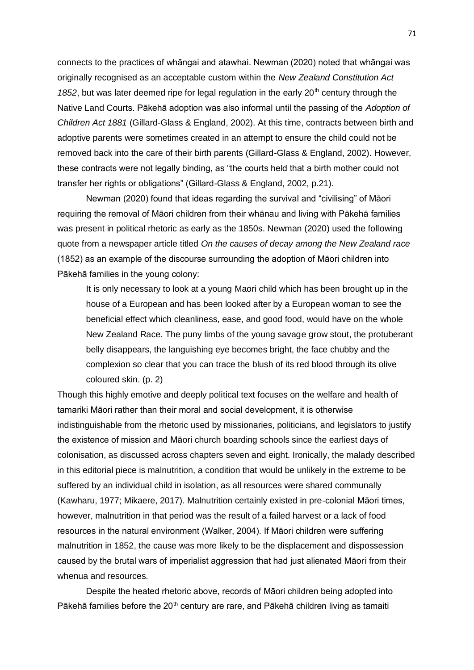connects to the practices of whāngai and atawhai. Newman (2020) noted that whāngai was originally recognised as an acceptable custom within the *New Zealand Constitution Act*  1852, but was later deemed ripe for legal regulation in the early 20<sup>th</sup> century through the Native Land Courts. Pākehā adoption was also informal until the passing of the *Adoption of Children Act 1881* (Gillard-Glass & England, 2002). At this time, contracts between birth and adoptive parents were sometimes created in an attempt to ensure the child could not be removed back into the care of their birth parents (Gillard-Glass & England, 2002). However, these contracts were not legally binding, as "the courts held that a birth mother could not transfer her rights or obligations" (Gillard-Glass & England, 2002, p.21).

Newman (2020) found that ideas regarding the survival and "civilising" of Māori requiring the removal of Māori children from their whānau and living with Pākehā families was present in political rhetoric as early as the 1850s. Newman (2020) used the following quote from a newspaper article titled *On the causes of decay among the New Zealand race*  (1852) as an example of the discourse surrounding the adoption of Māori children into Pākehā families in the young colony:

It is only necessary to look at a young Maori child which has been brought up in the house of a European and has been looked after by a European woman to see the beneficial effect which cleanliness, ease, and good food, would have on the whole New Zealand Race. The puny limbs of the young savage grow stout, the protuberant belly disappears, the languishing eye becomes bright, the face chubby and the complexion so clear that you can trace the blush of its red blood through its olive coloured skin. (p. 2)

Though this highly emotive and deeply political text focuses on the welfare and health of tamariki Māori rather than their moral and social development, it is otherwise indistinguishable from the rhetoric used by missionaries, politicians, and legislators to justify the existence of mission and Māori church boarding schools since the earliest days of colonisation, as discussed across chapters seven and eight. Ironically, the malady described in this editorial piece is malnutrition, a condition that would be unlikely in the extreme to be suffered by an individual child in isolation, as all resources were shared communally (Kawharu, 1977; Mikaere, 2017). Malnutrition certainly existed in pre-colonial Māori times, however, malnutrition in that period was the result of a failed harvest or a lack of food resources in the natural environment (Walker, 2004). If Māori children were suffering malnutrition in 1852, the cause was more likely to be the displacement and dispossession caused by the brutal wars of imperialist aggression that had just alienated Māori from their whenua and resources.

Despite the heated rhetoric above, records of Māori children being adopted into Pākehā families before the 20<sup>th</sup> century are rare, and Pākehā children living as tamaiti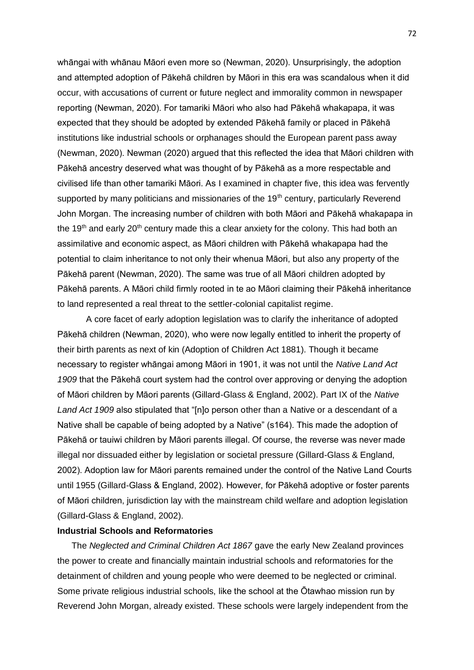whāngai with whānau Māori even more so (Newman, 2020). Unsurprisingly, the adoption and attempted adoption of Pākehā children by Māori in this era was scandalous when it did occur, with accusations of current or future neglect and immorality common in newspaper reporting (Newman, 2020). For tamariki Māori who also had Pākehā whakapapa, it was expected that they should be adopted by extended Pākehā family or placed in Pākehā institutions like industrial schools or orphanages should the European parent pass away (Newman, 2020). Newman (2020) argued that this reflected the idea that Māori children with Pākehā ancestry deserved what was thought of by Pākehā as a more respectable and civilised life than other tamariki Māori. As I examined in chapter five, this idea was fervently supported by many politicians and missionaries of the  $19<sup>th</sup>$  century, particularly Reverend John Morgan. The increasing number of children with both Māori and Pākehā whakapapa in the 19<sup>th</sup> and early 20<sup>th</sup> century made this a clear anxiety for the colony. This had both an assimilative and economic aspect, as Māori children with Pākehā whakapapa had the potential to claim inheritance to not only their whenua Māori, but also any property of the Pākehā parent (Newman, 2020). The same was true of all Māori children adopted by Pākehā parents. A Māori child firmly rooted in te ao Māori claiming their Pākehā inheritance to land represented a real threat to the settler-colonial capitalist regime.

A core facet of early adoption legislation was to clarify the inheritance of adopted Pākehā children (Newman, 2020), who were now legally entitled to inherit the property of their birth parents as next of kin (Adoption of Children Act 1881). Though it became necessary to register whāngai among Māori in 1901, it was not until the *Native Land Act 1909* that the Pākehā court system had the control over approving or denying the adoption of Māori children by Māori parents (Gillard-Glass & England, 2002). Part IX of the *Native Land Act 1909* also stipulated that "[n]o person other than a Native or a descendant of a Native shall be capable of being adopted by a Native" (s164). This made the adoption of Pākehā or tauiwi children by Māori parents illegal. Of course, the reverse was never made illegal nor dissuaded either by legislation or societal pressure (Gillard-Glass & England, 2002). Adoption law for Māori parents remained under the control of the Native Land Courts until 1955 (Gillard-Glass & England, 2002). However, for Pākehā adoptive or foster parents of Māori children, jurisdiction lay with the mainstream child welfare and adoption legislation (Gillard-Glass & England, 2002).

# **Industrial Schools and Reformatories**

The *Neglected and Criminal Children Act 1867* gave the early New Zealand provinces the power to create and financially maintain industrial schools and reformatories for the detainment of children and young people who were deemed to be neglected or criminal. Some private religious industrial schools, like the school at the Ōtawhao mission run by Reverend John Morgan, already existed. These schools were largely independent from the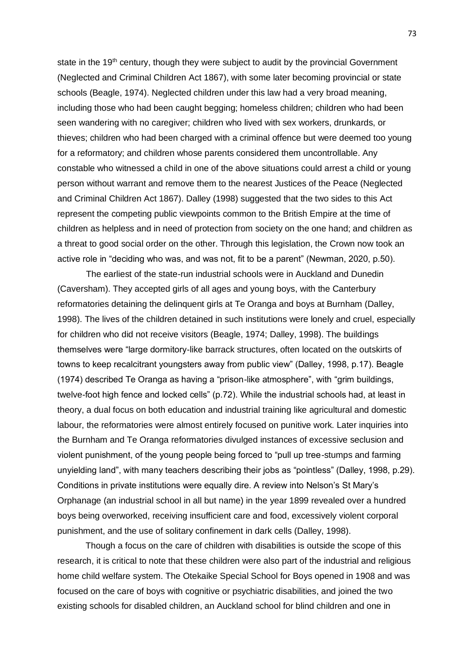state in the 19<sup>th</sup> century, though they were subject to audit by the provincial Government (Neglected and Criminal Children Act 1867), with some later becoming provincial or state schools (Beagle, 1974). Neglected children under this law had a very broad meaning, including those who had been caught begging; homeless children; children who had been seen wandering with no caregiver; children who lived with sex workers, drunkards, or thieves; children who had been charged with a criminal offence but were deemed too young for a reformatory; and children whose parents considered them uncontrollable. Any constable who witnessed a child in one of the above situations could arrest a child or young person without warrant and remove them to the nearest Justices of the Peace (Neglected and Criminal Children Act 1867). Dalley (1998) suggested that the two sides to this Act represent the competing public viewpoints common to the British Empire at the time of children as helpless and in need of protection from society on the one hand; and children as a threat to good social order on the other. Through this legislation, the Crown now took an active role in "deciding who was, and was not, fit to be a parent" (Newman, 2020, p.50).

The earliest of the state-run industrial schools were in Auckland and Dunedin (Caversham). They accepted girls of all ages and young boys, with the Canterbury reformatories detaining the delinquent girls at Te Oranga and boys at Burnham (Dalley, 1998). The lives of the children detained in such institutions were lonely and cruel, especially for children who did not receive visitors (Beagle, 1974; Dalley, 1998). The buildings themselves were "large dormitory-like barrack structures, often located on the outskirts of towns to keep recalcitrant youngsters away from public view" (Dalley, 1998, p.17). Beagle (1974) described Te Oranga as having a "prison-like atmosphere", with "grim buildings, twelve-foot high fence and locked cells" (p.72). While the industrial schools had, at least in theory, a dual focus on both education and industrial training like agricultural and domestic labour, the reformatories were almost entirely focused on punitive work. Later inquiries into the Burnham and Te Oranga reformatories divulged instances of excessive seclusion and violent punishment, of the young people being forced to "pull up tree-stumps and farming unyielding land", with many teachers describing their jobs as "pointless" (Dalley, 1998, p.29). Conditions in private institutions were equally dire. A review into Nelson's St Mary's Orphanage (an industrial school in all but name) in the year 1899 revealed over a hundred boys being overworked, receiving insufficient care and food, excessively violent corporal punishment, and the use of solitary confinement in dark cells (Dalley, 1998).

Though a focus on the care of children with disabilities is outside the scope of this research, it is critical to note that these children were also part of the industrial and religious home child welfare system. The Otekaike Special School for Boys opened in 1908 and was focused on the care of boys with cognitive or psychiatric disabilities, and joined the two existing schools for disabled children, an Auckland school for blind children and one in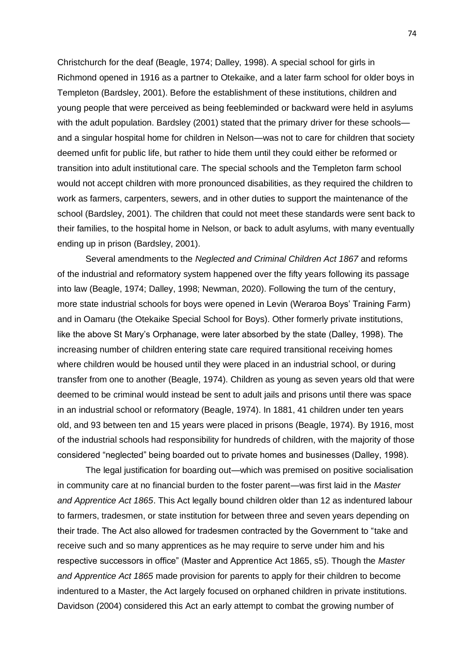Christchurch for the deaf (Beagle, 1974; Dalley, 1998). A special school for girls in Richmond opened in 1916 as a partner to Otekaike, and a later farm school for older boys in Templeton (Bardsley, 2001). Before the establishment of these institutions, children and young people that were perceived as being feebleminded or backward were held in asylums with the adult population. Bardsley (2001) stated that the primary driver for these schools and a singular hospital home for children in Nelson—was not to care for children that society deemed unfit for public life, but rather to hide them until they could either be reformed or transition into adult institutional care. The special schools and the Templeton farm school would not accept children with more pronounced disabilities, as they required the children to work as farmers, carpenters, sewers, and in other duties to support the maintenance of the school (Bardsley, 2001). The children that could not meet these standards were sent back to their families, to the hospital home in Nelson, or back to adult asylums, with many eventually ending up in prison (Bardsley, 2001).

Several amendments to the *Neglected and Criminal Children Act 1867* and reforms of the industrial and reformatory system happened over the fifty years following its passage into law (Beagle, 1974; Dalley, 1998; Newman, 2020). Following the turn of the century, more state industrial schools for boys were opened in Levin (Weraroa Boys' Training Farm) and in Oamaru (the Otekaike Special School for Boys). Other formerly private institutions, like the above St Mary's Orphanage, were later absorbed by the state (Dalley, 1998). The increasing number of children entering state care required transitional receiving homes where children would be housed until they were placed in an industrial school, or during transfer from one to another (Beagle, 1974). Children as young as seven years old that were deemed to be criminal would instead be sent to adult jails and prisons until there was space in an industrial school or reformatory (Beagle, 1974). In 1881, 41 children under ten years old, and 93 between ten and 15 years were placed in prisons (Beagle, 1974). By 1916, most of the industrial schools had responsibility for hundreds of children, with the majority of those considered "neglected" being boarded out to private homes and businesses (Dalley, 1998).

The legal justification for boarding out—which was premised on positive socialisation in community care at no financial burden to the foster parent—was first laid in the *Master and Apprentice Act 1865*. This Act legally bound children older than 12 as indentured labour to farmers, tradesmen, or state institution for between three and seven years depending on their trade. The Act also allowed for tradesmen contracted by the Government to "take and receive such and so many apprentices as he may require to serve under him and his respective successors in office" (Master and Apprentice Act 1865, s5). Though the *Master and Apprentice Act 1865* made provision for parents to apply for their children to become indentured to a Master, the Act largely focused on orphaned children in private institutions. Davidson (2004) considered this Act an early attempt to combat the growing number of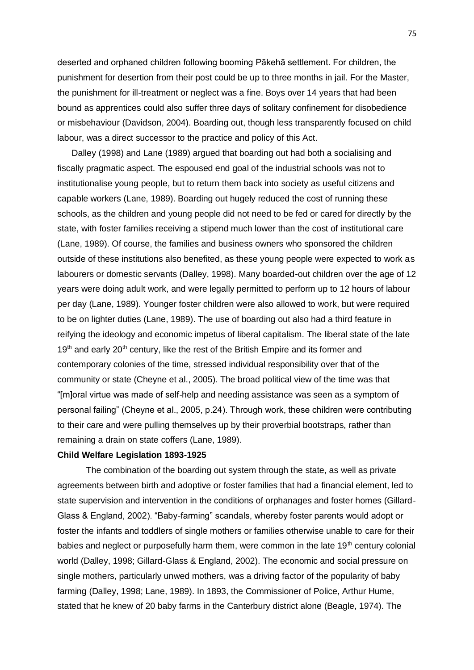deserted and orphaned children following booming Pākehā settlement. For children, the punishment for desertion from their post could be up to three months in jail. For the Master, the punishment for ill-treatment or neglect was a fine. Boys over 14 years that had been bound as apprentices could also suffer three days of solitary confinement for disobedience or misbehaviour (Davidson, 2004). Boarding out, though less transparently focused on child labour, was a direct successor to the practice and policy of this Act.

Dalley (1998) and Lane (1989) argued that boarding out had both a socialising and fiscally pragmatic aspect. The espoused end goal of the industrial schools was not to institutionalise young people, but to return them back into society as useful citizens and capable workers (Lane, 1989). Boarding out hugely reduced the cost of running these schools, as the children and young people did not need to be fed or cared for directly by the state, with foster families receiving a stipend much lower than the cost of institutional care (Lane, 1989). Of course, the families and business owners who sponsored the children outside of these institutions also benefited, as these young people were expected to work as labourers or domestic servants (Dalley, 1998). Many boarded-out children over the age of 12 years were doing adult work, and were legally permitted to perform up to 12 hours of labour per day (Lane, 1989). Younger foster children were also allowed to work, but were required to be on lighter duties (Lane, 1989). The use of boarding out also had a third feature in reifying the ideology and economic impetus of liberal capitalism. The liberal state of the late  $19<sup>th</sup>$  and early 20<sup>th</sup> century, like the rest of the British Empire and its former and contemporary colonies of the time, stressed individual responsibility over that of the community or state (Cheyne et al., 2005). The broad political view of the time was that "[m]oral virtue was made of self-help and needing assistance was seen as a symptom of personal failing" (Cheyne et al., 2005, p.24). Through work, these children were contributing to their care and were pulling themselves up by their proverbial bootstraps, rather than remaining a drain on state coffers (Lane, 1989).

### **Child Welfare Legislation 1893-1925**

The combination of the boarding out system through the state, as well as private agreements between birth and adoptive or foster families that had a financial element, led to state supervision and intervention in the conditions of orphanages and foster homes (Gillard-Glass & England, 2002). "Baby-farming" scandals, whereby foster parents would adopt or foster the infants and toddlers of single mothers or families otherwise unable to care for their babies and neglect or purposefully harm them, were common in the late 19<sup>th</sup> century colonial world (Dalley, 1998; Gillard-Glass & England, 2002). The economic and social pressure on single mothers, particularly unwed mothers, was a driving factor of the popularity of baby farming (Dalley, 1998; Lane, 1989). In 1893, the Commissioner of Police, Arthur Hume, stated that he knew of 20 baby farms in the Canterbury district alone (Beagle, 1974). The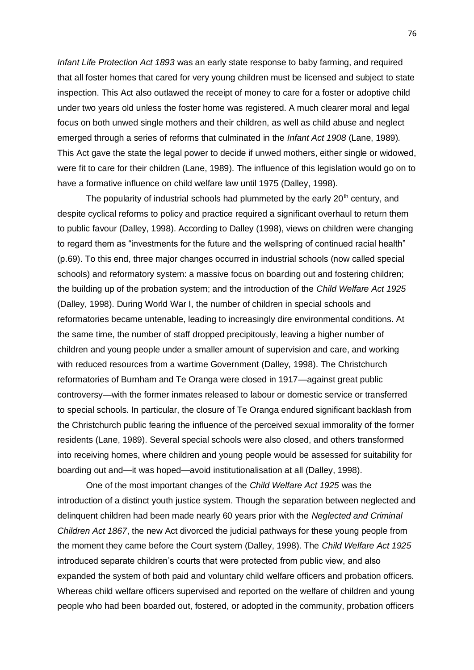*Infant Life Protection Act 1893* was an early state response to baby farming, and required that all foster homes that cared for very young children must be licensed and subject to state inspection. This Act also outlawed the receipt of money to care for a foster or adoptive child under two years old unless the foster home was registered. A much clearer moral and legal focus on both unwed single mothers and their children, as well as child abuse and neglect emerged through a series of reforms that culminated in the *Infant Act 1908* (Lane, 1989)*.*  This Act gave the state the legal power to decide if unwed mothers, either single or widowed, were fit to care for their children (Lane, 1989). The influence of this legislation would go on to have a formative influence on child welfare law until 1975 (Dalley, 1998).

The popularity of industrial schools had plummeted by the early  $20<sup>th</sup>$  century, and despite cyclical reforms to policy and practice required a significant overhaul to return them to public favour (Dalley, 1998). According to Dalley (1998), views on children were changing to regard them as "investments for the future and the wellspring of continued racial health" (p.69). To this end, three major changes occurred in industrial schools (now called special schools) and reformatory system: a massive focus on boarding out and fostering children; the building up of the probation system; and the introduction of the *Child Welfare Act 1925*  (Dalley, 1998). During World War I, the number of children in special schools and reformatories became untenable, leading to increasingly dire environmental conditions. At the same time, the number of staff dropped precipitously, leaving a higher number of children and young people under a smaller amount of supervision and care, and working with reduced resources from a wartime Government (Dalley, 1998). The Christchurch reformatories of Burnham and Te Oranga were closed in 1917—against great public controversy—with the former inmates released to labour or domestic service or transferred to special schools. In particular, the closure of Te Oranga endured significant backlash from the Christchurch public fearing the influence of the perceived sexual immorality of the former residents (Lane, 1989). Several special schools were also closed, and others transformed into receiving homes, where children and young people would be assessed for suitability for boarding out and—it was hoped—avoid institutionalisation at all (Dalley, 1998).

One of the most important changes of the *Child Welfare Act 1925* was the introduction of a distinct youth justice system. Though the separation between neglected and delinquent children had been made nearly 60 years prior with the *Neglected and Criminal Children Act 1867*, the new Act divorced the judicial pathways for these young people from the moment they came before the Court system (Dalley, 1998). The *Child Welfare Act 1925*  introduced separate children's courts that were protected from public view, and also expanded the system of both paid and voluntary child welfare officers and probation officers. Whereas child welfare officers supervised and reported on the welfare of children and young people who had been boarded out, fostered, or adopted in the community, probation officers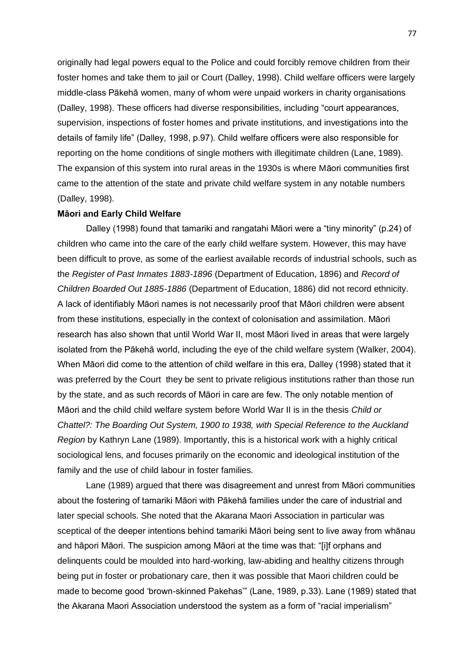originally had legal powers equal to the Police and could forcibly remove children from their foster homes and take them to jail or Court (Dalley, 1998). Child welfare officers were largely middle-class Pākehā women, many of whom were unpaid workers in charity organisations (Dalley, 1998). These officers had diverse responsibilities, including "court appearances, supervision, inspections of foster homes and private institutions, and investigations into the details of family life" (Dalley, 1998, p.97). Child welfare officers were also responsible for reporting on the home conditions of single mothers with illegitimate children (Lane, 1989). The expansion of this system into rural areas in the 1930s is where Māori communities first came to the attention of the state and private child welfare system in any notable numbers (Dalley, 1998).

## **Māori and Early Child Welfare**

Dalley (1998) found that tamariki and rangatahi Māori were a "tiny minority" (p.24) of children who came into the care of the early child welfare system. However, this may have been difficult to prove, as some of the earliest available records of industrial schools, such as the *Register of Past Inmates 1883-1896* (Department of Education, 1896) and *Record of Children Boarded Out 1885-1886* (Department of Education, 1886) did not record ethnicity. A lack of identifiably Māori names is not necessarily proof that Māori children were absent from these institutions, especially in the context of colonisation and assimilation. Māori research has also shown that until World War II, most Māori lived in areas that were largely isolated from the Pākehā world, including the eye of the child welfare system (Walker, 2004). When Māori did come to the attention of child welfare in this era, Dalley (1998) stated that it was preferred by the Court they be sent to private religious institutions rather than those run by the state, and as such records of Māori in care are few. The only notable mention of Māori and the child child welfare system before World War II is in the thesis *Child or Chattel?: The Boarding Out System, 1900 to 1938, with Special Reference to the Auckland Region* by Kathryn Lane (1989). Importantly, this is a historical work with a highly critical sociological lens, and focuses primarily on the economic and ideological institution of the family and the use of child labour in foster families.

Lane (1989) argued that there was disagreement and unrest from Māori communities about the fostering of tamariki Māori with Pākehā families under the care of industrial and later special schools. She noted that the Akarana Maori Association in particular was sceptical of the deeper intentions behind tamariki Māori being sent to live away from whānau and hāpori Māori. The suspicion among Māori at the time was that: "[i]f orphans and delinquents could be moulded into hard-working, law-abiding and healthy citizens through being put in foster or probationary care, then it was possible that Maori children could be made to become good 'brown-skinned Pakehas'" (Lane, 1989, p.33). Lane (1989) stated that the Akarana Maori Association understood the system as a form of "racial imperialism"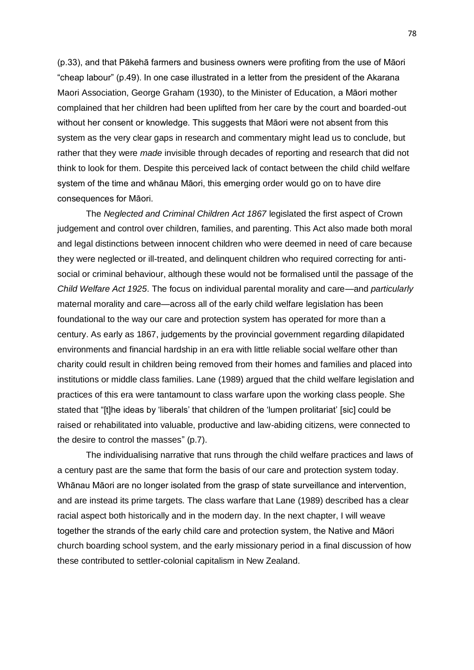(p.33), and that Pākehā farmers and business owners were profiting from the use of Māori "cheap labour" (p.49). In one case illustrated in a letter from the president of the Akarana Maori Association, George Graham (1930), to the Minister of Education, a Māori mother complained that her children had been uplifted from her care by the court and boarded-out without her consent or knowledge. This suggests that Māori were not absent from this system as the very clear gaps in research and commentary might lead us to conclude, but rather that they were *made* invisible through decades of reporting and research that did not think to look for them. Despite this perceived lack of contact between the child child welfare system of the time and whānau Māori, this emerging order would go on to have dire consequences for Māori.

The *Neglected and Criminal Children Act 1867* legislated the first aspect of Crown judgement and control over children, families, and parenting. This Act also made both moral and legal distinctions between innocent children who were deemed in need of care because they were neglected or ill-treated, and delinquent children who required correcting for antisocial or criminal behaviour, although these would not be formalised until the passage of the *Child Welfare Act 1925*. The focus on individual parental morality and care—and *particularly* maternal morality and care—across all of the early child welfare legislation has been foundational to the way our care and protection system has operated for more than a century. As early as 1867, judgements by the provincial government regarding dilapidated environments and financial hardship in an era with little reliable social welfare other than charity could result in children being removed from their homes and families and placed into institutions or middle class families. Lane (1989) argued that the child welfare legislation and practices of this era were tantamount to class warfare upon the working class people. She stated that "[t]he ideas by 'liberals' that children of the 'lumpen prolitariat' [sic] could be raised or rehabilitated into valuable, productive and law-abiding citizens, were connected to the desire to control the masses" (p.7).

The individualising narrative that runs through the child welfare practices and laws of a century past are the same that form the basis of our care and protection system today. Whānau Māori are no longer isolated from the grasp of state surveillance and intervention, and are instead its prime targets. The class warfare that Lane (1989) described has a clear racial aspect both historically and in the modern day. In the next chapter, I will weave together the strands of the early child care and protection system, the Native and Māori church boarding school system, and the early missionary period in a final discussion of how these contributed to settler-colonial capitalism in New Zealand.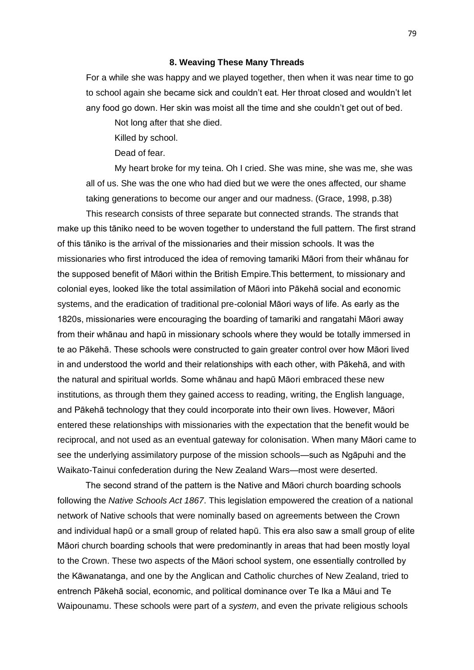#### **8. Weaving These Many Threads**

For a while she was happy and we played together, then when it was near time to go to school again she became sick and couldn't eat. Her throat closed and wouldn't let any food go down. Her skin was moist all the time and she couldn't get out of bed.

Not long after that she died.

Killed by school.

Dead of fear.

My heart broke for my teina. Oh I cried. She was mine, she was me, she was all of us. She was the one who had died but we were the ones affected, our shame taking generations to become our anger and our madness. (Grace, 1998, p.38)

This research consists of three separate but connected strands. The strands that make up this tāniko need to be woven together to understand the full pattern. The first strand of this tāniko is the arrival of the missionaries and their mission schools. It was the missionaries who first introduced the idea of removing tamariki Māori from their whānau for the supposed benefit of Māori within the British Empire.This betterment, to missionary and colonial eyes, looked like the total assimilation of Māori into Pākehā social and economic systems, and the eradication of traditional pre-colonial Māori ways of life. As early as the 1820s, missionaries were encouraging the boarding of tamariki and rangatahi Māori away from their whānau and hapū in missionary schools where they would be totally immersed in te ao Pākehā. These schools were constructed to gain greater control over how Māori lived in and understood the world and their relationships with each other, with Pākehā, and with the natural and spiritual worlds. Some whānau and hapū Māori embraced these new institutions, as through them they gained access to reading, writing, the English language, and Pākehā technology that they could incorporate into their own lives. However, Māori entered these relationships with missionaries with the expectation that the benefit would be reciprocal, and not used as an eventual gateway for colonisation. When many Māori came to see the underlying assimilatory purpose of the mission schools—such as Ngāpuhi and the Waikato-Tainui confederation during the New Zealand Wars—most were deserted.

The second strand of the pattern is the Native and Māori church boarding schools following the *Native Schools Act 1867*. This legislation empowered the creation of a national network of Native schools that were nominally based on agreements between the Crown and individual hapū or a small group of related hapū. This era also saw a small group of elite Māori church boarding schools that were predominantly in areas that had been mostly loyal to the Crown. These two aspects of the Māori school system, one essentially controlled by the Kāwanatanga, and one by the Anglican and Catholic churches of New Zealand, tried to entrench Pākehā social, economic, and political dominance over Te Ika a Māui and Te Waipounamu. These schools were part of a *system*, and even the private religious schools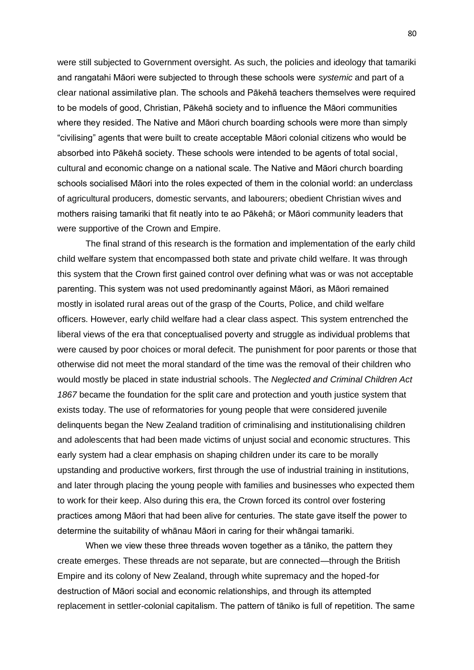were still subjected to Government oversight. As such, the policies and ideology that tamariki and rangatahi Māori were subjected to through these schools were *systemic* and part of a clear national assimilative plan. The schools and Pākehā teachers themselves were required to be models of good, Christian, Pākehā society and to influence the Māori communities where they resided. The Native and Māori church boarding schools were more than simply "civilising" agents that were built to create acceptable Māori colonial citizens who would be absorbed into Pākehā society. These schools were intended to be agents of total social, cultural and economic change on a national scale. The Native and Māori church boarding schools socialised Māori into the roles expected of them in the colonial world: an underclass of agricultural producers, domestic servants, and labourers; obedient Christian wives and mothers raising tamariki that fit neatly into te ao Pākehā; or Māori community leaders that were supportive of the Crown and Empire.

The final strand of this research is the formation and implementation of the early child child welfare system that encompassed both state and private child welfare. It was through this system that the Crown first gained control over defining what was or was not acceptable parenting. This system was not used predominantly against Māori, as Māori remained mostly in isolated rural areas out of the grasp of the Courts, Police, and child welfare officers. However, early child welfare had a clear class aspect. This system entrenched the liberal views of the era that conceptualised poverty and struggle as individual problems that were caused by poor choices or moral defecit. The punishment for poor parents or those that otherwise did not meet the moral standard of the time was the removal of their children who would mostly be placed in state industrial schools. The *Neglected and Criminal Children Act 1867* became the foundation for the split care and protection and youth justice system that exists today. The use of reformatories for young people that were considered juvenile delinquents began the New Zealand tradition of criminalising and institutionalising children and adolescents that had been made victims of unjust social and economic structures. This early system had a clear emphasis on shaping children under its care to be morally upstanding and productive workers, first through the use of industrial training in institutions, and later through placing the young people with families and businesses who expected them to work for their keep. Also during this era, the Crown forced its control over fostering practices among Māori that had been alive for centuries. The state gave itself the power to determine the suitability of whānau Māori in caring for their whāngai tamariki.

When we view these three threads woven together as a tāniko, the pattern they create emerges. These threads are not separate, but are connected—through the British Empire and its colony of New Zealand, through white supremacy and the hoped-for destruction of Māori social and economic relationships, and through its attempted replacement in settler-colonial capitalism. The pattern of tāniko is full of repetition. The same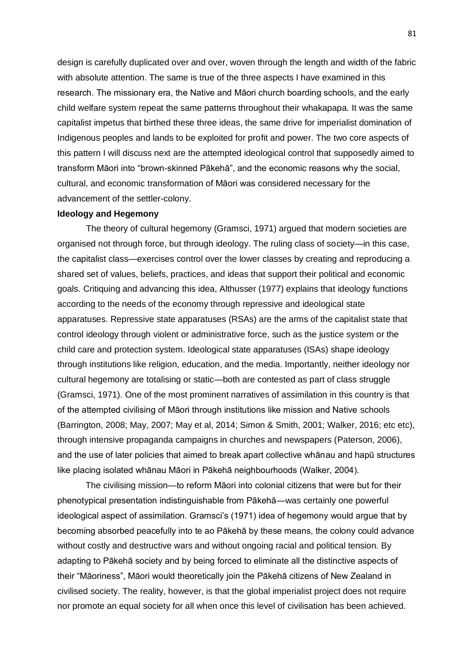design is carefully duplicated over and over, woven through the length and width of the fabric with absolute attention. The same is true of the three aspects I have examined in this research. The missionary era, the Native and Māori church boarding schools, and the early child welfare system repeat the same patterns throughout their whakapapa. It was the same capitalist impetus that birthed these three ideas, the same drive for imperialist domination of Indigenous peoples and lands to be exploited for profit and power. The two core aspects of this pattern I will discuss next are the attempted ideological control that supposedly aimed to transform Māori into "brown-skinned Pākehā", and the economic reasons why the social, cultural, and economic transformation of Māori was considered necessary for the advancement of the settler-colony.

# **Ideology and Hegemony**

The theory of cultural hegemony (Gramsci, 1971) argued that modern societies are organised not through force, but through ideology. The ruling class of society—in this case, the capitalist class—exercises control over the lower classes by creating and reproducing a shared set of values, beliefs, practices, and ideas that support their political and economic goals. Critiquing and advancing this idea, Althusser (1977) explains that ideology functions according to the needs of the economy through repressive and ideological state apparatuses. Repressive state apparatuses (RSAs) are the arms of the capitalist state that control ideology through violent or administrative force, such as the justice system or the child care and protection system. Ideological state apparatuses (ISAs) shape ideology through institutions like religion, education, and the media. Importantly, neither ideology nor cultural hegemony are totalising or static—both are contested as part of class struggle (Gramsci, 1971). One of the most prominent narratives of assimilation in this country is that of the attempted civilising of Māori through institutions like mission and Native schools (Barrington, 2008; May, 2007; May et al, 2014; Simon & Smith, 2001; Walker, 2016; etc etc), through intensive propaganda campaigns in churches and newspapers (Paterson, 2006), and the use of later policies that aimed to break apart collective whānau and hapū structures like placing isolated whānau Māori in Pākehā neighbourhoods (Walker, 2004).

The civilising mission—to reform Māori into colonial citizens that were but for their phenotypical presentation indistinguishable from Pākehā—was certainly one powerful ideological aspect of assimilation. Gramsci's (1971) idea of hegemony would argue that by becoming absorbed peacefully into te ao Pākehā by these means, the colony could advance without costly and destructive wars and without ongoing racial and political tension. By adapting to Pākehā society and by being forced to eliminate all the distinctive aspects of their "Māoriness", Māori would theoretically join the Pākehā citizens of New Zealand in civilised society. The reality, however, is that the global imperialist project does not require nor promote an equal society for all when once this level of civilisation has been achieved.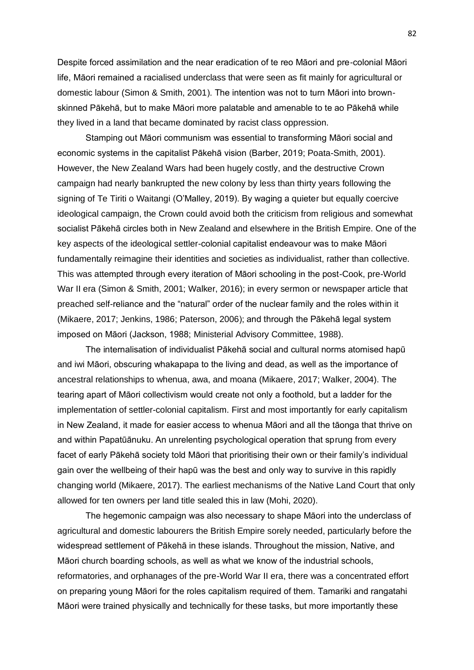Despite forced assimilation and the near eradication of te reo Māori and pre-colonial Māori life, Māori remained a racialised underclass that were seen as fit mainly for agricultural or domestic labour (Simon & Smith, 2001). The intention was not to turn Māori into brownskinned Pākehā, but to make Māori more palatable and amenable to te ao Pākehā while they lived in a land that became dominated by racist class oppression.

Stamping out Māori communism was essential to transforming Māori social and economic systems in the capitalist Pākehā vision (Barber, 2019; Poata-Smith, 2001). However, the New Zealand Wars had been hugely costly, and the destructive Crown campaign had nearly bankrupted the new colony by less than thirty years following the signing of Te Tiriti o Waitangi (O'Malley, 2019). By waging a quieter but equally coercive ideological campaign, the Crown could avoid both the criticism from religious and somewhat socialist Pākehā circles both in New Zealand and elsewhere in the British Empire. One of the key aspects of the ideological settler-colonial capitalist endeavour was to make Māori fundamentally reimagine their identities and societies as individualist, rather than collective. This was attempted through every iteration of Māori schooling in the post-Cook, pre-World War II era (Simon & Smith, 2001; Walker, 2016); in every sermon or newspaper article that preached self-reliance and the "natural" order of the nuclear family and the roles within it (Mikaere, 2017; Jenkins, 1986; Paterson, 2006); and through the Pākehā legal system imposed on Māori (Jackson, 1988; Ministerial Advisory Committee, 1988).

The internalisation of individualist Pākehā social and cultural norms atomised hapū and iwi Māori, obscuring whakapapa to the living and dead, as well as the importance of ancestral relationships to whenua, awa, and moana (Mikaere, 2017; Walker, 2004). The tearing apart of Māori collectivism would create not only a foothold, but a ladder for the implementation of settler-colonial capitalism. First and most importantly for early capitalism in New Zealand, it made for easier access to whenua Māori and all the tāonga that thrive on and within Papatūānuku. An unrelenting psychological operation that sprung from every facet of early Pākehā society told Māori that prioritising their own or their family's individual gain over the wellbeing of their hapū was the best and only way to survive in this rapidly changing world (Mikaere, 2017). The earliest mechanisms of the Native Land Court that only allowed for ten owners per land title sealed this in law (Mohi, 2020).

The hegemonic campaign was also necessary to shape Māori into the underclass of agricultural and domestic labourers the British Empire sorely needed, particularly before the widespread settlement of Pākehā in these islands. Throughout the mission, Native, and Māori church boarding schools, as well as what we know of the industrial schools, reformatories, and orphanages of the pre-World War II era, there was a concentrated effort on preparing young Māori for the roles capitalism required of them. Tamariki and rangatahi Māori were trained physically and technically for these tasks, but more importantly these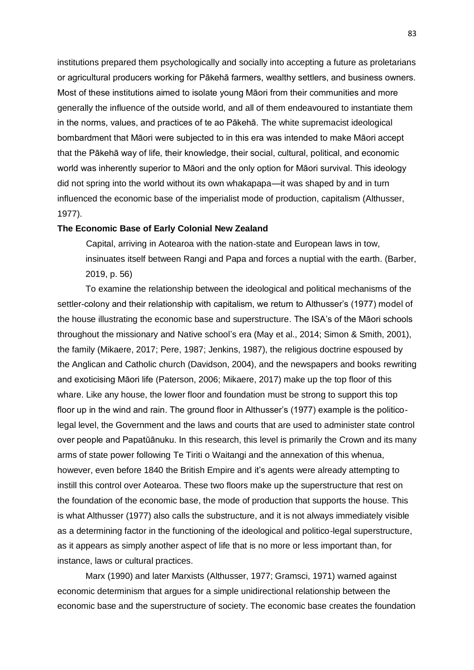institutions prepared them psychologically and socially into accepting a future as proletarians or agricultural producers working for Pākehā farmers, wealthy settlers, and business owners. Most of these institutions aimed to isolate young Māori from their communities and more generally the influence of the outside world, and all of them endeavoured to instantiate them in the norms, values, and practices of te ao Pākehā. The white supremacist ideological bombardment that Māori were subjected to in this era was intended to make Māori accept that the Pākehā way of life, their knowledge, their social, cultural, political, and economic world was inherently superior to Māori and the only option for Māori survival. This ideology did not spring into the world without its own whakapapa—it was shaped by and in turn influenced the economic base of the imperialist mode of production, capitalism (Althusser, 1977).

### **The Economic Base of Early Colonial New Zealand**

Capital, arriving in Aotearoa with the nation-state and European laws in tow, insinuates itself between Rangi and Papa and forces a nuptial with the earth. (Barber, 2019, p. 56)

To examine the relationship between the ideological and political mechanisms of the settler-colony and their relationship with capitalism, we return to Althusser's (1977) model of the house illustrating the economic base and superstructure. The ISA's of the Māori schools throughout the missionary and Native school's era (May et al., 2014; Simon & Smith, 2001), the family (Mikaere, 2017; Pere, 1987; Jenkins, 1987), the religious doctrine espoused by the Anglican and Catholic church (Davidson, 2004), and the newspapers and books rewriting and exoticising Māori life (Paterson, 2006; Mikaere, 2017) make up the top floor of this whare. Like any house, the lower floor and foundation must be strong to support this top floor up in the wind and rain. The ground floor in Althusser's (1977) example is the politicolegal level, the Government and the laws and courts that are used to administer state control over people and Papatūānuku. In this research, this level is primarily the Crown and its many arms of state power following Te Tiriti o Waitangi and the annexation of this whenua, however, even before 1840 the British Empire and it's agents were already attempting to instill this control over Aotearoa. These two floors make up the superstructure that rest on the foundation of the economic base, the mode of production that supports the house. This is what Althusser (1977) also calls the substructure, and it is not always immediately visible as a determining factor in the functioning of the ideological and politico-legal superstructure, as it appears as simply another aspect of life that is no more or less important than, for instance, laws or cultural practices.

Marx (1990) and later Marxists (Althusser, 1977; Gramsci, 1971) warned against economic determinism that argues for a simple unidirectional relationship between the economic base and the superstructure of society. The economic base creates the foundation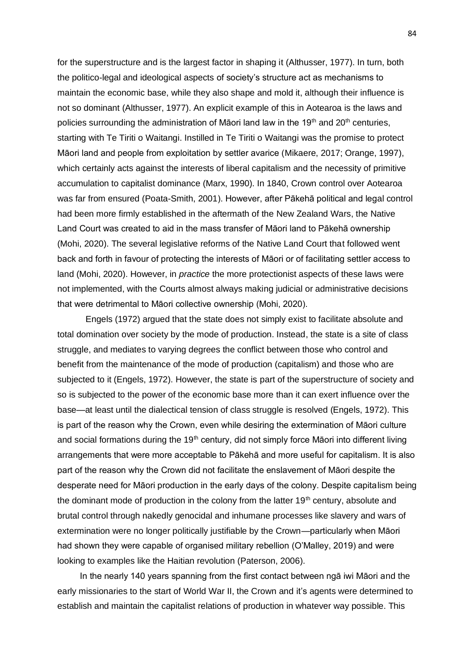for the superstructure and is the largest factor in shaping it (Althusser, 1977). In turn, both the politico-legal and ideological aspects of society's structure act as mechanisms to maintain the economic base, while they also shape and mold it, although their influence is not so dominant (Althusser, 1977). An explicit example of this in Aotearoa is the laws and policies surrounding the administration of Māori land law in the  $19<sup>th</sup>$  and  $20<sup>th</sup>$  centuries, starting with Te Tiriti o Waitangi. Instilled in Te Tiriti o Waitangi was the promise to protect Māori land and people from exploitation by settler avarice (Mikaere, 2017; Orange, 1997), which certainly acts against the interests of liberal capitalism and the necessity of primitive accumulation to capitalist dominance (Marx, 1990). In 1840, Crown control over Aotearoa was far from ensured (Poata-Smith, 2001). However, after Pākehā political and legal control had been more firmly established in the aftermath of the New Zealand Wars, the Native Land Court was created to aid in the mass transfer of Māori land to Pākehā ownership (Mohi, 2020). The several legislative reforms of the Native Land Court that followed went back and forth in favour of protecting the interests of Māori or of facilitating settler access to land (Mohi, 2020). However, in *practice* the more protectionist aspects of these laws were not implemented, with the Courts almost always making judicial or administrative decisions that were detrimental to Māori collective ownership (Mohi, 2020).

Engels (1972) argued that the state does not simply exist to facilitate absolute and total domination over society by the mode of production. Instead, the state is a site of class struggle, and mediates to varying degrees the conflict between those who control and benefit from the maintenance of the mode of production (capitalism) and those who are subjected to it (Engels, 1972). However, the state is part of the superstructure of society and so is subjected to the power of the economic base more than it can exert influence over the base—at least until the dialectical tension of class struggle is resolved (Engels, 1972). This is part of the reason why the Crown, even while desiring the extermination of Māori culture and social formations during the  $19<sup>th</sup>$  century, did not simply force Māori into different living arrangements that were more acceptable to Pākehā and more useful for capitalism. It is also part of the reason why the Crown did not facilitate the enslavement of Māori despite the desperate need for Māori production in the early days of the colony. Despite capitalism being the dominant mode of production in the colony from the latter  $19<sup>th</sup>$  century, absolute and brutal control through nakedly genocidal and inhumane processes like slavery and wars of extermination were no longer politically justifiable by the Crown—particularly when Māori had shown they were capable of organised military rebellion (O'Malley, 2019) and were looking to examples like the Haitian revolution (Paterson, 2006).

In the nearly 140 years spanning from the first contact between ngā iwi Māori and the early missionaries to the start of World War II, the Crown and it's agents were determined to establish and maintain the capitalist relations of production in whatever way possible. This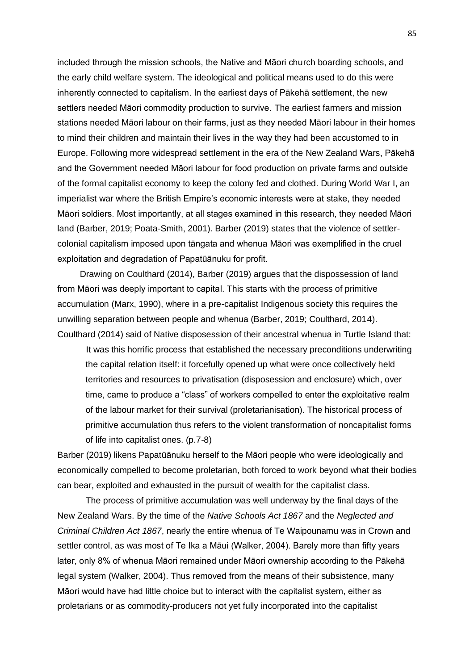included through the mission schools, the Native and Māori church boarding schools, and the early child welfare system. The ideological and political means used to do this were inherently connected to capitalism. In the earliest days of Pākehā settlement, the new settlers needed Māori commodity production to survive. The earliest farmers and mission stations needed Māori labour on their farms, just as they needed Māori labour in their homes to mind their children and maintain their lives in the way they had been accustomed to in Europe. Following more widespread settlement in the era of the New Zealand Wars, Pākehā and the Government needed Māori labour for food production on private farms and outside of the formal capitalist economy to keep the colony fed and clothed. During World War I, an imperialist war where the British Empire's economic interests were at stake, they needed Māori soldiers. Most importantly, at all stages examined in this research, they needed Māori land (Barber, 2019; Poata-Smith, 2001). Barber (2019) states that the violence of settlercolonial capitalism imposed upon tāngata and whenua Māori was exemplified in the cruel exploitation and degradation of Papatūānuku for profit.

Drawing on Coulthard (2014), Barber (2019) argues that the dispossession of land from Māori was deeply important to capital. This starts with the process of primitive accumulation (Marx, 1990), where in a pre-capitalist Indigenous society this requires the unwilling separation between people and whenua (Barber, 2019; Coulthard, 2014). Coulthard (2014) said of Native disposession of their ancestral whenua in Turtle Island that:

It was this horrific process that established the necessary preconditions underwriting the capital relation itself: it forcefully opened up what were once collectively held territories and resources to privatisation (disposession and enclosure) which, over time, came to produce a "class" of workers compelled to enter the exploitative realm of the labour market for their survival (proletarianisation). The historical process of primitive accumulation thus refers to the violent transformation of noncapitalist forms of life into capitalist ones. (p.7-8)

Barber (2019) likens Papatūānuku herself to the Māori people who were ideologically and economically compelled to become proletarian, both forced to work beyond what their bodies can bear, exploited and exhausted in the pursuit of wealth for the capitalist class.

The process of primitive accumulation was well underway by the final days of the New Zealand Wars. By the time of the *Native Schools Act 1867* and the *Neglected and Criminal Children Act 1867*, nearly the entire whenua of Te Waipounamu was in Crown and settler control, as was most of Te Ika a Māui (Walker, 2004). Barely more than fifty years later, only 8% of whenua Māori remained under Māori ownership according to the Pākehā legal system (Walker, 2004). Thus removed from the means of their subsistence, many Māori would have had little choice but to interact with the capitalist system, either as proletarians or as commodity-producers not yet fully incorporated into the capitalist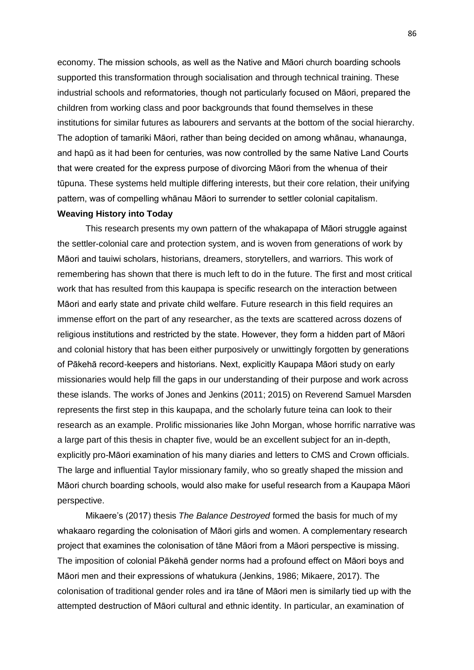economy. The mission schools, as well as the Native and Māori church boarding schools supported this transformation through socialisation and through technical training. These industrial schools and reformatories, though not particularly focused on Māori, prepared the children from working class and poor backgrounds that found themselves in these institutions for similar futures as labourers and servants at the bottom of the social hierarchy. The adoption of tamariki Māori, rather than being decided on among whānau, whanaunga, and hapū as it had been for centuries, was now controlled by the same Native Land Courts that were created for the express purpose of divorcing Māori from the whenua of their tūpuna. These systems held multiple differing interests, but their core relation, their unifying pattern, was of compelling whānau Māori to surrender to settler colonial capitalism.

# **Weaving History into Today**

This research presents my own pattern of the whakapapa of Māori struggle against the settler-colonial care and protection system, and is woven from generations of work by Māori and tauiwi scholars, historians, dreamers, storytellers, and warriors. This work of remembering has shown that there is much left to do in the future. The first and most critical work that has resulted from this kaupapa is specific research on the interaction between Māori and early state and private child welfare. Future research in this field requires an immense effort on the part of any researcher, as the texts are scattered across dozens of religious institutions and restricted by the state. However, they form a hidden part of Māori and colonial history that has been either purposively or unwittingly forgotten by generations of Pākehā record-keepers and historians. Next, explicitly Kaupapa Māori study on early missionaries would help fill the gaps in our understanding of their purpose and work across these islands. The works of Jones and Jenkins (2011; 2015) on Reverend Samuel Marsden represents the first step in this kaupapa, and the scholarly future teina can look to their research as an example. Prolific missionaries like John Morgan, whose horrific narrative was a large part of this thesis in chapter five, would be an excellent subject for an in-depth, explicitly pro-Māori examination of his many diaries and letters to CMS and Crown officials. The large and influential Taylor missionary family, who so greatly shaped the mission and Māori church boarding schools, would also make for useful research from a Kaupapa Māori perspective.

Mikaere's (2017) thesis *The Balance Destroyed* formed the basis for much of my whakaaro regarding the colonisation of Māori girls and women. A complementary research project that examines the colonisation of tāne Māori from a Māori perspective is missing. The imposition of colonial Pākehā gender norms had a profound effect on Māori boys and Māori men and their expressions of whatukura (Jenkins, 1986; Mikaere, 2017). The colonisation of traditional gender roles and ira tāne of Māori men is similarly tied up with the attempted destruction of Māori cultural and ethnic identity. In particular, an examination of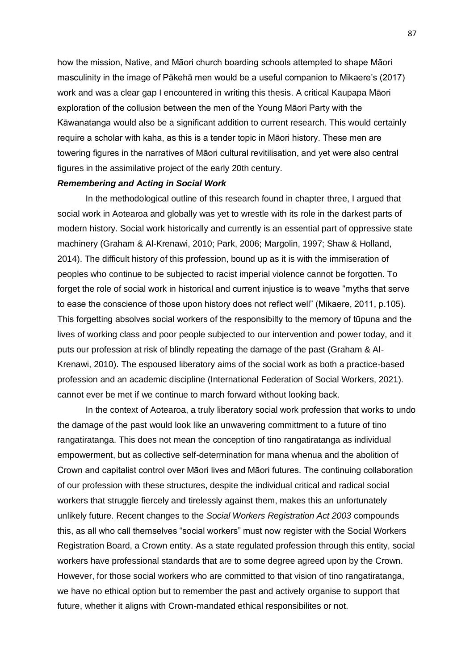how the mission, Native, and Māori church boarding schools attempted to shape Māori masculinity in the image of Pākehā men would be a useful companion to Mikaere's (2017) work and was a clear gap I encountered in writing this thesis. A critical Kaupapa Māori exploration of the collusion between the men of the Young Māori Party with the Kāwanatanga would also be a significant addition to current research. This would certainly require a scholar with kaha, as this is a tender topic in Māori history. These men are towering figures in the narratives of Māori cultural revitilisation, and yet were also central figures in the assimilative project of the early 20th century.

### *Remembering and Acting in Social Work*

In the methodological outline of this research found in chapter three, I argued that social work in Aotearoa and globally was yet to wrestle with its role in the darkest parts of modern history. Social work historically and currently is an essential part of oppressive state machinery (Graham & Al-Krenawi, 2010; Park, 2006; Margolin, 1997; Shaw & Holland, 2014). The difficult history of this profession, bound up as it is with the immiseration of peoples who continue to be subjected to racist imperial violence cannot be forgotten. To forget the role of social work in historical and current injustice is to weave "myths that serve to ease the conscience of those upon history does not reflect well" (Mikaere, 2011, p.105). This forgetting absolves social workers of the responsibilty to the memory of tūpuna and the lives of working class and poor people subjected to our intervention and power today, and it puts our profession at risk of blindly repeating the damage of the past (Graham & Al-Krenawi, 2010). The espoused liberatory aims of the social work as both a practice-based profession and an academic discipline (International Federation of Social Workers, 2021). cannot ever be met if we continue to march forward without looking back.

In the context of Aotearoa, a truly liberatory social work profession that works to undo the damage of the past would look like an unwavering committment to a future of tino rangatiratanga. This does not mean the conception of tino rangatiratanga as individual empowerment, but as collective self-determination for mana whenua and the abolition of Crown and capitalist control over Māori lives and Māori futures. The continuing collaboration of our profession with these structures, despite the individual critical and radical social workers that struggle fiercely and tirelessly against them, makes this an unfortunately unlikely future. Recent changes to the *Social Workers Registration Act 2003* compounds this, as all who call themselves "social workers" must now register with the Social Workers Registration Board, a Crown entity. As a state regulated profession through this entity, social workers have professional standards that are to some degree agreed upon by the Crown. However, for those social workers who are committed to that vision of tino rangatiratanga, we have no ethical option but to remember the past and actively organise to support that future, whether it aligns with Crown-mandated ethical responsibilites or not.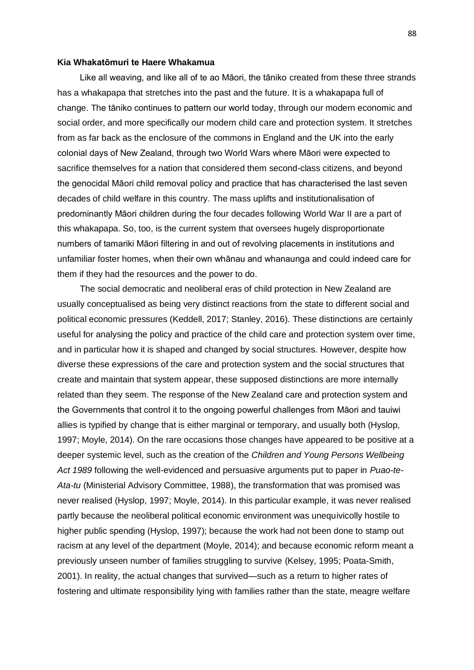## **Kia Whakatōmuri te Haere Whakamua**

Like all weaving, and like all of te ao Māori, the tāniko created from these three strands has a whakapapa that stretches into the past and the future. It is a whakapapa full of change. The tāniko continues to pattern our world today, through our modern economic and social order, and more specifically our modern child care and protection system. It stretches from as far back as the enclosure of the commons in England and the UK into the early colonial days of New Zealand, through two World Wars where Māori were expected to sacrifice themselves for a nation that considered them second-class citizens, and beyond the genocidal Māori child removal policy and practice that has characterised the last seven decades of child welfare in this country. The mass uplifts and institutionalisation of predominantly Māori children during the four decades following World War II are a part of this whakapapa. So, too, is the current system that oversees hugely disproportionate numbers of tamariki Māori filtering in and out of revolving placements in institutions and unfamiliar foster homes, when their own whānau and whanaunga and could indeed care for them if they had the resources and the power to do.

The social democratic and neoliberal eras of child protection in New Zealand are usually conceptualised as being very distinct reactions from the state to different social and political economic pressures (Keddell, 2017; Stanley, 2016). These distinctions are certainly useful for analysing the policy and practice of the child care and protection system over time, and in particular how it is shaped and changed by social structures. However, despite how diverse these expressions of the care and protection system and the social structures that create and maintain that system appear, these supposed distinctions are more internally related than they seem. The response of the New Zealand care and protection system and the Governments that control it to the ongoing powerful challenges from Māori and tauiwi allies is typified by change that is either marginal or temporary, and usually both (Hyslop, 1997; Moyle, 2014). On the rare occasions those changes have appeared to be positive at a deeper systemic level, such as the creation of the *Children and Young Persons Wellbeing Act 1989* following the well-evidenced and persuasive arguments put to paper in *Puao-te-Ata-tu* (Ministerial Advisory Committee, 1988), the transformation that was promised was never realised (Hyslop, 1997; Moyle, 2014). In this particular example, it was never realised partly because the neoliberal political economic environment was unequivicolly hostile to higher public spending (Hyslop, 1997); because the work had not been done to stamp out racism at any level of the department (Moyle, 2014); and because economic reform meant a previously unseen number of families struggling to survive (Kelsey, 1995; Poata-Smith, 2001). In reality, the actual changes that survived—such as a return to higher rates of fostering and ultimate responsibility lying with families rather than the state, meagre welfare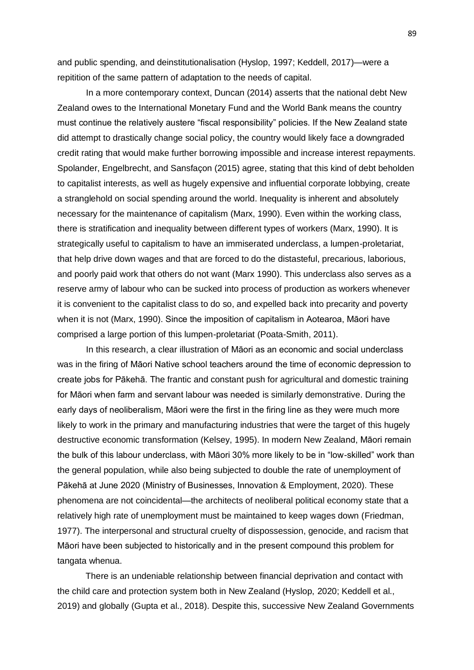and public spending, and deinstitutionalisation (Hyslop, 1997; Keddell, 2017)—were a repitition of the same pattern of adaptation to the needs of capital.

In a more contemporary context, Duncan (2014) asserts that the national debt New Zealand owes to the International Monetary Fund and the World Bank means the country must continue the relatively austere "fiscal responsibility" policies. If the New Zealand state did attempt to drastically change social policy, the country would likely face a downgraded credit rating that would make further borrowing impossible and increase interest repayments. Spolander, Engelbrecht, and Sansfaçon (2015) agree, stating that this kind of debt beholden to capitalist interests, as well as hugely expensive and influential corporate lobbying, create a stranglehold on social spending around the world. Inequality is inherent and absolutely necessary for the maintenance of capitalism (Marx, 1990). Even within the working class, there is stratification and inequality between different types of workers (Marx, 1990). It is strategically useful to capitalism to have an immiserated underclass, a lumpen-proletariat, that help drive down wages and that are forced to do the distasteful, precarious, laborious, and poorly paid work that others do not want (Marx 1990). This underclass also serves as a reserve army of labour who can be sucked into process of production as workers whenever it is convenient to the capitalist class to do so, and expelled back into precarity and poverty when it is not (Marx, 1990). Since the imposition of capitalism in Aotearoa, Māori have comprised a large portion of this lumpen-proletariat (Poata-Smith, 2011).

In this research, a clear illustration of Māori as an economic and social underclass was in the firing of Māori Native school teachers around the time of economic depression to create jobs for Pākehā. The frantic and constant push for agricultural and domestic training for Māori when farm and servant labour was needed is similarly demonstrative. During the early days of neoliberalism, Māori were the first in the firing line as they were much more likely to work in the primary and manufacturing industries that were the target of this hugely destructive economic transformation (Kelsey, 1995). In modern New Zealand, Māori remain the bulk of this labour underclass, with Māori 30% more likely to be in "low-skilled" work than the general population, while also being subjected to double the rate of unemployment of Pākehā at June 2020 (Ministry of Businesses, Innovation & Employment, 2020). These phenomena are not coincidental—the architects of neoliberal political economy state that a relatively high rate of unemployment must be maintained to keep wages down (Friedman, 1977). The interpersonal and structural cruelty of dispossession, genocide, and racism that Māori have been subjected to historically and in the present compound this problem for tangata whenua.

There is an undeniable relationship between financial deprivation and contact with the child care and protection system both in New Zealand (Hyslop, 2020; Keddell et al., 2019) and globally (Gupta et al., 2018). Despite this, successive New Zealand Governments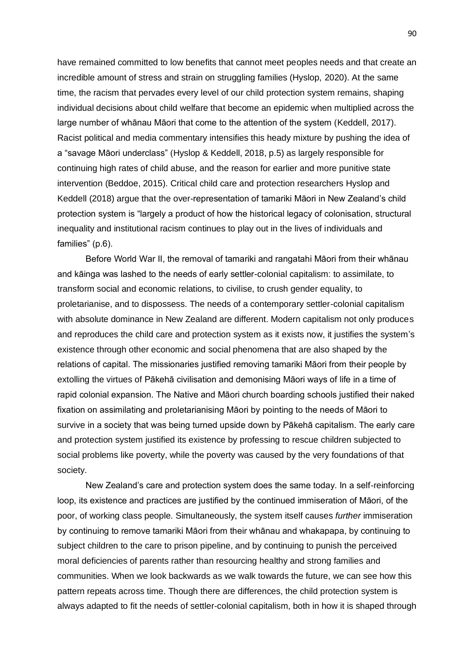have remained committed to low benefits that cannot meet peoples needs and that create an incredible amount of stress and strain on struggling families (Hyslop, 2020). At the same time, the racism that pervades every level of our child protection system remains, shaping individual decisions about child welfare that become an epidemic when multiplied across the large number of whānau Māori that come to the attention of the system (Keddell, 2017). Racist political and media commentary intensifies this heady mixture by pushing the idea of a "savage Māori underclass" (Hyslop & Keddell, 2018, p.5) as largely responsible for continuing high rates of child abuse, and the reason for earlier and more punitive state intervention (Beddoe, 2015). Critical child care and protection researchers Hyslop and Keddell (2018) argue that the over-representation of tamariki Māori in New Zealand's child protection system is "largely a product of how the historical legacy of colonisation, structural inequality and institutional racism continues to play out in the lives of individuals and families" (p.6).

Before World War II, the removal of tamariki and rangatahi Māori from their whānau and kāinga was lashed to the needs of early settler-colonial capitalism: to assimilate, to transform social and economic relations, to civilise, to crush gender equality, to proletarianise, and to dispossess. The needs of a contemporary settler-colonial capitalism with absolute dominance in New Zealand are different. Modern capitalism not only produces and reproduces the child care and protection system as it exists now, it justifies the system's existence through other economic and social phenomena that are also shaped by the relations of capital. The missionaries justified removing tamariki Māori from their people by extolling the virtues of Pākehā civilisation and demonising Māori ways of life in a time of rapid colonial expansion. The Native and Māori church boarding schools justified their naked fixation on assimilating and proletarianising Māori by pointing to the needs of Māori to survive in a society that was being turned upside down by Pākehā capitalism. The early care and protection system justified its existence by professing to rescue children subjected to social problems like poverty, while the poverty was caused by the very foundations of that society.

New Zealand's care and protection system does the same today. In a self-reinforcing loop, its existence and practices are justified by the continued immiseration of Māori, of the poor, of working class people. Simultaneously, the system itself causes *further* immiseration by continuing to remove tamariki Māori from their whānau and whakapapa, by continuing to subject children to the care to prison pipeline, and by continuing to punish the perceived moral deficiencies of parents rather than resourcing healthy and strong families and communities. When we look backwards as we walk towards the future, we can see how this pattern repeats across time. Though there are differences, the child protection system is always adapted to fit the needs of settler-colonial capitalism, both in how it is shaped through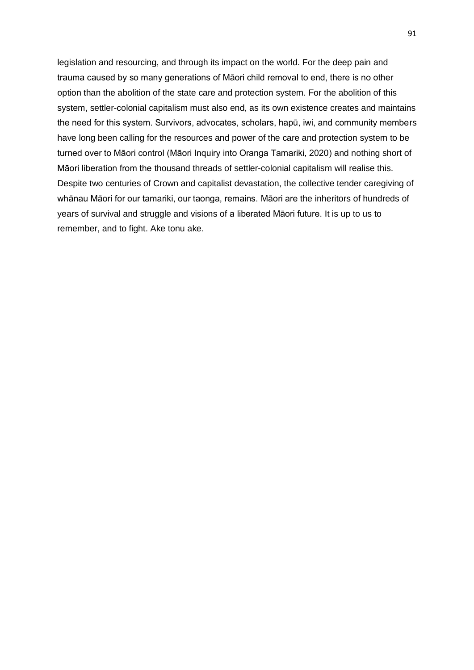legislation and resourcing, and through its impact on the world. For the deep pain and trauma caused by so many generations of Māori child removal to end, there is no other option than the abolition of the state care and protection system. For the abolition of this system, settler-colonial capitalism must also end, as its own existence creates and maintains the need for this system. Survivors, advocates, scholars, hapū, iwi, and community members have long been calling for the resources and power of the care and protection system to be turned over to Māori control (Māori Inquiry into Oranga Tamariki, 2020) and nothing short of Māori liberation from the thousand threads of settler-colonial capitalism will realise this. Despite two centuries of Crown and capitalist devastation, the collective tender caregiving of whānau Māori for our tamariki, our taonga, remains. Māori are the inheritors of hundreds of years of survival and struggle and visions of a liberated Māori future. It is up to us to remember, and to fight. Ake tonu ake.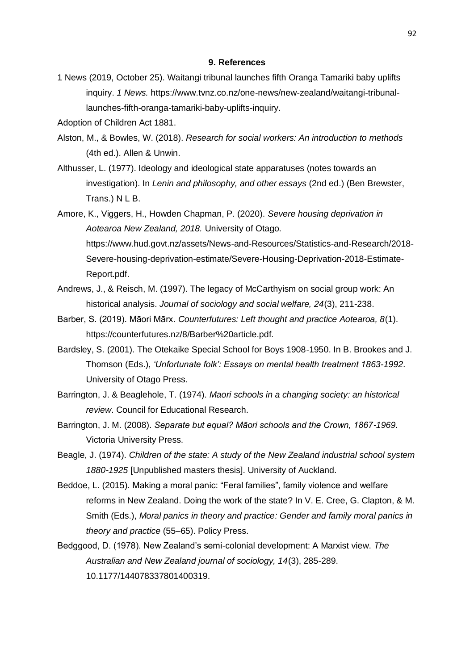#### **9. References**

- 1 News (2019, October 25). Waitangi tribunal launches fifth Oranga Tamariki baby uplifts inquiry. *1 News.* https://www.tvnz.co.nz/one-news/new-zealand/waitangi-tribunallaunches-fifth-oranga-tamariki-baby-uplifts-inquiry.
- Adoption of Children Act 1881.
- Alston, M., & Bowles, W. (2018). *Research for social workers: An introduction to methods*  (4th ed.). Allen & Unwin.
- Althusser, L. (1977). Ideology and ideological state apparatuses (notes towards an investigation). In *Lenin and philosophy, and other essays* (2nd ed.) (Ben Brewster, Trans.) N L B.
- Amore, K., Viggers, H., Howden Chapman, P. (2020). *Severe housing deprivation in Aotearoa New Zealand, 2018.* University of Otago. https://www.hud.govt.nz/assets/News-and-Resources/Statistics-and-Research/2018- Severe-housing-deprivation-estimate/Severe-Housing-Deprivation-2018-Estimate-Report.pdf.
- Andrews, J., & Reisch, M. (1997). The legacy of McCarthyism on social group work: An historical analysis. *Journal of sociology and social welfare, 24*(3), 211-238.
- Barber, S. (2019). Māori Mārx. *Counterfutures: Left thought and practice Aotearoa, 8*(1). https://counterfutures.nz/8/Barber%20article.pdf.
- Bardsley, S. (2001). The Otekaike Special School for Boys 1908-1950. In B. Brookes and J. Thomson (Eds.), *'Unfortunate folk': Essays on mental health treatment 1863-1992*. University of Otago Press.
- Barrington, J. & Beaglehole, T. (1974). *Maori schools in a changing society: an historical review*. Council for Educational Research.
- Barrington, J. M. (2008). *Separate but equal? Māori schools and the Crown, 1867-1969.*  Victoria University Press.
- Beagle, J. (1974). *Children of the state: A study of the New Zealand industrial school system 1880-1925* [Unpublished masters thesis]. University of Auckland.
- Beddoe, L. (2015). Making a moral panic: "Feral families", family violence and welfare reforms in New Zealand. Doing the work of the state? In V. E. Cree, G. Clapton, & M. Smith (Eds.), *Moral panics in theory and practice: Gender and family moral panics in theory and practice* (55–65). Policy Press.
- Bedggood, D. (1978). New Zealand's semi-colonial development: A Marxist view. *The Australian and New Zealand journal of sociology, 14*(3), 285-289. 10.1177/144078337801400319.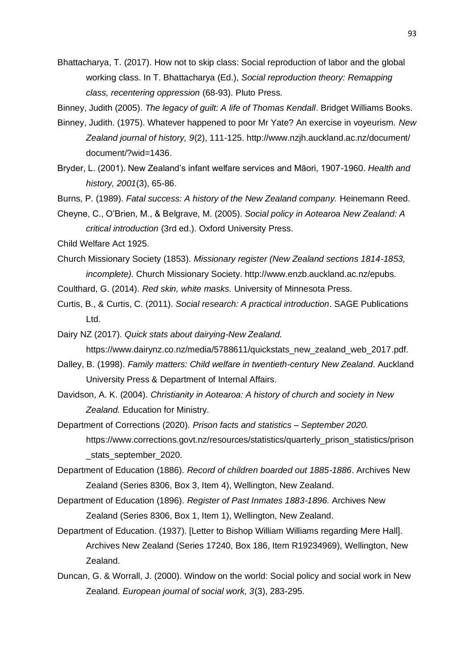Bhattacharya, T. (2017). How not to skip class: Social reproduction of labor and the global working class. In T. Bhattacharya (Ed.), *Social reproduction theory: Remapping class, recentering oppression* (68-93). Pluto Press.

Binney, Judith (2005). *The legacy of guilt: A life of Thomas Kendall*. Bridget Williams Books.

- Binney, Judith. (1975). Whatever happened to poor Mr Yate? An exercise in voyeurism. *New Zealand journal of history, 9*(2), 111-125. http://www.nzjh.auckland.ac.nz/document/ document/?wid=1436.
- Bryder, L. (2001). New Zealand's infant welfare services and Māori, 1907-1960. *Health and history, 2001*(3), 65-86.
- Burns, P. (1989). *Fatal success: A history of the New Zealand company.* Heinemann Reed.
- Cheyne, C., O'Brien, M., & Belgrave, M. (2005). *Social policy in Aotearoa New Zealand: A critical introduction* (3rd ed.). Oxford University Press.
- Child Welfare Act 1925.
- Church Missionary Society (1853). *Missionary register (New Zealand sections 1814-1853, incomplete).* Church Missionary Society. http://www.enzb.auckland.ac.nz/epubs.
- Coulthard, G. (2014). *Red skin, white masks.* University of Minnesota Press.
- Curtis, B., & Curtis, C. (2011). *Social research: A practical introduction*. SAGE Publications Ltd.
- Dairy NZ (2017). *Quick stats about dairying-New Zealand.*  https://www.dairynz.co.nz/media/5788611/quickstats\_new\_zealand\_web\_2017.pdf.
- Dalley, B. (1998). *Family matters: Child welfare in twentieth-century New Zealand*. Auckland University Press & Department of Internal Affairs.
- Davidson, A. K. (2004). *Christianity in Aotearoa: A history of church and society in New Zealand.* Education for Ministry.
- Department of Corrections (2020). *Prison facts and statistics – September 2020.*  https://www.corrections.govt.nz/resources/statistics/quarterly\_prison\_statistics/prison \_stats\_september\_2020.
- Department of Education (1886). *Record of children boarded out 1885-1886*. Archives New Zealand (Series 8306, Box 3, Item 4), Wellington, New Zealand.
- Department of Education (1896). *Register of Past Inmates 1883-1896.* Archives New Zealand (Series 8306, Box 1, Item 1), Wellington, New Zealand.
- Department of Education. (1937). [Letter to Bishop William Williams regarding Mere Hall]. Archives New Zealand (Series 17240, Box 186, Item R19234969), Wellington, New Zealand.
- Duncan, G. & Worrall, J. (2000). Window on the world: Social policy and social work in New Zealand. *European journal of social work, 3*(3), 283-295.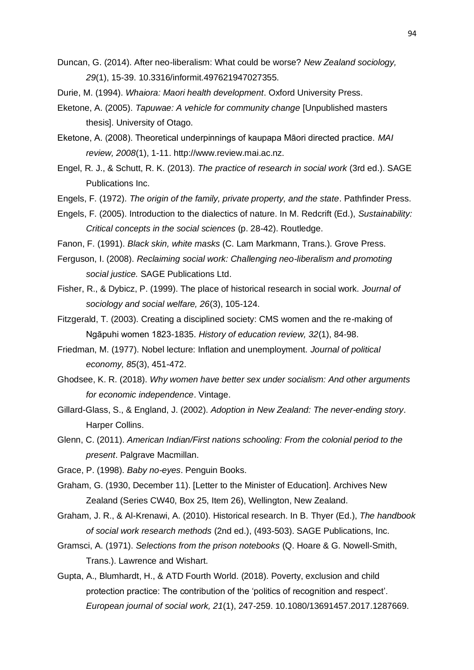- Duncan, G. (2014). After neo-liberalism: What could be worse? *New Zealand sociology, 29*(1), 15-39. 10.3316/informit.497621947027355.
- Durie, M. (1994). *Whaiora: Maori health development*. Oxford University Press.
- Eketone, A. (2005). *Tapuwae: A vehicle for community change* [Unpublished masters thesis]. University of Otago.
- Eketone, A. (2008). Theoretical underpinnings of kaupapa Māori directed practice. *MAI review, 2008*(1), 1-11. http://www.review.mai.ac.nz.
- Engel, R. J., & Schutt, R. K. (2013). *The practice of research in social work* (3rd ed.). SAGE Publications Inc.
- Engels, F. (1972). *The origin of the family, private property, and the state*. Pathfinder Press.
- Engels, F. (2005). Introduction to the dialectics of nature. In M. Redcrift (Ed.), *Sustainability: Critical concepts in the social sciences* (p. 28-42). Routledge.
- Fanon, F. (1991). *Black skin, white masks* (C. Lam Markmann, Trans.)*.* Grove Press.
- Ferguson, I. (2008). *Reclaiming social work: Challenging neo-liberalism and promoting social justice.* SAGE Publications Ltd.
- Fisher, R., & Dybicz, P. (1999). The place of historical research in social work. *Journal of sociology and social welfare, 26*(3), 105-124.
- Fitzgerald, T. (2003). Creating a disciplined society: CMS women and the re-making of Ngāpuhi women 1823-1835. *History of education review, 32*(1), 84-98.
- Friedman, M. (1977). Nobel lecture: Inflation and unemployment. *Journal of political economy, 85*(3), 451-472.
- Ghodsee, K. R. (2018). *Why women have better sex under socialism: And other arguments for economic independence*. Vintage.
- Gillard-Glass, S., & England, J. (2002). *Adoption in New Zealand: The never-ending story*. Harper Collins.
- Glenn, C. (2011). *American Indian/First nations schooling: From the colonial period to the present*. Palgrave Macmillan.
- Grace, P. (1998). *Baby no-eyes*. Penguin Books.
- Graham, G. (1930, December 11). [Letter to the Minister of Education]. Archives New Zealand (Series CW40, Box 25, Item 26), Wellington, New Zealand.
- Graham, J. R., & Al-Krenawi, A. (2010). Historical research. In B. Thyer (Ed.), *The handbook of social work research methods* (2nd ed.), (493-503). SAGE Publications, Inc.
- Gramsci, A. (1971). *Selections from the prison notebooks* (Q. Hoare & G. Nowell-Smith, Trans.). Lawrence and Wishart.
- Gupta, A., Blumhardt, H., & ATD Fourth World. (2018). Poverty, exclusion and child protection practice: The contribution of the 'politics of recognition and respect'. *European journal of social work, 21*(1), 247-259. 10.1080/13691457.2017.1287669.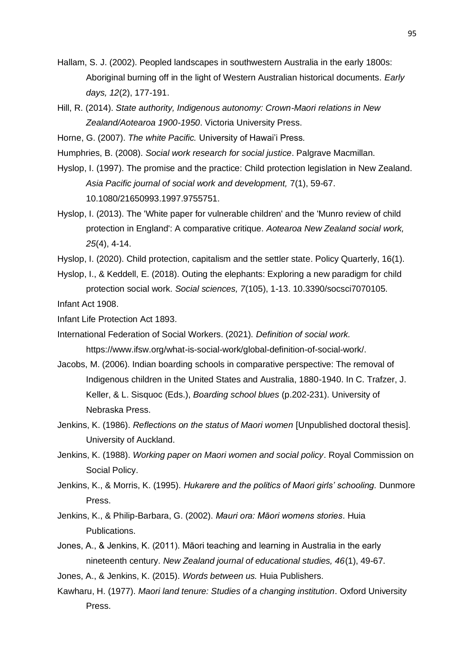- Hallam, S. J. (2002). Peopled landscapes in southwestern Australia in the early 1800s: Aboriginal burning off in the light of Western Australian historical documents. *Early days, 12*(2), 177-191.
- Hill, R. (2014). *State authority, Indigenous autonomy: Crown-Maori relations in New Zealand/Aotearoa 1900-1950*. Victoria University Press.
- Horne, G. (2007). *The white Pacific.* University of Hawai'i Press.
- Humphries, B. (2008). *Social work research for social justice*. Palgrave Macmillan.
- Hyslop, I. (1997). The promise and the practice: Child protection legislation in New Zealand. *Asia Pacific journal of social work and development,* 7(1), 59-67. 10.1080/21650993.1997.9755751.
- Hyslop, I. (2013). The 'White paper for vulnerable children' and the 'Munro review of child protection in England': A comparative critique. *Aotearoa New Zealand social work, 25*(4), 4-14.
- Hyslop, I. (2020). Child protection, capitalism and the settler state. Policy Quarterly, 16(1).
- Hyslop, I., & Keddell, E. (2018). Outing the elephants: Exploring a new paradigm for child protection social work. *Social sciences, 7*(105), 1-13. 10.3390/socsci7070105. Infant Act 1908.

Infant Life Protection Act 1893.

- International Federation of Social Workers. (2021). *Definition of social work.*  https://www.ifsw.org/what-is-social-work/global-definition-of-social-work/.
- Jacobs, M. (2006). Indian boarding schools in comparative perspective: The removal of Indigenous children in the United States and Australia, 1880-1940. In C. Trafzer, J. Keller, & L. Sisquoc (Eds.), *Boarding school blues* (p.202-231). University of Nebraska Press.
- Jenkins, K. (1986). *Reflections on the status of Maori women* [Unpublished doctoral thesis]. University of Auckland.
- Jenkins, K. (1988). *Working paper on Maori women and social policy*. Royal Commission on Social Policy.
- Jenkins, K., & Morris, K. (1995). *Hukarere and the politics of Maori girls' schooling.* Dunmore Press.
- Jenkins, K., & Philip-Barbara, G. (2002). *Mauri ora: Māori womens stories*. Huia Publications.
- Jones, A., & Jenkins, K. (2011). Māori teaching and learning in Australia in the early nineteenth century. *New Zealand journal of educational studies, 46*(1), 49-67.
- Jones, A., & Jenkins, K. (2015). *Words between us.* Huia Publishers.
- Kawharu, H. (1977). *Maori land tenure: Studies of a changing institution*. Oxford University Press.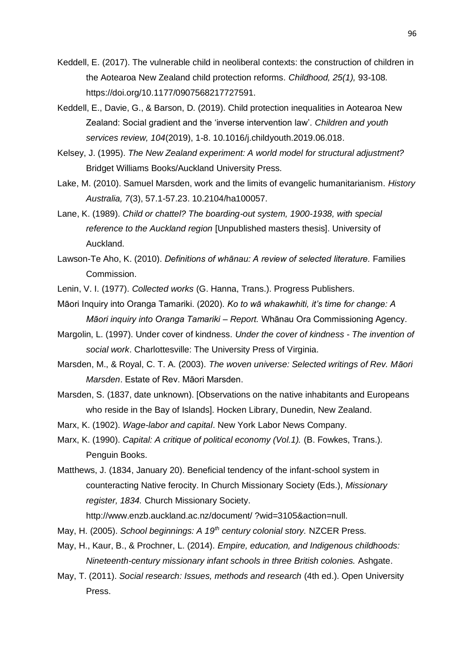- Keddell, E. (2017). The vulnerable child in neoliberal contexts: the construction of children in the Aotearoa New Zealand child protection reforms. *Childhood, 25(1),* 93-108*.*  https://doi.org/10.1177/0907568217727591.
- Keddell, E., Davie, G., & Barson, D. (2019). Child protection inequalities in Aotearoa New Zealand: Social gradient and the 'inverse intervention law'. *Children and youth services review, 104*(2019), 1-8. 10.1016/j.childyouth.2019.06.018.
- Kelsey, J. (1995). *The New Zealand experiment: A world model for structural adjustment?* Bridget Williams Books/Auckland University Press.
- Lake, M. (2010). Samuel Marsden, work and the limits of evangelic humanitarianism. *History Australia, 7*(3), 57.1-57.23. 10.2104/ha100057.
- Lane, K. (1989). *Child or chattel? The boarding-out system, 1900-1938, with special reference to the Auckland region* [Unpublished masters thesis]. University of Auckland.
- Lawson-Te Aho, K. (2010). *Definitions of whānau: A review of selected literature.* Families Commission.
- Lenin, V. I. (1977). *Collected works* (G. Hanna, Trans.). Progress Publishers.
- Māori Inquiry into Oranga Tamariki. (2020). *Ko to wā whakawhiti, it's time for change: A Māori inquiry into Oranga Tamariki – Report.* Whānau Ora Commissioning Agency.
- Margolin, L. (1997). Under cover of kindness. *Under the cover of kindness - The invention of social work*. Charlottesville: The University Press of Virginia.
- Marsden, M., & Royal, C. T. A. (2003). *The woven universe: Selected writings of Rev. Māori Marsden*. Estate of Rev. Māori Marsden.
- Marsden, S. (1837, date unknown). [Observations on the native inhabitants and Europeans who reside in the Bay of Islands]. Hocken Library, Dunedin, New Zealand.
- Marx, K. (1902). *Wage-labor and capital*. New York Labor News Company.
- Marx, K. (1990). *Capital: A critique of political economy (Vol.1).* (B. Fowkes, Trans.). Penguin Books.
- Matthews, J. (1834, January 20). Beneficial tendency of the infant-school system in counteracting Native ferocity. In Church Missionary Society (Eds.), *Missionary register, 1834.* Church Missionary Society.

http://www.enzb.auckland.ac.nz/document/ ?wid=3105&action=null.

- May, H. (2005). *School beginnings: A 19th century colonial story.* NZCER Press.
- May, H., Kaur, B., & Prochner, L. (2014). *Empire, education, and Indigenous childhoods: Nineteenth-century missionary infant schools in three British colonies.* Ashgate.
- May, T. (2011). *Social research: Issues, methods and research* (4th ed.). Open University Press.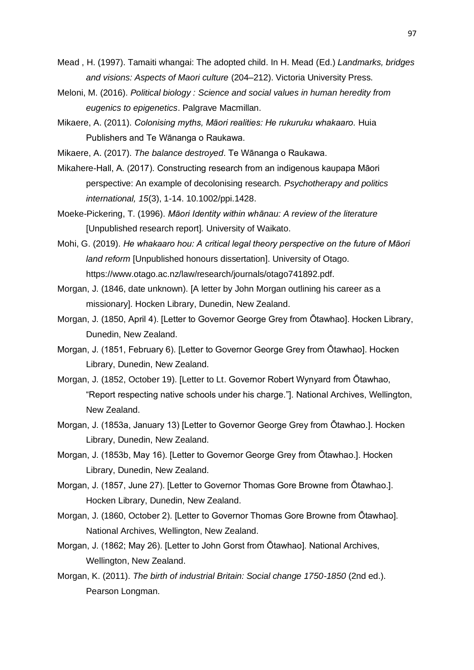- Mead , H. (1997). Tamaiti whangai: The adopted child. In H. Mead (Ed.) *Landmarks, bridges and visions: Aspects of Maori culture* (204–212). Victoria University Press.
- Meloni, M. (2016). *Political biology : Science and social values in human heredity from eugenics to epigenetics*. Palgrave Macmillan.
- Mikaere, A. (2011). *Colonising myths, Māori realities: He rukuruku whakaaro.* Huia Publishers and Te Wānanga o Raukawa.
- Mikaere, A. (2017). *The balance destroyed*. Te Wānanga o Raukawa.
- Mikahere-Hall, A. (2017). Constructing research from an indigenous kaupapa Māori perspective: An example of decolonising research. *Psychotherapy and politics international, 15*(3), 1-14. 10.1002/ppi.1428.
- Moeke-Pickering, T. (1996). *Māori Identity within whānau: A review of the literature*  [Unpublished research report]*.* University of Waikato.
- Mohi, G. (2019). *He whakaaro hou: A critical legal theory perspective on the future of Māori land reform* [Unpublished honours dissertation]. University of Otago. https://www.otago.ac.nz/law/research/journals/otago741892.pdf.
- Morgan, J. (1846, date unknown). [A letter by John Morgan outlining his career as a missionary]. Hocken Library, Dunedin, New Zealand.
- Morgan, J. (1850, April 4). [Letter to Governor George Grey from Ōtawhao]. Hocken Library, Dunedin, New Zealand.
- Morgan, J. (1851, February 6). [Letter to Governor George Grey from Ōtawhao]. Hocken Library, Dunedin, New Zealand.
- Morgan, J. (1852, October 19). [Letter to Lt. Governor Robert Wynyard from Ōtawhao, "Report respecting native schools under his charge."]. National Archives, Wellington, New Zealand.
- Morgan, J. (1853a, January 13) [Letter to Governor George Grey from Ōtawhao.]. Hocken Library, Dunedin, New Zealand.
- Morgan, J. (1853b, May 16). [Letter to Governor George Grey from Ōtawhao.]. Hocken Library, Dunedin, New Zealand.
- Morgan, J. (1857, June 27). [Letter to Governor Thomas Gore Browne from Ōtawhao.]. Hocken Library, Dunedin, New Zealand.
- Morgan, J. (1860, October 2). [Letter to Governor Thomas Gore Browne from Ōtawhao]. National Archives, Wellington, New Zealand.
- Morgan, J. (1862; May 26). [Letter to John Gorst from Ōtawhao]. National Archives, Wellington, New Zealand.
- Morgan, K. (2011). *The birth of industrial Britain: Social change 1750-1850* (2nd ed.). Pearson Longman.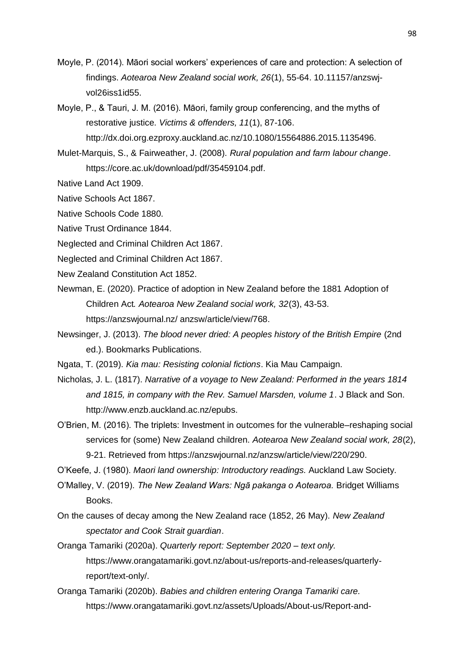- Moyle, P. (2014). Māori social workers' experiences of care and protection: A selection of findings. *Aotearoa New Zealand social work, 26*(1), 55-64. 10.11157/anzswjvol26iss1id55.
- Moyle, P., & Tauri, J. M. (2016). Māori, family group conferencing, and the myths of restorative justice. *Victims & offenders, 11*(1), 87-106.
	- http://dx.doi.org.ezproxy.auckland.ac.nz/10.1080/15564886.2015.1135496.
- Mulet-Marquis, S., & Fairweather, J. (2008). *Rural population and farm labour change*. https://core.ac.uk/download/pdf/35459104.pdf.
- Native Land Act 1909.
- Native Schools Act 1867.
- Native Schools Code 1880.
- Native Trust Ordinance 1844.
- Neglected and Criminal Children Act 1867.
- Neglected and Criminal Children Act 1867.
- New Zealand Constitution Act 1852.
- Newman, E. (2020). Practice of adoption in New Zealand before the 1881 Adoption of Children Act*. Aotearoa New Zealand social work, 32*(3), 43-53. https://anzswjournal.nz/ anzsw/article/view/768.
- Newsinger, J. (2013). *The blood never dried: A peoples history of the British Empire* (2nd ed.). Bookmarks Publications.
- Ngata, T. (2019). *Kia mau: Resisting colonial fictions*. Kia Mau Campaign.
- Nicholas, J. L. (1817). *Narrative of a voyage to New Zealand: Performed in the years 1814 and 1815, in company with the Rev. Samuel Marsden, volume 1*. J Black and Son. http://www.enzb.auckland.ac.nz/epubs.
- O'Brien, M. (2016). The triplets: Investment in outcomes for the vulnerable–reshaping social services for (some) New Zealand children. *Aotearoa New Zealand social work, 28*(2), 9-21. Retrieved from https://anzswjournal.nz/anzsw/article/view/220/290.
- O'Keefe, J. (1980). *Maori land ownership: Introductory readings.* Auckland Law Society.
- O'Malley, V. (2019). *The New Zealand Wars: Ngā pakanga o Aotearoa.* Bridget Williams Books.
- On the causes of decay among the New Zealand race (1852, 26 May). *New Zealand spectator and Cook Strait guardian*.
- Oranga Tamariki (2020a). *Quarterly report: September 2020 – text only.* https://www.orangatamariki.govt.nz/about-us/reports-and-releases/quarterlyreport/text-only/.
- Oranga Tamariki (2020b). *Babies and children entering Oranga Tamariki care.*  https://www.orangatamariki.govt.nz/assets/Uploads/About-us/Report-and-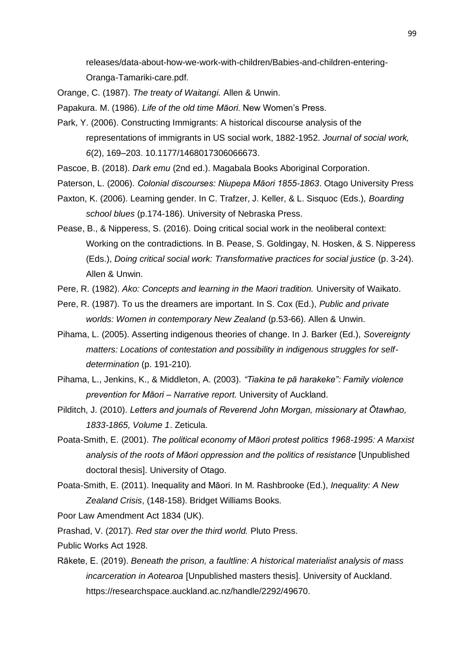releases/data-about-how-we-work-with-children/Babies-and-children-entering-Oranga-Tamariki-care.pdf.

Orange, C. (1987). *The treaty of Waitangi.* Allen & Unwin.

Papakura. M. (1986). *Life of the old time Māori.* New Women's Press.

- Park, Y. (2006). Constructing Immigrants: A historical discourse analysis of the representations of immigrants in US social work, 1882-1952. *Journal of social work, 6*(2), 169–203. 10.1177/1468017306066673.
- Pascoe, B. (2018). *Dark emu* (2nd ed.). Magabala Books Aboriginal Corporation.
- Paterson, L. (2006). *Colonial discourses: Niupepa Māori 1855-1863*. Otago University Press
- Paxton, K. (2006). Learning gender. In C. Trafzer, J. Keller, & L. Sisquoc (Eds.), *Boarding school blues* (p.174-186). University of Nebraska Press.
- Pease, B., & Nipperess, S. (2016). Doing critical social work in the neoliberal context: Working on the contradictions. In B. Pease, S. Goldingay, N. Hosken, & S. Nipperess (Eds.), *Doing critical social work: Transformative practices for social justice* (p. 3-24). Allen & Unwin.
- Pere, R. (1982). *Ako: Concepts and learning in the Maori tradition.* University of Waikato.
- Pere, R. (1987). To us the dreamers are important. In S. Cox (Ed.), *Public and private worlds: Women in contemporary New Zealand* (p.53-66). Allen & Unwin.
- Pihama, L. (2005). Asserting indigenous theories of change. In J. Barker (Ed.), *Sovereignty matters: Locations of contestation and possibility in indigenous struggles for selfdetermination* (p. 191-210)*.*
- Pihama, L., Jenkins, K., & Middleton, A. (2003). *"Tiakina te pā harakeke": Family violence prevention for Māori – Narrative report.* University of Auckland.
- Pilditch, J. (2010). *Letters and journals of Reverend John Morgan, missionary at Ōtawhao, 1833-1865, Volume 1*. Zeticula.
- Poata-Smith, E. (2001). *The political economy of Māori protest politics 1968-1995: A Marxist analysis of the roots of Māori oppression and the politics of resistance* [Unpublished doctoral thesis]. University of Otago.
- Poata-Smith, E. (2011). Inequality and Māori. In M. Rashbrooke (Ed.), *Inequality: A New Zealand Crisis*, (148-158). Bridget Williams Books.

Poor Law Amendment Act 1834 (UK).

Prashad, V. (2017). *Red star over the third world.* Pluto Press.

Public Works Act 1928.

Rākete, E. (2019). *Beneath the prison, a faultline: A historical materialist analysis of mass incarceration in Aotearoa* [Unpublished masters thesis]. University of Auckland. https://researchspace.auckland.ac.nz/handle/2292/49670.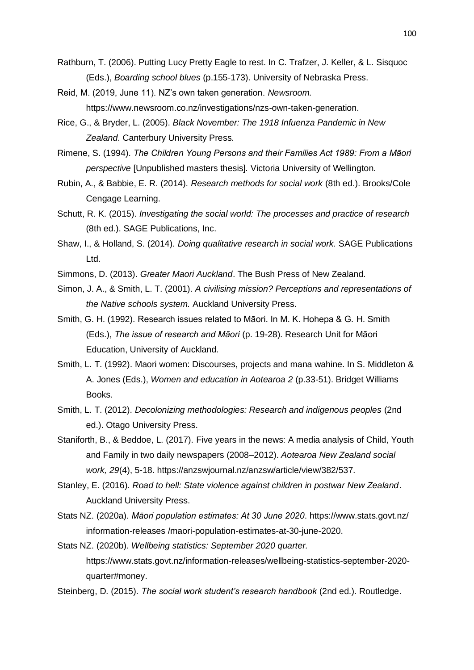- Rathburn, T. (2006). Putting Lucy Pretty Eagle to rest. In C. Trafzer, J. Keller, & L. Sisquoc (Eds.), *Boarding school blues* (p.155-173). University of Nebraska Press.
- Reid, M. (2019, June 11). NZ's own taken generation. *Newsroom.* https://www.newsroom.co.nz/investigations/nzs-own-taken-generation.
- Rice, G., & Bryder, L. (2005). *Black November: The 1918 Infuenza Pandemic in New Zealand*. Canterbury University Press.
- Rimene, S. (1994). *The Children Young Persons and their Families Act 1989: From a Māori perspective* [Unpublished masters thesis]*.* Victoria University of Wellington.
- Rubin, A., & Babbie, E. R. (2014). *Research methods for social work* (8th ed.). Brooks/Cole Cengage Learning.
- Schutt, R. K. (2015). *Investigating the social world: The processes and practice of research*  (8th ed.). SAGE Publications, Inc.
- Shaw, I., & Holland, S. (2014). *Doing qualitative research in social work.* SAGE Publications Ltd.
- Simmons, D. (2013). *Greater Maori Auckland*. The Bush Press of New Zealand.
- Simon, J. A., & Smith, L. T. (2001). *A civilising mission? Perceptions and representations of the Native schools system.* Auckland University Press.
- Smith, G. H. (1992). Research issues related to Māori. In M. K. Hohepa & G. H. Smith (Eds.), *The issue of research and Māori* (p. 19-28). Research Unit for Māori Education, University of Auckland.
- Smith, L. T. (1992). Maori women: Discourses, projects and mana wahine. In S. Middleton & A. Jones (Eds.), *Women and education in Aotearoa 2* (p.33-51). Bridget Williams Books.
- Smith, L. T. (2012). *Decolonizing methodologies: Research and indigenous peoples* (2nd ed.). Otago University Press.
- Staniforth, B., & Beddoe, L. (2017). Five years in the news: A media analysis of Child, Youth and Family in two daily newspapers (2008–2012). *Aotearoa New Zealand social work, 29*(4), 5-18. https://anzswjournal.nz/anzsw/article/view/382/537.
- Stanley, E. (2016). *Road to hell: State violence against children in postwar New Zealand*. Auckland University Press.
- Stats NZ. (2020a). *Māori population estimates: At 30 June 2020*. https://www.stats.govt.nz/ information-releases /maori-population-estimates-at-30-june-2020.
- Stats NZ. (2020b). *Wellbeing statistics: September 2020 quarter.*  https://www.stats.govt.nz/information-releases/wellbeing-statistics-september-2020 quarter#money.
- Steinberg, D. (2015). *The social work student's research handbook* (2nd ed.). Routledge.